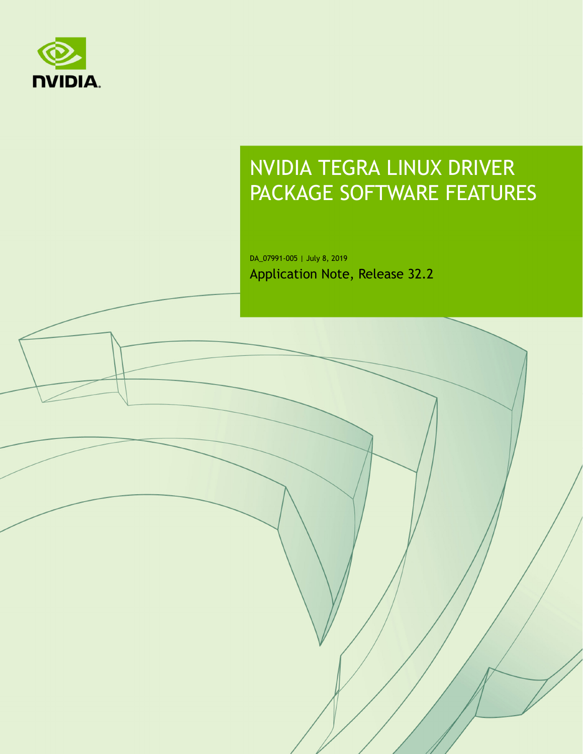

# NVIDIA TEGRA LINUX DRIVER PACKAGE SOFTWARE FEATURES

DA\_07991-005 | July 8, 2019 Application Note, Release 32.2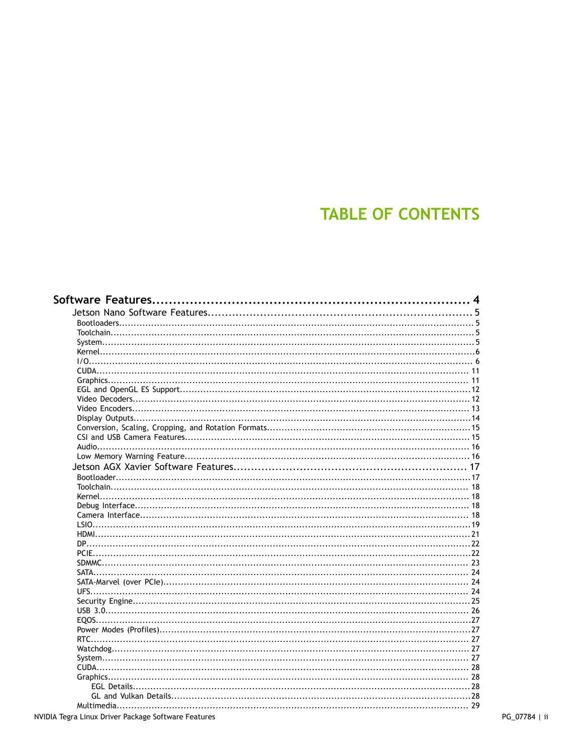# **TABLE OF CONTENTS**

|  |  | 4 |
|--|--|---|
|  |  |   |
|  |  |   |
|  |  |   |
|  |  |   |
|  |  |   |
|  |  |   |
|  |  |   |
|  |  |   |
|  |  |   |
|  |  |   |
|  |  |   |
|  |  |   |
|  |  |   |
|  |  |   |
|  |  |   |
|  |  |   |
|  |  |   |
|  |  |   |
|  |  |   |
|  |  |   |
|  |  |   |
|  |  |   |
|  |  |   |
|  |  |   |
|  |  |   |
|  |  |   |
|  |  |   |
|  |  |   |
|  |  |   |
|  |  |   |
|  |  |   |
|  |  |   |
|  |  |   |
|  |  |   |
|  |  |   |
|  |  |   |
|  |  |   |
|  |  |   |
|  |  |   |
|  |  |   |
|  |  |   |
|  |  |   |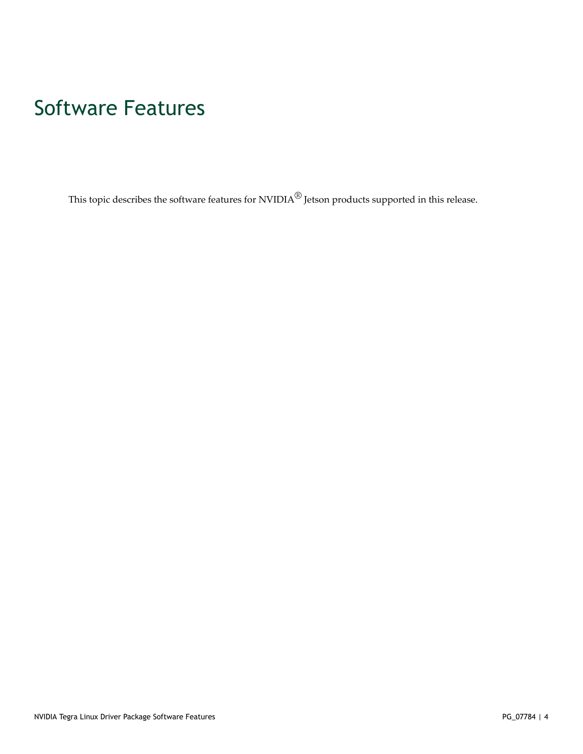# <span id="page-3-0"></span>Software Features

This topic describes the software features for  $\text{NVIDIA}^{\textcircled{B}}$  Jetson products supported in this release.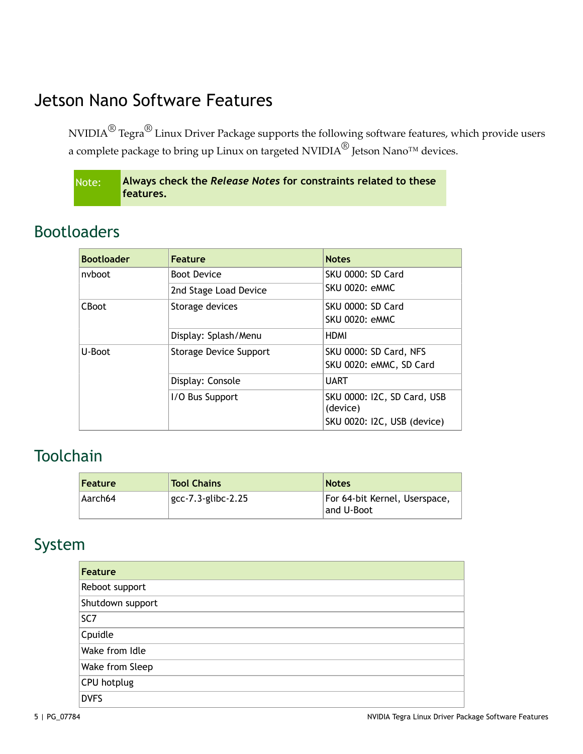# <span id="page-4-0"></span>Jetson Nano Software Features

NVIDIA $^\circledR$  Tegra $^\circledR$  Linux Driver Package supports the following software features, which provide users a complete package to bring up Linux on targeted NVIDIA $^{\circledR}$  Jetson Nano™ devices.

| Note: | Always check the Release Notes for constraints related to these |
|-------|-----------------------------------------------------------------|
|       | features.                                                       |

#### <span id="page-4-1"></span>Bootloaders

| <b>Bootloader</b> | <b>Feature</b>                | <b>Notes</b>                                                           |
|-------------------|-------------------------------|------------------------------------------------------------------------|
| nyboot            | <b>Boot Device</b>            | <b>SKU 0000: SD Card</b>                                               |
|                   | 2nd Stage Load Device         | <b>SKU 0020: eMMC</b>                                                  |
| <b>CBoot</b>      | Storage devices               | <b>SKU 0000: SD Card</b>                                               |
|                   |                               | <b>SKU 0020: eMMC</b>                                                  |
|                   | Display: Splash/Menu          | <b>HDMI</b>                                                            |
| U-Boot            | <b>Storage Device Support</b> | SKU 0000: SD Card, NFS                                                 |
|                   |                               | SKU 0020: eMMC, SD Card                                                |
|                   | Display: Console              | <b>UART</b>                                                            |
|                   | I/O Bus Support               | SKU 0000: I2C, SD Card, USB<br>(device)<br>SKU 0020: I2C, USB (device) |

## <span id="page-4-2"></span>Toolchain

| Feature | <b>Tool Chains</b>    | <b>Notes</b>                                |
|---------|-----------------------|---------------------------------------------|
| Aarch64 | $gcc-7.3$ -glibc-2.25 | For 64-bit Kernel, Userspace,<br>and U-Boot |

# <span id="page-4-3"></span>System

| <b>Feature</b>   |
|------------------|
| Reboot support   |
| Shutdown support |
| SC7              |
| Cpuidle          |
| Wake from Idle   |
| Wake from Sleep  |
| CPU hotplug      |
| <b>DVFS</b>      |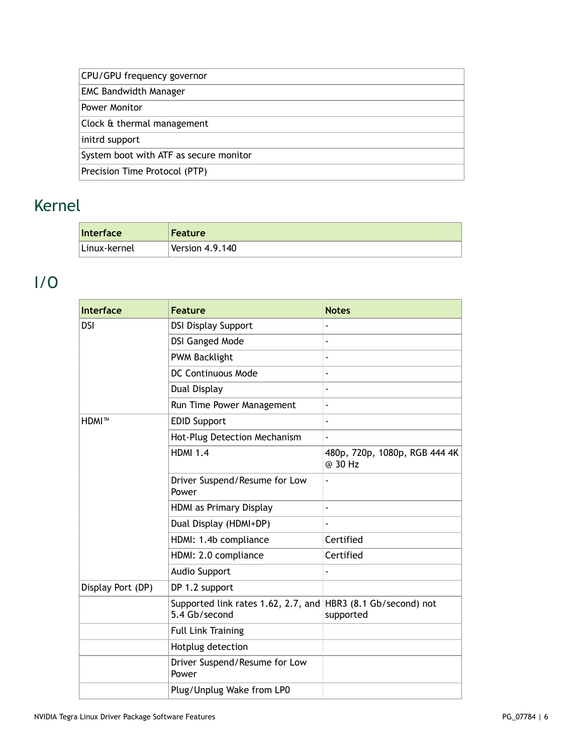| CPU/GPU frequency governor             |  |
|----------------------------------------|--|
| <b>EMC Bandwidth Manager</b>           |  |
| <b>Power Monitor</b>                   |  |
| Clock & thermal management             |  |
| initrd support                         |  |
| System boot with ATF as secure monitor |  |
| Precision Time Protocol (PTP)          |  |

# <span id="page-5-0"></span>Kernel

| Interface     | <b>Feature</b>  |
|---------------|-----------------|
| ∣Linux-kernel | Version 4.9.140 |

# <span id="page-5-1"></span>I/O

| <b>Interface</b>  | <b>Feature</b>                                       | <b>Notes</b>                             |
|-------------------|------------------------------------------------------|------------------------------------------|
| <b>DSI</b>        | <b>DSI Display Support</b>                           |                                          |
|                   | <b>DSI Ganged Mode</b>                               | ÷,                                       |
|                   | <b>PWM Backlight</b>                                 |                                          |
|                   | <b>DC Continuous Mode</b>                            | $\overline{\phantom{0}}$                 |
|                   | Dual Display                                         |                                          |
|                   | Run Time Power Management                            | ä,                                       |
| HDMI™             | <b>EDID Support</b>                                  | ٠                                        |
|                   | Hot-Plug Detection Mechanism                         |                                          |
|                   | <b>HDMI 1.4</b>                                      | 480p, 720p, 1080p, RGB 444 4K<br>@ 30 Hz |
|                   | Driver Suspend/Resume for Low<br>Power               |                                          |
|                   | HDMI as Primary Display                              | ٠                                        |
|                   | Dual Display (HDMI+DP)                               | $\blacksquare$                           |
|                   | HDMI: 1.4b compliance                                | Certified                                |
|                   | HDMI: 2.0 compliance                                 | Certified                                |
|                   | Audio Support                                        |                                          |
| Display Port (DP) | DP 1.2 support                                       |                                          |
|                   | Supported link rates 1.62, 2.7, and<br>5.4 Gb/second | HBR3 (8.1 Gb/second) not<br>supported    |
|                   | <b>Full Link Training</b>                            |                                          |
|                   | Hotplug detection                                    |                                          |
|                   | Driver Suspend/Resume for Low<br>Power               |                                          |
|                   | Plug/Unplug Wake from LP0                            |                                          |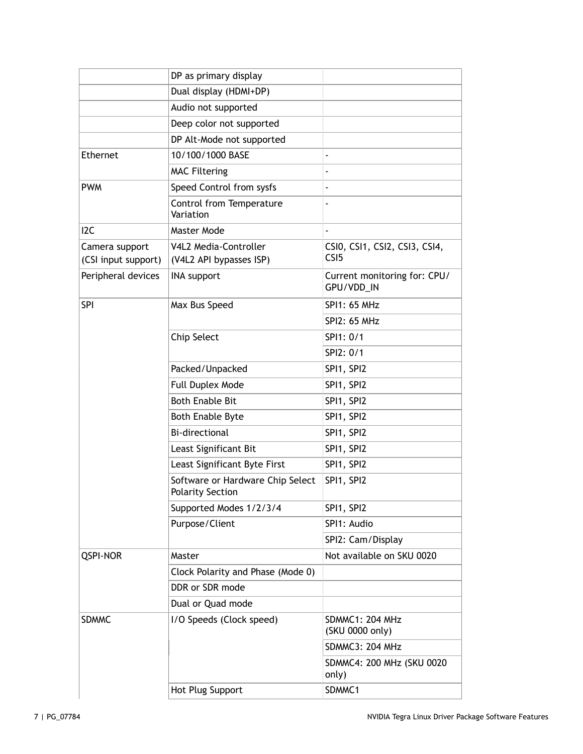|                     | DP as primary display                                       |                                            |
|---------------------|-------------------------------------------------------------|--------------------------------------------|
|                     | Dual display (HDMI+DP)                                      |                                            |
|                     | Audio not supported                                         |                                            |
|                     | Deep color not supported                                    |                                            |
|                     | DP Alt-Mode not supported                                   |                                            |
| Ethernet            | 10/100/1000 BASE                                            |                                            |
|                     | <b>MAC Filtering</b>                                        |                                            |
| <b>PWM</b>          | Speed Control from sysfs                                    |                                            |
|                     | Control from Temperature<br>Variation                       |                                            |
| 12C                 | Master Mode                                                 | $\overline{a}$                             |
| Camera support      | V4L2 Media-Controller                                       | CSI0, CSI1, CSI2, CSI3, CSI4,              |
| (CSI input support) | (V4L2 API bypasses ISP)                                     | CS <sub>I5</sub>                           |
| Peripheral devices  | <b>INA support</b>                                          | Current monitoring for: CPU/<br>GPU/VDD_IN |
| SPI                 | Max Bus Speed                                               | <b>SPI1: 65 MHz</b>                        |
|                     |                                                             | SPI2: 65 MHz                               |
|                     | Chip Select                                                 | SPI1: 0/1                                  |
|                     |                                                             | SPI2: 0/1                                  |
|                     | Packed/Unpacked                                             | SPI1, SPI2                                 |
|                     | Full Duplex Mode                                            | SPI1, SPI2                                 |
|                     | <b>Both Enable Bit</b>                                      | SPI1, SPI2                                 |
|                     | <b>Both Enable Byte</b>                                     | SPI1, SPI2                                 |
|                     | <b>Bi-directional</b>                                       | SPI1, SPI2                                 |
|                     | Least Significant Bit                                       | SPI1, SPI2                                 |
|                     | Least Significant Byte First                                | SPI1, SPI2                                 |
|                     | Software or Hardware Chip Select<br><b>Polarity Section</b> | SPI1, SPI2                                 |
|                     | Supported Modes 1/2/3/4                                     | SPI1, SPI2                                 |
|                     | Purpose/Client                                              | SPI1: Audio                                |
|                     |                                                             | SPI2: Cam/Display                          |
| <b>QSPI-NOR</b>     | Master                                                      | Not available on SKU 0020                  |
|                     | Clock Polarity and Phase (Mode 0)                           |                                            |
|                     | DDR or SDR mode                                             |                                            |
|                     | Dual or Quad mode                                           |                                            |
| <b>SDMMC</b>        | I/O Speeds (Clock speed)                                    | <b>SDMMC1: 204 MHz</b><br>(SKU 0000 only)  |
|                     |                                                             | <b>SDMMC3: 204 MHz</b>                     |
|                     |                                                             | SDMMC4: 200 MHz (SKU 0020<br>only)         |
|                     | Hot Plug Support                                            | SDMMC1                                     |
|                     |                                                             |                                            |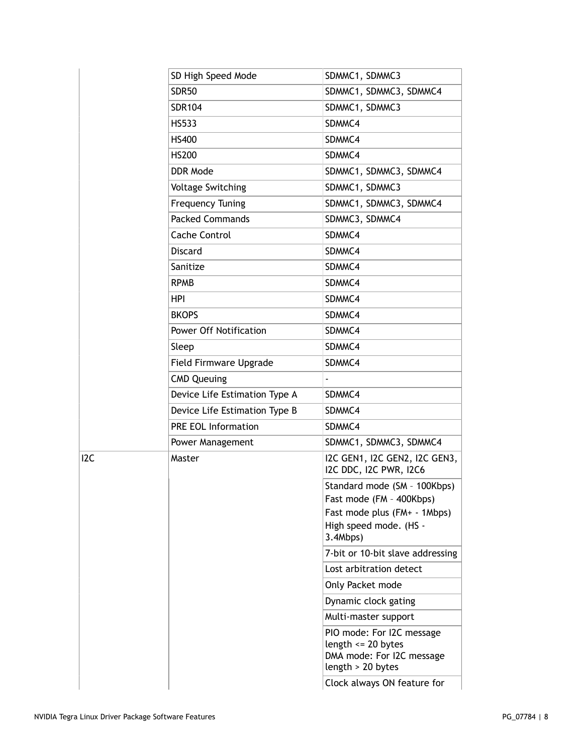|  | SD High Speed Mode            | SDMMC1, SDMMC3                                                                                                                 |
|--|-------------------------------|--------------------------------------------------------------------------------------------------------------------------------|
|  | <b>SDR50</b>                  | SDMMC1, SDMMC3, SDMMC4                                                                                                         |
|  | <b>SDR104</b>                 | SDMMC1, SDMMC3                                                                                                                 |
|  | <b>HS533</b>                  | SDMMC4                                                                                                                         |
|  | <b>HS400</b>                  | SDMMC4                                                                                                                         |
|  | <b>HS200</b>                  | SDMMC4                                                                                                                         |
|  | DDR Mode                      | SDMMC1, SDMMC3, SDMMC4                                                                                                         |
|  | <b>Voltage Switching</b>      | SDMMC1, SDMMC3                                                                                                                 |
|  | <b>Frequency Tuning</b>       | SDMMC1, SDMMC3, SDMMC4                                                                                                         |
|  | <b>Packed Commands</b>        | SDMMC3, SDMMC4                                                                                                                 |
|  | Cache Control                 | SDMMC4                                                                                                                         |
|  | <b>Discard</b>                | SDMMC4                                                                                                                         |
|  | Sanitize                      | SDMMC4                                                                                                                         |
|  | <b>RPMB</b>                   | SDMMC4                                                                                                                         |
|  | HPI                           | SDMMC4                                                                                                                         |
|  | <b>BKOPS</b>                  | SDMMC4                                                                                                                         |
|  | <b>Power Off Notification</b> | SDMMC4                                                                                                                         |
|  | Sleep                         | SDMMC4                                                                                                                         |
|  | Field Firmware Upgrade        | SDMMC4                                                                                                                         |
|  | <b>CMD Queuing</b>            |                                                                                                                                |
|  | Device Life Estimation Type A | SDMMC4                                                                                                                         |
|  | Device Life Estimation Type B | SDMMC4                                                                                                                         |
|  | <b>PRE EOL Information</b>    | SDMMC4                                                                                                                         |
|  | Power Management              | SDMMC1, SDMMC3, SDMMC4                                                                                                         |
|  | Master                        | I2C GEN1, I2C GEN2, I2C GEN3,<br>I2C DDC, I2C PWR, I2C6                                                                        |
|  |                               | Standard mode (SM - 100Kbps)<br>Fast mode (FM - 400Kbps)<br>Fast mode plus (FM+ - 1Mbps)<br>High speed mode. (HS -<br>3.4Mbps) |
|  |                               | 7-bit or 10-bit slave addressing                                                                                               |
|  |                               | Lost arbitration detect                                                                                                        |
|  |                               | Only Packet mode                                                                                                               |
|  |                               | Dynamic clock gating                                                                                                           |
|  |                               | Multi-master support                                                                                                           |
|  |                               | PIO mode: For I2C message<br>length $\leq$ 20 bytes<br>DMA mode: For I2C message<br>length > 20 bytes                          |
|  |                               | Clock always ON feature for                                                                                                    |

 $\overline{12C}$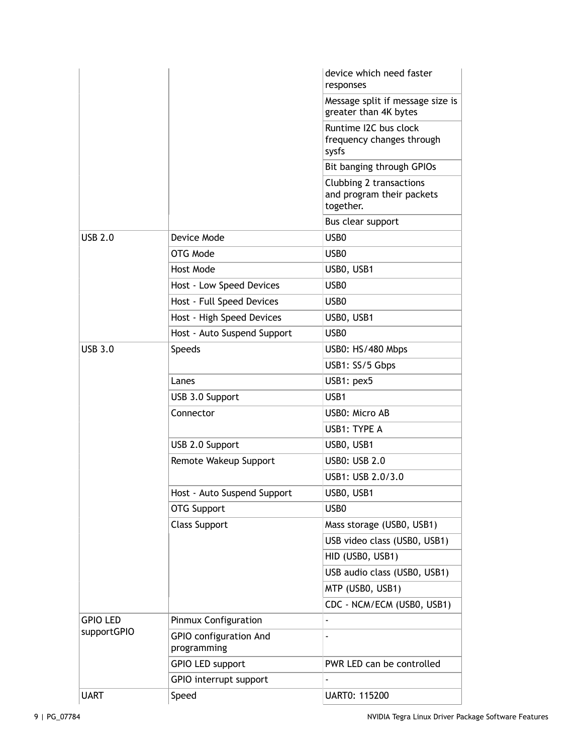|                 |                                              | device which need faster<br>responses                             |
|-----------------|----------------------------------------------|-------------------------------------------------------------------|
|                 |                                              | Message split if message size is<br>greater than 4K bytes         |
|                 |                                              | Runtime I2C bus clock<br>frequency changes through<br>sysfs       |
|                 |                                              | Bit banging through GPIOs                                         |
|                 |                                              | Clubbing 2 transactions<br>and program their packets<br>together. |
|                 |                                              | Bus clear support                                                 |
| <b>USB 2.0</b>  | Device Mode                                  | USB <sub>0</sub>                                                  |
|                 | OTG Mode                                     | USB <sub>0</sub>                                                  |
|                 | Host Mode                                    | USB0, USB1                                                        |
|                 | Host - Low Speed Devices                     | USB <sub>0</sub>                                                  |
|                 | Host - Full Speed Devices                    | USB <sub>0</sub>                                                  |
|                 | Host - High Speed Devices                    | USBO, USB1                                                        |
|                 | Host - Auto Suspend Support                  | USB <sub>0</sub>                                                  |
| <b>USB 3.0</b>  | <b>Speeds</b>                                | USB0: HS/480 Mbps                                                 |
|                 |                                              | USB1: SS/5 Gbps                                                   |
|                 | Lanes                                        | USB1: pex5                                                        |
|                 | USB 3.0 Support                              | USB1                                                              |
|                 | Connector                                    | USB0: Micro AB                                                    |
|                 |                                              | USB1: TYPE A                                                      |
|                 | USB 2.0 Support                              | USBO, USB1                                                        |
|                 | Remote Wakeup Support                        | <b>USB0: USB 2.0</b>                                              |
|                 |                                              | USB1: USB 2.0/3.0                                                 |
|                 | Host - Auto Suspend Support                  | USB0, USB1                                                        |
|                 | <b>OTG Support</b>                           | USB <sub>0</sub>                                                  |
|                 | <b>Class Support</b>                         | Mass storage (USB0, USB1)                                         |
|                 |                                              | USB video class (USB0, USB1)                                      |
|                 |                                              | HID (USBO, USB1)                                                  |
|                 |                                              | USB audio class (USB0, USB1)                                      |
|                 |                                              | MTP (USB0, USB1)                                                  |
|                 |                                              | CDC - NCM/ECM (USB0, USB1)                                        |
| <b>GPIO LED</b> | Pinmux Configuration                         | ÷,                                                                |
| supportGPIO     | <b>GPIO</b> configuration And<br>programming |                                                                   |
|                 | <b>GPIO LED support</b>                      | PWR LED can be controlled                                         |
|                 | GPIO interrupt support                       | $\blacksquare$                                                    |
| <b>UART</b>     | Speed                                        | UART0: 115200                                                     |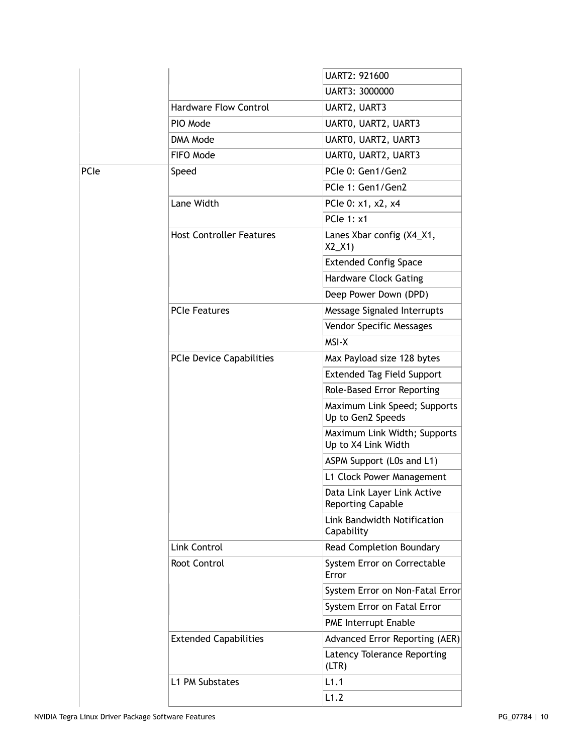|      |                                 | UART2: 921600                                           |
|------|---------------------------------|---------------------------------------------------------|
|      |                                 | UART3: 3000000                                          |
|      | <b>Hardware Flow Control</b>    | UART2, UART3                                            |
|      | PIO Mode                        | UARTO, UART2, UART3                                     |
|      | DMA Mode                        | UARTO, UART2, UART3                                     |
|      | FIFO Mode                       | UARTO, UART2, UART3                                     |
| PCIe | Speed                           | PCIe 0: Gen1/Gen2                                       |
|      |                                 | PCIe 1: Gen1/Gen2                                       |
|      | Lane Width                      | PCle 0: x1, x2, x4                                      |
|      |                                 | <b>PCle 1: x1</b>                                       |
|      | <b>Host Controller Features</b> | Lanes Xbar config (X4_X1,<br>$X2_X1$                    |
|      |                                 | <b>Extended Config Space</b>                            |
|      |                                 | <b>Hardware Clock Gating</b>                            |
|      |                                 | Deep Power Down (DPD)                                   |
|      | <b>PCIe Features</b>            | Message Signaled Interrupts                             |
|      |                                 | Vendor Specific Messages                                |
|      |                                 | MSI-X                                                   |
|      | PCIe Device Capabilities        | Max Payload size 128 bytes                              |
|      |                                 | <b>Extended Tag Field Support</b>                       |
|      |                                 | Role-Based Error Reporting                              |
|      |                                 | Maximum Link Speed; Supports<br>Up to Gen2 Speeds       |
|      |                                 | Maximum Link Width; Supports<br>Up to X4 Link Width     |
|      |                                 | ASPM Support (L0s and L1)                               |
|      |                                 | L1 Clock Power Management                               |
|      |                                 | Data Link Layer Link Active<br><b>Reporting Capable</b> |
|      |                                 | Link Bandwidth Notification<br>Capability               |
|      | Link Control                    | <b>Read Completion Boundary</b>                         |
|      | Root Control                    | System Error on Correctable<br>Error                    |
|      |                                 | System Error on Non-Fatal Error                         |
|      |                                 | System Error on Fatal Error                             |
|      |                                 | PME Interrupt Enable                                    |
|      | <b>Extended Capabilities</b>    | <b>Advanced Error Reporting (AER)</b>                   |
|      |                                 | Latency Tolerance Reporting<br>(LTR)                    |
|      | L1 PM Substates                 | L1.1                                                    |
|      |                                 | L1.2                                                    |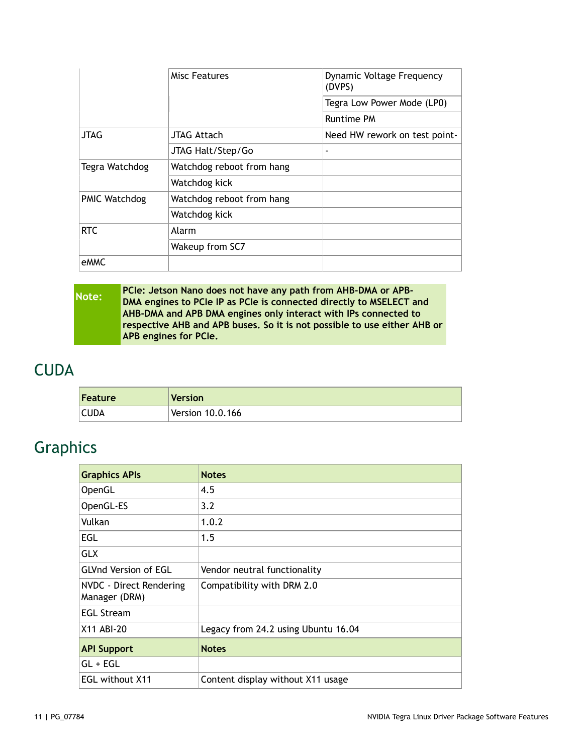|                      | Misc Features             | Dynamic Voltage Frequency<br>(DVPS) |  |
|----------------------|---------------------------|-------------------------------------|--|
|                      |                           | Tegra Low Power Mode (LP0)          |  |
|                      |                           | <b>Runtime PM</b>                   |  |
| <b>JTAG</b>          | JTAG Attach               | Need HW rework on test point-       |  |
|                      | JTAG Halt/Step/Go         | ٠                                   |  |
| Tegra Watchdog       | Watchdog reboot from hang |                                     |  |
|                      | Watchdog kick             |                                     |  |
| <b>PMIC Watchdog</b> | Watchdog reboot from hang |                                     |  |
|                      | Watchdog kick             |                                     |  |
| <b>RTC</b>           | Alarm                     |                                     |  |
|                      | Wakeup from SC7           |                                     |  |
| eMMC                 |                           |                                     |  |

| Note: | <b>PCIe: Jetson Nano does not have any path from AHB-DMA or APB-</b><br>DMA engines to PCIe IP as PCIe is connected directly to MSELECT and |
|-------|---------------------------------------------------------------------------------------------------------------------------------------------|
|       | AHB-DMA and APB DMA engines only interact with IPs connected to                                                                             |
|       | respective AHB and APB buses. So it is not possible to use either AHB or<br><b>APB</b> engines for PCIe.                                    |
|       |                                                                                                                                             |

#### <span id="page-10-0"></span>**CUDA**

| Feature     | Version            |
|-------------|--------------------|
| <b>CUDA</b> | Version $10.0.166$ |

# <span id="page-10-1"></span>Graphics

| <b>Graphics APIs</b>                     | <b>Notes</b>                        |
|------------------------------------------|-------------------------------------|
| OpenGL                                   | 4.5                                 |
| OpenGL-ES                                | 3.2                                 |
| Vulkan                                   | 1.0.2                               |
| EGL                                      | 1.5                                 |
| <b>GLX</b>                               |                                     |
| <b>GLVnd Version of EGL</b>              | Vendor neutral functionality        |
| NVDC - Direct Rendering<br>Manager (DRM) | Compatibility with DRM 2.0          |
| <b>EGL Stream</b>                        |                                     |
| X11 ABI-20                               | Legacy from 24.2 using Ubuntu 16.04 |
| <b>API Support</b>                       | <b>Notes</b>                        |
| $GL + EGL$                               |                                     |
| <b>EGL without X11</b>                   | Content display without X11 usage   |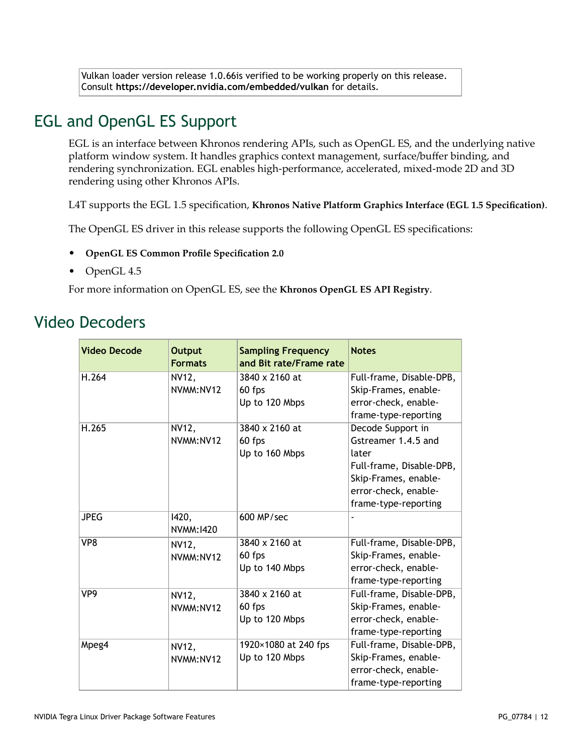Vulkan loader version release 1.0.66is verified to be working properly on this release. Consult **<https://developer.nvidia.com/embedded/vulkan>** for details.

#### <span id="page-11-0"></span>EGL and OpenGL ES Support

EGL is an interface between Khronos rendering APIs, such as OpenGL ES, and the underlying native platform window system. It handles graphics context management, surface/buffer binding, and rendering synchronization. EGL enables high-performance, accelerated, mixed-mode 2D and 3D rendering using other Khronos APIs.

L4T supports the EGL 1.5 specification, **Khronos Native Platform Graphics Interface (EGL 1.5 [Specification\)](https://www.khronos.org/registry/EGL/specs/eglspec.1.5.withchanges.pdf)**.

The OpenGL ES driver in this release supports the following OpenGL ES specifications:

- **[OpenGL ES Common Profile Specification 2.0](http://www.khronos.org/registry/gles/specs/2.0/es_full_spec_2.0.25.pdf)**
- OpenGL 4.5

For more information on OpenGL ES, see the **[Khronos OpenGL ES API Registry](http://www.khronos.org/registry/gles/)**.

#### <span id="page-11-1"></span>Video Decoders

| <b>Video Decode</b> | <b>Output</b><br><b>Formats</b> | <b>Sampling Frequency</b><br>and Bit rate/Frame rate | <b>Notes</b>             |
|---------------------|---------------------------------|------------------------------------------------------|--------------------------|
| H.264               | NV12,                           | 3840 x 2160 at                                       | Full-frame, Disable-DPB, |
|                     | NVMM:NV12                       | 60 fps                                               | Skip-Frames, enable-     |
|                     |                                 | Up to 120 Mbps                                       | error-check, enable-     |
|                     |                                 |                                                      | frame-type-reporting     |
| H.265               | NV12,                           | 3840 x 2160 at                                       | Decode Support in        |
|                     | NVMM:NV12                       | 60 fps                                               | Gstreamer 1.4.5 and      |
|                     |                                 | Up to 160 Mbps                                       | later                    |
|                     |                                 |                                                      | Full-frame, Disable-DPB, |
|                     |                                 |                                                      | Skip-Frames, enable-     |
|                     |                                 |                                                      | error-check, enable-     |
|                     |                                 |                                                      | frame-type-reporting     |
| <b>JPEG</b>         | 1420,<br>NVMM: 1420             | 600 MP/sec                                           |                          |
| VP8                 | NV12,                           | 3840 x 2160 at                                       | Full-frame, Disable-DPB, |
|                     | NVMM:NV12                       | 60 fps                                               | Skip-Frames, enable-     |
|                     |                                 | Up to 140 Mbps                                       | error-check, enable-     |
|                     |                                 |                                                      | frame-type-reporting     |
| VP <sub>9</sub>     | NV12,                           | 3840 x 2160 at                                       | Full-frame, Disable-DPB, |
|                     | NVMM:NV12                       | 60 fps                                               | Skip-Frames, enable-     |
|                     |                                 | Up to 120 Mbps                                       | error-check, enable-     |
|                     |                                 |                                                      | frame-type-reporting     |
| Mpeg4               | NV12,                           | 1920×1080 at 240 fps                                 | Full-frame, Disable-DPB, |
|                     | NVMM:NV12                       | Up to 120 Mbps                                       | Skip-Frames, enable-     |
|                     |                                 |                                                      | error-check, enable-     |
|                     |                                 |                                                      | frame-type-reporting     |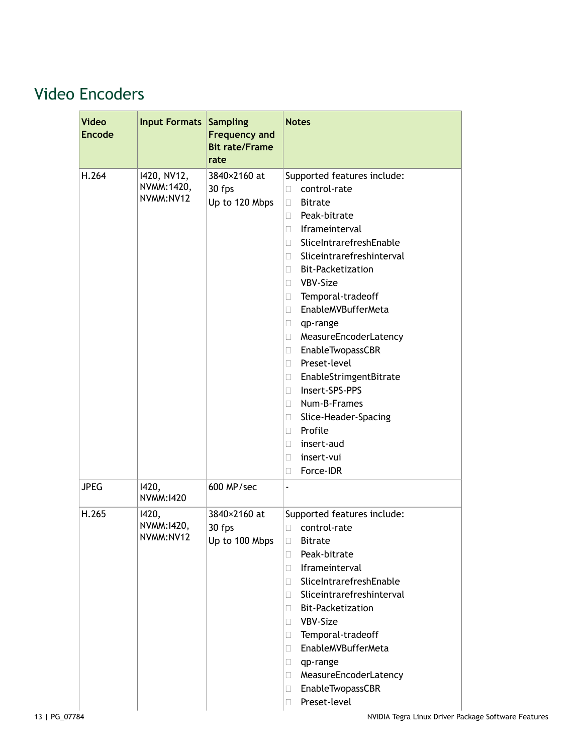# <span id="page-12-0"></span>Video Encoders

| <b>Video</b><br><b>Encode</b> | <b>Input Formats</b>                    | <b>Sampling</b><br><b>Frequency and</b><br><b>Bit rate/Frame</b><br>rate | <b>Notes</b>                                                                                                                                                                                                                                                                                                                                                                                                                                                                                                                                                                                          |
|-------------------------------|-----------------------------------------|--------------------------------------------------------------------------|-------------------------------------------------------------------------------------------------------------------------------------------------------------------------------------------------------------------------------------------------------------------------------------------------------------------------------------------------------------------------------------------------------------------------------------------------------------------------------------------------------------------------------------------------------------------------------------------------------|
| H.264                         | 1420, NV12,<br>NVMM: 1420,<br>NVMM:NV12 | 3840×2160 at<br>30 fps<br>Up to 120 Mbps                                 | Supported features include:<br>control-rate<br>П<br><b>Bitrate</b><br>$\mathbf{L}$<br>Peak-bitrate<br>$\mathbf{L}$<br>Iframeinterval<br>П<br>SliceIntrarefreshEnable<br>Ш<br>Sliceintrarefreshinterval<br>$\Box$<br><b>Bit-Packetization</b><br>П<br>VBV-Size<br>П<br>Temporal-tradeoff<br>Ш<br>EnableMVBufferMeta<br>П<br>qp-range<br>П<br>MeasureEncoderLatency<br>Ш<br>EnableTwopassCBR<br>O.<br>Preset-level<br>П<br>EnableStrimgentBitrate<br>Ш<br>Insert-SPS-PPS<br>П<br>Num-B-Frames<br>П<br>Slice-Header-Spacing<br>Ш<br>Profile<br>П<br>insert-aud<br>Ш<br>insert-vui<br>П<br>Force-IDR<br>П |
| <b>JPEG</b>                   | 1420,<br>NVMM: 1420                     | 600 MP/sec                                                               |                                                                                                                                                                                                                                                                                                                                                                                                                                                                                                                                                                                                       |
| H.265                         | 1420,<br>NVMM: 1420,<br>NVMM:NV12       | 3840×2160 at<br>30 fps<br>Up to 100 Mbps                                 | Supported features include:<br>control-rate<br>O.<br>$\Box$<br><b>Bitrate</b><br>Peak-bitrate<br>П.<br>Iframeinterval<br>П.<br>SliceIntrarefreshEnable<br>П<br>Sliceintrarefreshinterval<br>П<br><b>Bit-Packetization</b><br>u<br>VBV-Size<br>$\mathbf{L}$<br>Temporal-tradeoff<br>O.<br>EnableMVBufferMeta<br>O.<br>qp-range<br>Ш<br>MeasureEncoderLatency<br>u<br>EnableTwopassCBR<br>O.<br>Preset-level<br>$\Box$                                                                                                                                                                                  |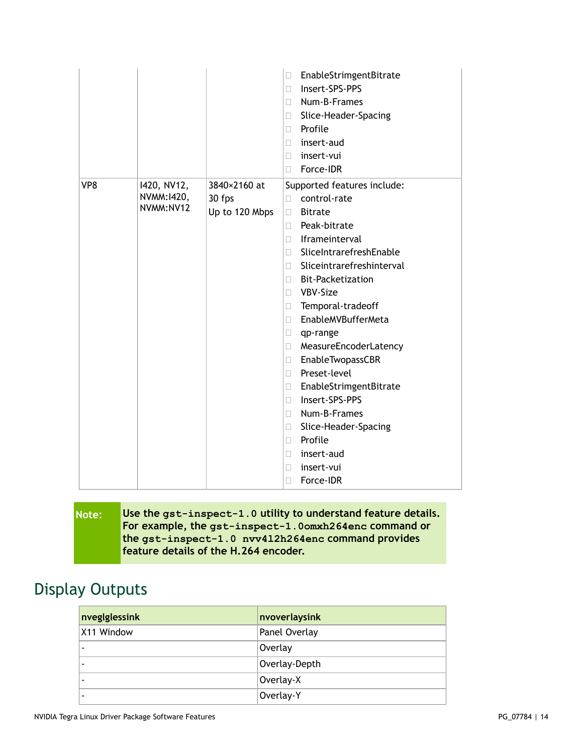|                 |                                         |                                          | EnableStrimgentBitrate<br>$\Box$<br>Insert-SPS-PPS<br>П<br>Num-B-Frames<br>П<br>Slice-Header-Spacing<br>$\Box$<br>Profile<br>П<br>insert-aud<br>П<br>insert-vui<br>П                                                                                                                                                                                                                                                                                                                                                                                                                                  |
|-----------------|-----------------------------------------|------------------------------------------|-------------------------------------------------------------------------------------------------------------------------------------------------------------------------------------------------------------------------------------------------------------------------------------------------------------------------------------------------------------------------------------------------------------------------------------------------------------------------------------------------------------------------------------------------------------------------------------------------------|
|                 |                                         |                                          | Force-IDR<br>П                                                                                                                                                                                                                                                                                                                                                                                                                                                                                                                                                                                        |
| VP <sub>8</sub> | 1420, NV12,<br>NVMM: 1420,<br>NVMM:NV12 | 3840×2160 at<br>30 fps<br>Up to 120 Mbps | Supported features include:<br>control-rate<br>П<br><b>Bitrate</b><br>$\Box$<br>Peak-bitrate<br>П<br>Iframeinterval<br>П<br>SliceIntrarefreshEnable<br>П.<br>Sliceintrarefreshinterval<br>П<br><b>Bit-Packetization</b><br>П<br>VBV-Size<br>$\Box$<br>Temporal-tradeoff<br>$\Box$<br>EnableMVBufferMeta<br>$\Box$<br>qp-range<br>П<br>MeasureEncoderLatency<br>$\Box$<br>EnableTwopassCBR<br>$\Box$<br>Preset-level<br>П<br>EnableStrimgentBitrate<br>$\Box$<br>Insert-SPS-PPS<br>П<br>Num-B-Frames<br>П<br>Slice-Header-Spacing<br>$\Box$<br>Profile<br>П<br>insert-aud<br>П<br>insert-vui<br>$\Box$ |
|                 |                                         |                                          | Force-IDR<br>Ш                                                                                                                                                                                                                                                                                                                                                                                                                                                                                                                                                                                        |

| Note: | Use the gst-inspect-1.0 utility to understand feature details. |
|-------|----------------------------------------------------------------|
|       | For example, the gst-inspect-1.0omxh264enc command or          |
|       | the gst-inspect-1.0 nvv412h264enc command provides             |
|       | feature details of the H.264 encoder.                          |

# <span id="page-13-0"></span>Display Outputs

| nveglglessink | nvoverlaysink |  |
|---------------|---------------|--|
| X11 Window    | Panel Overlay |  |
|               | Overlay       |  |
|               | Overlay-Depth |  |
|               | Overlay-X     |  |
|               | Overlay-Y     |  |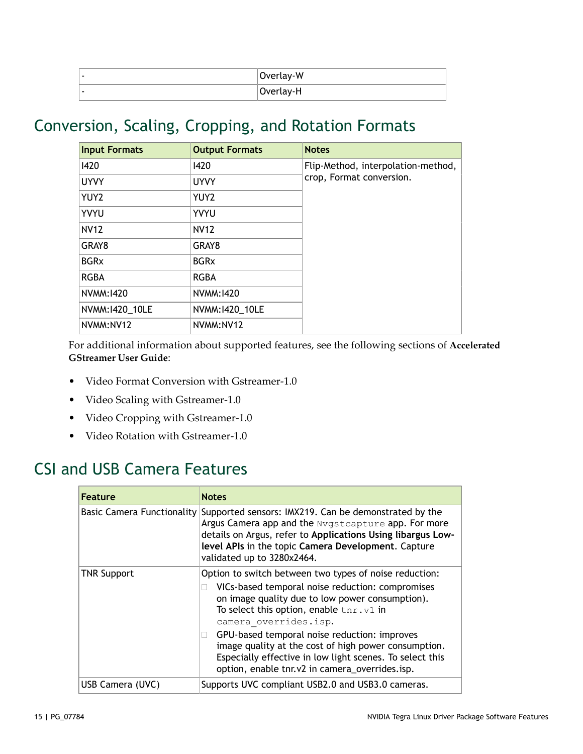| Overlay-W |
|-----------|
| Overlay-H |

#### <span id="page-14-0"></span>Conversion, Scaling, Cropping, and Rotation Formats

| <b>Input Formats</b> | <b>Output Formats</b> | <b>Notes</b>                       |
|----------------------|-----------------------|------------------------------------|
| 1420                 | 1420                  | Flip-Method, interpolation-method, |
| <b>UYVY</b>          | <b>UYVY</b>           | crop, Format conversion.           |
| YUY2                 | YUY2                  |                                    |
| YVYU                 | <b>YVYU</b>           |                                    |
| <b>NV12</b>          | <b>NV12</b>           |                                    |
| GRAY8                | GRAY8                 |                                    |
| <b>BGRx</b>          | <b>BGRx</b>           |                                    |
| <b>RGBA</b>          | <b>RGBA</b>           |                                    |
| NVMM: 1420           | NVMM: 1420            |                                    |
| NVMM:1420_10LE       | NVMM:1420_10LE        |                                    |
| NVMM:NV12            | NVMM:NV12             |                                    |

For additional information about supported features, see the following sections of **[Accelerated](https://developer.nvidia.com/search/site/%2522accelerated%2520gstreamer%2520user%2520guide%2522) [GStreamer User Guide](https://developer.nvidia.com/search/site/%2522accelerated%2520gstreamer%2520user%2520guide%2522)**:

- Video Format Conversion with Gstreamer-1.0
- Video Scaling with Gstreamer-1.0
- Video Cropping with Gstreamer-1.0
- Video Rotation with Gstreamer-1.0

#### <span id="page-14-1"></span>CSI and USB Camera Features

| <b>Feature</b>     | <b>Notes</b>                                                                                                                                                                                                                                                                                |  |
|--------------------|---------------------------------------------------------------------------------------------------------------------------------------------------------------------------------------------------------------------------------------------------------------------------------------------|--|
|                    | Basic Camera Functionality Supported sensors: IMX219. Can be demonstrated by the<br>Argus Camera app and the Nygstcapture app. For more<br>details on Argus, refer to Applications Using libargus Low-<br>level APIs in the topic Camera Development. Capture<br>validated up to 3280x2464. |  |
| <b>TNR Support</b> | Option to switch between two types of noise reduction:<br>VICs-based temporal noise reduction: compromises<br>on image quality due to low power consumption).<br>To select this option, enable $\text{tnr.v1}$ in<br>camera overrides.isp.                                                  |  |
|                    | GPU-based temporal noise reduction: improves<br>image quality at the cost of high power consumption.<br>Especially effective in low light scenes. To select this<br>option, enable tnr.v2 in camera_overrides.isp.                                                                          |  |
| USB Camera (UVC)   | Supports UVC compliant USB2.0 and USB3.0 cameras.                                                                                                                                                                                                                                           |  |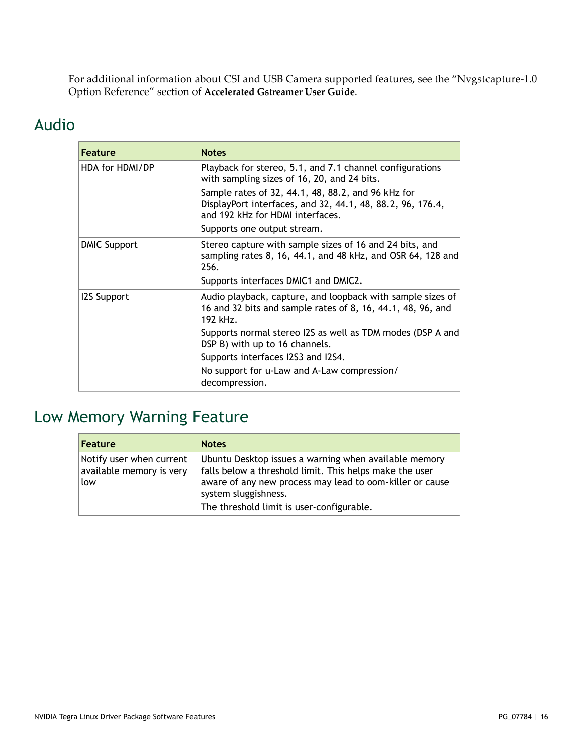For additional information about CSI and USB Camera supported features, see the "Nvgstcapture-1.0 Option Reference" section of **[Accelerated Gstreamer User Guide](https://developer.nvidia.com/search/site/%2522accelerated%2520gstreamer%2520user%2520guide%2522)**.

#### <span id="page-15-0"></span>Audio

| <b>Feature</b>      | <b>Notes</b>                                                                                                                                         |
|---------------------|------------------------------------------------------------------------------------------------------------------------------------------------------|
| HDA for HDMI/DP     | Playback for stereo, 5.1, and 7.1 channel configurations<br>with sampling sizes of 16, 20, and 24 bits.                                              |
|                     | Sample rates of 32, 44.1, 48, 88.2, and 96 kHz for<br>DisplayPort interfaces, and 32, 44.1, 48, 88.2, 96, 176.4,<br>and 192 kHz for HDMI interfaces. |
|                     | Supports one output stream.                                                                                                                          |
| <b>DMIC Support</b> | Stereo capture with sample sizes of 16 and 24 bits, and<br>sampling rates 8, 16, 44.1, and 48 kHz, and OSR 64, 128 and<br>256.                       |
|                     | Supports interfaces DMIC1 and DMIC2.                                                                                                                 |
| <b>I2S Support</b>  | Audio playback, capture, and loopback with sample sizes of<br>16 and 32 bits and sample rates of 8, 16, 44.1, 48, 96, and<br>192 kHz.                |
|                     | Supports normal stereo I2S as well as TDM modes (DSP A and<br>DSP B) with up to 16 channels.                                                         |
|                     | Supports interfaces I2S3 and I2S4.                                                                                                                   |
|                     | No support for u-Law and A-Law compression/<br>decompression.                                                                                        |

## <span id="page-15-1"></span>Low Memory Warning Feature

| <b>Feature</b>                                              | <b>Notes</b>                                                                                                                                                                                                                                      |
|-------------------------------------------------------------|---------------------------------------------------------------------------------------------------------------------------------------------------------------------------------------------------------------------------------------------------|
| Notify user when current<br>available memory is very<br>low | Ubuntu Desktop issues a warning when available memory<br>falls below a threshold limit. This helps make the user<br>aware of any new process may lead to oom-killer or cause<br>system sluggishness.<br>The threshold limit is user-configurable. |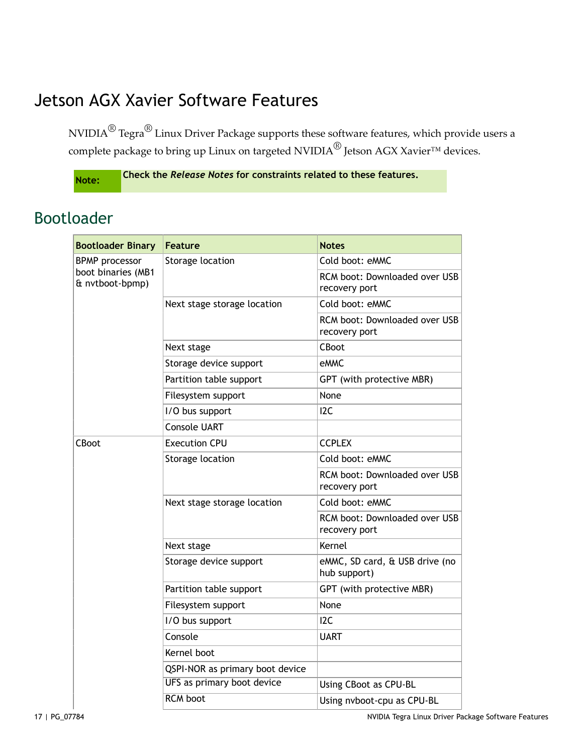# <span id="page-16-0"></span>Jetson AGX Xavier Software Features

NVIDIA $^\circledR$  Tegra $^\circledR$  Linux Driver Package supports these software features, which provide users a complete package to bring up Linux on targeted NVIDIA<sup>®</sup> Jetson AGX Xavier<sup>™</sup> devices.

**Note: Check the** *Release Notes* **for constraints related to these features.**

#### <span id="page-16-1"></span>Bootloader

| <b>Bootloader Binary</b>                                       | <b>Feature</b>                  | <b>Notes</b>                                   |
|----------------------------------------------------------------|---------------------------------|------------------------------------------------|
| <b>BPMP</b> processor<br>boot binaries (MB1<br>& nvtboot-bpmp) | Storage location                | Cold boot: eMMC                                |
|                                                                |                                 | RCM boot: Downloaded over USB<br>recovery port |
|                                                                | Next stage storage location     | Cold boot: eMMC                                |
|                                                                |                                 | RCM boot: Downloaded over USB<br>recovery port |
|                                                                | Next stage                      | CBoot                                          |
|                                                                | Storage device support          | eMMC                                           |
|                                                                | Partition table support         | GPT (with protective MBR)                      |
|                                                                | Filesystem support              | None                                           |
|                                                                | I/O bus support                 | I <sub>2C</sub>                                |
|                                                                | <b>Console UART</b>             |                                                |
| CBoot                                                          | <b>Execution CPU</b>            | <b>CCPLEX</b>                                  |
|                                                                | Storage location                | Cold boot: eMMC                                |
|                                                                |                                 | RCM boot: Downloaded over USB<br>recovery port |
|                                                                | Next stage storage location     | Cold boot: eMMC                                |
|                                                                |                                 | RCM boot: Downloaded over USB<br>recovery port |
|                                                                | Next stage                      | Kernel                                         |
|                                                                | Storage device support          | eMMC, SD card, & USB drive (no<br>hub support) |
|                                                                | Partition table support         | GPT (with protective MBR)                      |
|                                                                | Filesystem support              | None                                           |
|                                                                | I/O bus support                 | I <sub>2</sub> C                               |
|                                                                | Console                         | UART                                           |
|                                                                | Kernel boot                     |                                                |
|                                                                | QSPI-NOR as primary boot device |                                                |
|                                                                | UFS as primary boot device      | Using CBoot as CPU-BL                          |
|                                                                | <b>RCM</b> boot                 | Using nvboot-cpu as CPU-BL                     |

17 | PG\_07784 NVIDIA Tegra Linux Driver Package Software Features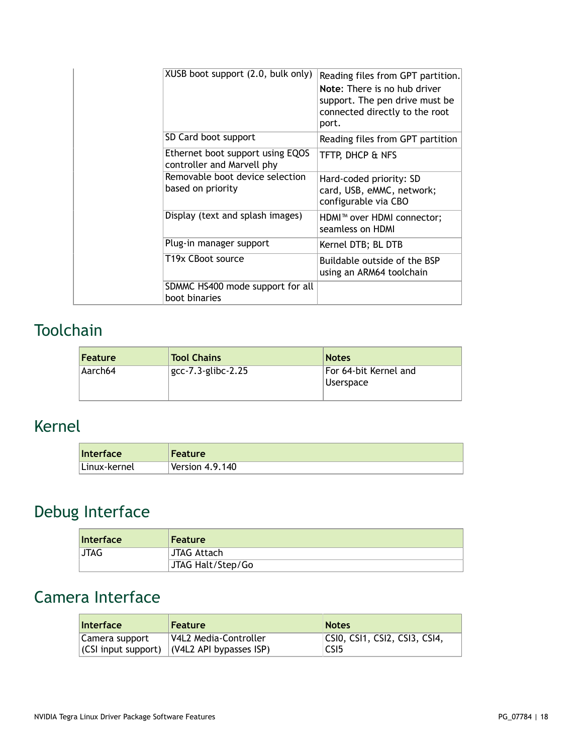|  | XUSB boot support (2.0, bulk only)                             | Reading files from GPT partition.<br>Note: There is no hub driver<br>support. The pen drive must be<br>connected directly to the root<br>port. |
|--|----------------------------------------------------------------|------------------------------------------------------------------------------------------------------------------------------------------------|
|  | SD Card boot support                                           | Reading files from GPT partition                                                                                                               |
|  | Ethernet boot support using EQOS<br>controller and Marvell phy | TFTP, DHCP & NFS                                                                                                                               |
|  | Removable boot device selection<br>based on priority           | Hard-coded priority: SD<br>card, USB, eMMC, network;<br>configurable via CBO                                                                   |
|  | Display (text and splash images)                               | HDMI <sup>™</sup> over HDMI connector;<br>seamless on HDMI                                                                                     |
|  | Plug-in manager support                                        | Kernel DTB; BL DTB                                                                                                                             |
|  | T19x CBoot source                                              | Buildable outside of the BSP<br>using an ARM64 toolchain                                                                                       |
|  | SDMMC HS400 mode support for all<br>boot binaries              |                                                                                                                                                |

# <span id="page-17-0"></span>Toolchain

| <b>Feature</b> | <b>Tool Chains</b>    | <b>Notes</b>                       |
|----------------|-----------------------|------------------------------------|
| Aarch64        | $gcc-7.3$ -glibc-2.25 | For 64-bit Kernel and<br>Userspace |

# <span id="page-17-1"></span>Kernel

| Interface    | <b>Feature</b>         |
|--------------|------------------------|
| Linux-kernel | $\sf{Version}$ 4.9.140 |

# <span id="page-17-2"></span>Debug Interface

| <b>Interface</b> | <b>Feature</b>    |
|------------------|-------------------|
| JTAG.            | JTAG Attach       |
|                  | JTAG Halt/Step/Go |

# <span id="page-17-3"></span>Camera Interface

| <b>Interface</b> | <b>Feature</b>                                      | <b>Notes</b>                      |
|------------------|-----------------------------------------------------|-----------------------------------|
| Camera support   | V4L2 Media-Controller                               | $ CS$ IO, CSI1, CSI2, CSI3, CSI4, |
|                  | $ $ (CSI input support) $ $ (V4L2 API bypasses ISP) | CSI5                              |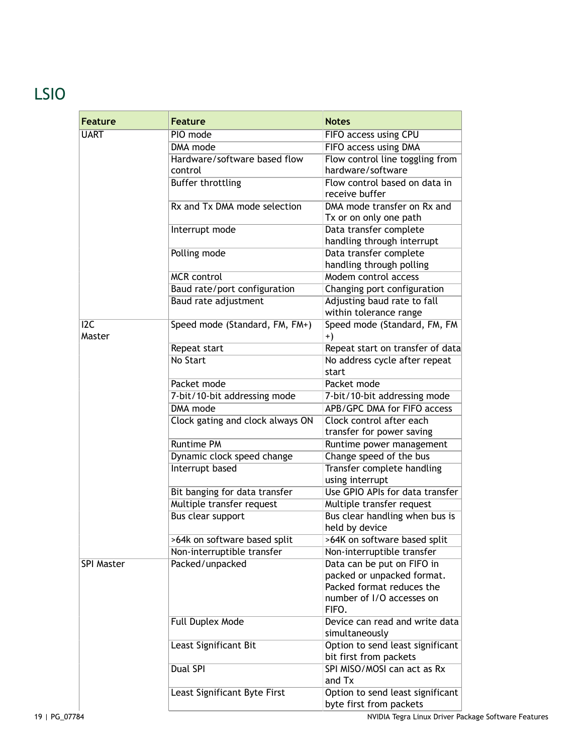# <span id="page-18-0"></span>LSIO

| <b>Feature</b>    | <b>Feature</b>                   | <b>Notes</b>                                                |
|-------------------|----------------------------------|-------------------------------------------------------------|
| <b>UART</b>       | PIO mode                         | FIFO access using CPU                                       |
|                   | DMA mode                         | FIFO access using DMA                                       |
|                   | Hardware/software based flow     | Flow control line toggling from                             |
|                   | control                          | hardware/software                                           |
|                   | Buffer throttling                | Flow control based on data in                               |
|                   |                                  | receive buffer                                              |
|                   | Rx and Tx DMA mode selection     | DMA mode transfer on Rx and                                 |
|                   |                                  | Tx or on only one path                                      |
|                   | Interrupt mode                   | Data transfer complete                                      |
|                   |                                  | handling through interrupt                                  |
|                   | Polling mode                     | Data transfer complete                                      |
|                   |                                  | handling through polling                                    |
|                   | <b>MCR</b> control               | Modem control access                                        |
|                   | Baud rate/port configuration     | Changing port configuration                                 |
|                   | Baud rate adjustment             | Adjusting baud rate to fall                                 |
|                   |                                  | within tolerance range                                      |
| 12C<br>Master     | Speed mode (Standard, FM, FM+)   | Speed mode (Standard, FM, FM<br>$+)$                        |
|                   | Repeat start                     | Repeat start on transfer of data                            |
|                   | No Start                         | No address cycle after repeat                               |
|                   |                                  | start                                                       |
|                   | Packet mode                      | Packet mode                                                 |
|                   | 7-bit/10-bit addressing mode     | 7-bit/10-bit addressing mode                                |
|                   | <b>DMA</b> mode                  | APB/GPC DMA for FIFO access                                 |
|                   | Clock gating and clock always ON | Clock control after each                                    |
|                   |                                  | transfer for power saving                                   |
|                   | <b>Runtime PM</b>                | Runtime power management                                    |
|                   | Dynamic clock speed change       | Change speed of the bus                                     |
|                   | Interrupt based                  | Transfer complete handling<br>using interrupt               |
|                   | Bit banging for data transfer    | Use GPIO APIs for data transfer                             |
|                   | Multiple transfer request        | Multiple transfer request                                   |
|                   | <b>Bus clear support</b>         | Bus clear handling when bus is<br>held by device            |
|                   | >64k on software based split     | >64K on software based split                                |
|                   | Non-interruptible transfer       | Non-interruptible transfer                                  |
| <b>SPI Master</b> | Packed/unpacked                  | Data can be put on FIFO in                                  |
|                   |                                  | packed or unpacked format.                                  |
|                   |                                  | Packed format reduces the                                   |
|                   |                                  | number of I/O accesses on<br>FIFO.                          |
|                   | Full Duplex Mode                 | Device can read and write data                              |
|                   |                                  | simultaneously                                              |
|                   | Least Significant Bit            | Option to send least significant                            |
|                   |                                  | bit first from packets                                      |
|                   | <b>Dual SPI</b>                  | SPI MISO/MOSI can act as Rx<br>and Tx                       |
|                   | Least Significant Byte First     | Option to send least significant<br>byte first from packets |
|                   |                                  |                                                             |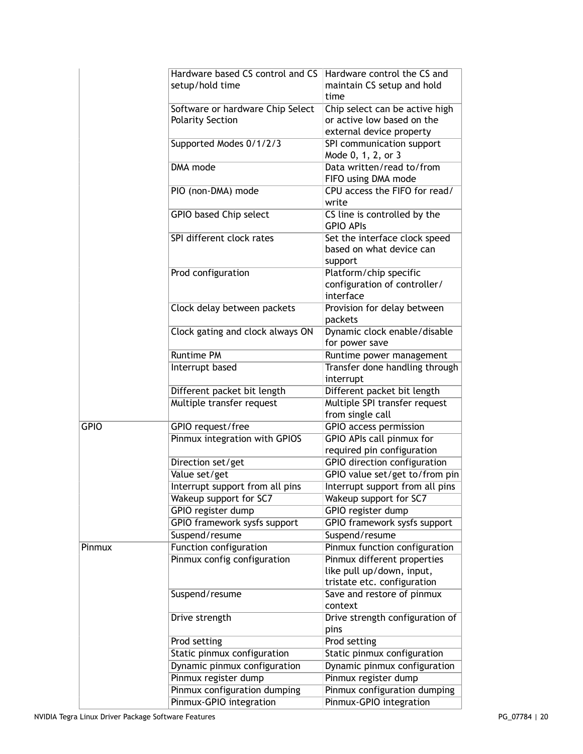|             | Hardware based CS control and CS    | Hardware control the CS and     |
|-------------|-------------------------------------|---------------------------------|
|             | setup/hold time                     | maintain CS setup and hold      |
|             |                                     | time                            |
|             | Software or hardware Chip Select    | Chip select can be active high  |
|             | <b>Polarity Section</b>             | or active low based on the      |
|             |                                     | external device property        |
|             |                                     |                                 |
|             | Supported Modes 0/1/2/3             | SPI communication support       |
|             |                                     | Mode 0, 1, 2, or 3              |
|             | <b>DMA</b> mode                     | Data written/read to/from       |
|             |                                     | FIFO using DMA mode             |
|             | PIO (non-DMA) mode                  | CPU access the FIFO for read/   |
|             |                                     | write                           |
|             |                                     |                                 |
|             | GPIO based Chip select              | CS line is controlled by the    |
|             |                                     | <b>GPIO APIS</b>                |
|             | SPI different clock rates           | Set the interface clock speed   |
|             |                                     | based on what device can        |
|             |                                     | support                         |
|             | Prod configuration                  | Platform/chip specific          |
|             |                                     | configuration of controller/    |
|             |                                     | interface                       |
|             |                                     |                                 |
|             | Clock delay between packets         | Provision for delay between     |
|             |                                     | packets                         |
|             | Clock gating and clock always ON    | Dynamic clock enable/disable    |
|             |                                     | for power save                  |
|             | <b>Runtime PM</b>                   | Runtime power management        |
|             | Interrupt based                     | Transfer done handling through  |
|             |                                     | interrupt                       |
|             |                                     |                                 |
|             | Different packet bit length         | Different packet bit length     |
|             | Multiple transfer request           | Multiple SPI transfer request   |
|             |                                     | from single call                |
| <b>GPIO</b> | GPIO request/free                   | <b>GPIO</b> access permission   |
|             | Pinmux integration with GPIOS       | GPIO APIs call pinmux for       |
|             |                                     | required pin configuration      |
|             | Direction set/get                   | GPIO direction configuration    |
|             |                                     |                                 |
|             | Value set/get                       | GPIO value set/get to/from pin  |
|             | Interrupt support from all pins     | Interrupt support from all pins |
|             | Wakeup support for SC7              | Wakeup support for SC7          |
|             | <b>GPIO</b> register dump           | GPIO register dump              |
|             | <b>GPIO framework sysfs support</b> | GPIO framework sysfs support    |
|             | Suspend/resume                      | Suspend/resume                  |
|             |                                     |                                 |
| Pinmux      | Function configuration              | Pinmux function configuration   |
|             | Pinmux config configuration         | Pinmux different properties     |
|             |                                     | like pull up/down, input,       |
|             |                                     | tristate etc. configuration     |
|             | Suspend/resume                      | Save and restore of pinmux      |
|             |                                     | context                         |
|             | Drive strength                      | Drive strength configuration of |
|             |                                     | pins                            |
|             |                                     |                                 |
|             | Prod setting                        | Prod setting                    |
|             | Static pinmux configuration         | Static pinmux configuration     |
|             | Dynamic pinmux configuration        | Dynamic pinmux configuration    |
|             | Pinmux register dump                | Pinmux register dump            |
|             | Pinmux configuration dumping        | Pinmux configuration dumping    |
|             |                                     |                                 |
|             | Pinmux-GPIO integration             | Pinmux-GPIO integration         |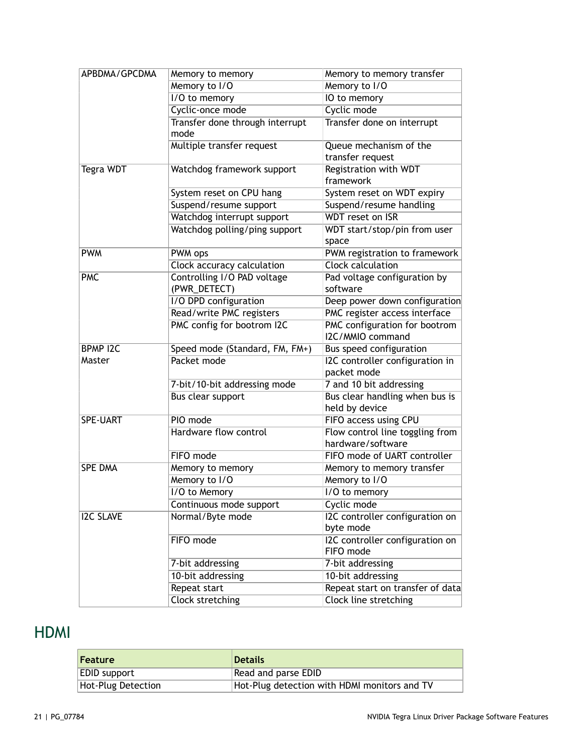| APBDMA/GPCDMA    | Memory to memory                            | Memory to memory transfer                            |
|------------------|---------------------------------------------|------------------------------------------------------|
|                  | Memory to I/O                               | Memory to I/O                                        |
|                  | I/O to memory                               | IO to memory                                         |
|                  | Cyclic-once mode                            | Cyclic mode                                          |
|                  | Transfer done through interrupt<br>mode     | Transfer done on interrupt                           |
|                  | Multiple transfer request                   | Queue mechanism of the<br>transfer request           |
| Tegra WDT        | Watchdog framework support                  | <b>Registration with WDT</b><br>framework            |
|                  | System reset on CPU hang                    | System reset on WDT expiry                           |
|                  | Suspend/resume support                      | Suspend/resume handling                              |
|                  | Watchdog interrupt support                  | <b>WDT</b> reset on ISR                              |
|                  | Watchdog polling/ping support               | WDT start/stop/pin from user<br>space                |
| <b>PWM</b>       | PWM ops                                     | PWM registration to framework                        |
|                  | Clock accuracy calculation                  | <b>Clock calculation</b>                             |
| <b>PMC</b>       | Controlling I/O PAD voltage<br>(PWR_DETECT) | Pad voltage configuration by<br>software             |
|                  | I/O DPD configuration                       | Deep power down configuration                        |
|                  | Read/write PMC registers                    | PMC register access interface                        |
|                  | PMC config for bootrom I2C                  | PMC configuration for bootrom<br>I2C/MMIO command    |
| <b>BPMP I2C</b>  | Speed mode (Standard, FM, FM+)              | Bus speed configuration                              |
| Master           | Packet mode                                 | I2C controller configuration in<br>packet mode       |
|                  | 7-bit/10-bit addressing mode                | 7 and 10 bit addressing                              |
|                  | <b>Bus clear support</b>                    | Bus clear handling when bus is<br>held by device     |
| <b>SPE-UART</b>  | PIO mode                                    | FIFO access using CPU                                |
|                  | Hardware flow control                       | Flow control line toggling from<br>hardware/software |
|                  | FIFO mode                                   | FIFO mode of UART controller                         |
| <b>SPE DMA</b>   | Memory to memory                            | Memory to memory transfer                            |
|                  | Memory to I/O                               | Memory to I/O                                        |
|                  | I/O to Memory                               | I/O to memory                                        |
|                  | Continuous mode support                     | Cyclic mode                                          |
| <b>I2C SLAVE</b> | Normal/Byte mode                            | I2C controller configuration on<br>byte mode         |
|                  | FIFO mode                                   | I2C controller configuration on<br>FIFO mode         |
|                  | 7-bit addressing                            | 7-bit addressing                                     |
|                  | 10-bit addressing                           | 10-bit addressing                                    |
|                  | Repeat start                                | Repeat start on transfer of data                     |
|                  | <b>Clock stretching</b>                     | <b>Clock line stretching</b>                         |

## <span id="page-20-0"></span>HDMI

| <b>Feature</b>            | <b>Details</b>                               |
|---------------------------|----------------------------------------------|
| EDID support              | Read and parse EDID                          |
| <b>Hot-Plug Detection</b> | Hot-Plug detection with HDMI monitors and TV |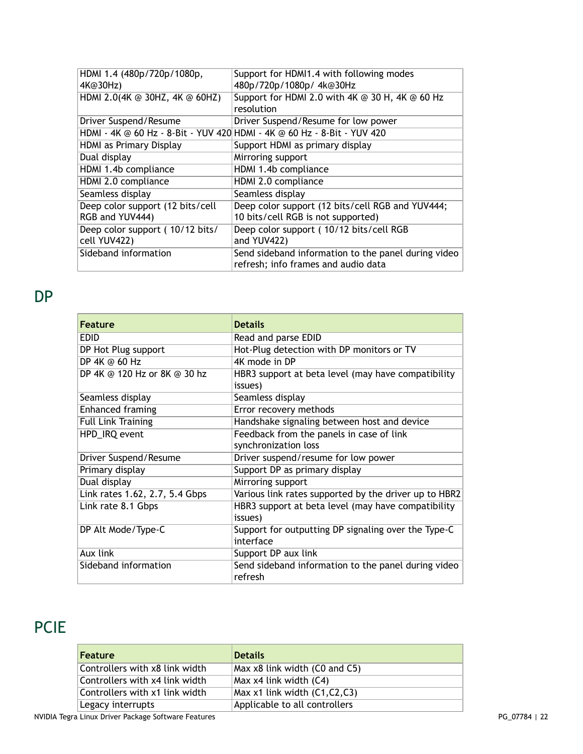| HDMI 1.4 (480p/720p/1080p,       | Support for HDMI1.4 with following modes                                |
|----------------------------------|-------------------------------------------------------------------------|
| 4K@30Hz)                         | 480p/720p/1080p/4k@30Hz                                                 |
| HDMI 2.0(4K @ 30HZ, 4K @ 60HZ)   | Support for HDMI 2.0 with 4K @ 30 H, 4K @ 60 Hz                         |
|                                  | resolution                                                              |
| Driver Suspend/Resume            | Driver Suspend/Resume for low power                                     |
|                                  | HDMI - 4K @ 60 Hz - 8-Bit - YUV 420 HDMI - 4K @ 60 Hz - 8-Bit - YUV 420 |
| HDMI as Primary Display          | Support HDMI as primary display                                         |
| Dual display                     | Mirroring support                                                       |
| HDMI 1.4b compliance             | HDMI 1.4b compliance                                                    |
| HDMI 2.0 compliance              | HDMI 2.0 compliance                                                     |
| Seamless display                 | Seamless display                                                        |
| Deep color support (12 bits/cell | Deep color support (12 bits/cell RGB and YUV444;                        |
| RGB and YUV444)                  | 10 bits/cell RGB is not supported)                                      |
| Deep color support (10/12 bits/  | Deep color support (10/12 bits/cell RGB                                 |
| cell YUV422)                     | and YUV422)                                                             |
| Sideband information             | Send sideband information to the panel during video                     |
|                                  | refresh; info frames and audio data                                     |

<span id="page-21-0"></span>DP

| <b>Feature</b>                 | <b>Details</b>                                                   |
|--------------------------------|------------------------------------------------------------------|
| <b>EDID</b>                    | Read and parse EDID                                              |
| DP Hot Plug support            | Hot-Plug detection with DP monitors or TV                        |
| DP 4K @ 60 Hz                  | 4K mode in DP                                                    |
| DP 4K @ 120 Hz or 8K @ 30 hz   | HBR3 support at beta level (may have compatibility<br>issues)    |
| Seamless display               | Seamless display                                                 |
| Enhanced framing               | Error recovery methods                                           |
| <b>Full Link Training</b>      | Handshake signaling between host and device                      |
| HPD_IRQ event                  | Feedback from the panels in case of link                         |
|                                | synchronization loss                                             |
| Driver Suspend/Resume          | Driver suspend/resume for low power                              |
| Primary display                | Support DP as primary display                                    |
| Dual display                   | Mirroring support                                                |
| Link rates 1.62, 2.7, 5.4 Gbps | Various link rates supported by the driver up to HBR2            |
| Link rate 8.1 Gbps             | HBR3 support at beta level (may have compatibility<br>issues)    |
| DP Alt Mode/Type-C             | Support for outputting DP signaling over the Type-C<br>interface |
| Aux link                       | Support DP aux link                                              |
| Sideband information           | Send sideband information to the panel during video<br>refresh   |

# <span id="page-21-1"></span>PCIE

| <b>Feature</b>                 | <b>Details</b>                     |
|--------------------------------|------------------------------------|
| Controllers with x8 link width | Max x8 link width (C0 and C5)      |
| Controllers with x4 link width | Max x4 link width (C4)             |
| Controllers with x1 link width | Max $x1$ link width $(C1, C2, C3)$ |
| Legacy interrupts              | Applicable to all controllers      |

NVIDIA Tegra Linux Driver Package Software Features **PG\_07784** | 22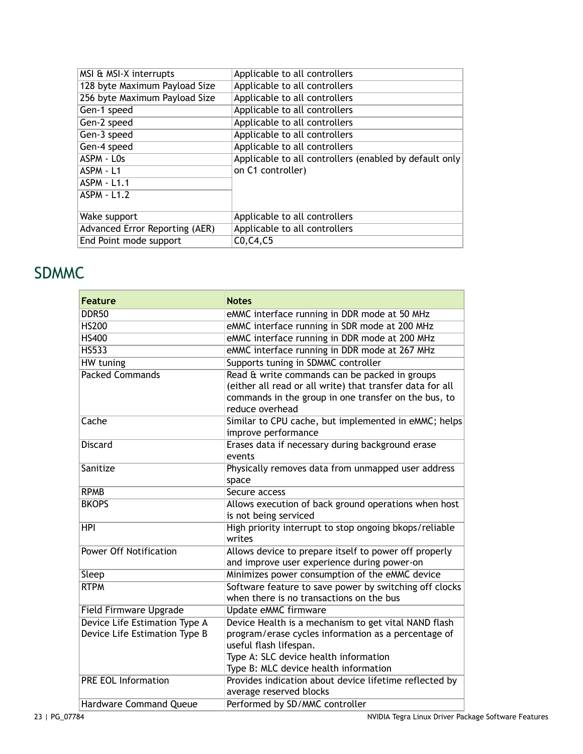| MSI & MSI-X interrupts         | Applicable to all controllers                          |
|--------------------------------|--------------------------------------------------------|
| 128 byte Maximum Payload Size  | Applicable to all controllers                          |
| 256 byte Maximum Payload Size  | Applicable to all controllers                          |
| Gen-1 speed                    | Applicable to all controllers                          |
| Gen-2 speed                    | Applicable to all controllers                          |
| Gen-3 speed                    | Applicable to all controllers                          |
| Gen-4 speed                    | Applicable to all controllers                          |
| ASPM - LOs                     | Applicable to all controllers (enabled by default only |
| ASPM - L1                      | on C1 controller)                                      |
| <b>ASPM - L1.1</b>             |                                                        |
| <b>ASPM - L1.2</b>             |                                                        |
|                                |                                                        |
| Wake support                   | Applicable to all controllers                          |
| Advanced Error Reporting (AER) | Applicable to all controllers                          |
| End Point mode support         | CO, C4, C5                                             |
|                                |                                                        |

#### <span id="page-22-0"></span>SDMMC

| <b>Feature</b>                                                 | <b>Notes</b>                                                                                       |
|----------------------------------------------------------------|----------------------------------------------------------------------------------------------------|
| <b>DDR50</b>                                                   | eMMC interface running in DDR mode at 50 MHz                                                       |
| <b>HS200</b>                                                   | eMMC interface running in SDR mode at 200 MHz                                                      |
| <b>HS400</b>                                                   | eMMC interface running in DDR mode at 200 MHz                                                      |
| <b>HS533</b>                                                   | eMMC interface running in DDR mode at 267 MHz                                                      |
| <b>HW</b> tuning                                               | Supports tuning in SDMMC controller                                                                |
| <b>Packed Commands</b>                                         | Read & write commands can be packed in groups                                                      |
|                                                                | (either all read or all write) that transfer data for all                                          |
|                                                                | commands in the group in one transfer on the bus, to                                               |
|                                                                | reduce overhead                                                                                    |
| Cache                                                          | Similar to CPU cache, but implemented in eMMC; helps                                               |
|                                                                | improve performance                                                                                |
| <b>Discard</b>                                                 | Erases data if necessary during background erase                                                   |
|                                                                | events                                                                                             |
| Sanitize                                                       | Physically removes data from unmapped user address                                                 |
|                                                                | space                                                                                              |
| <b>RPMB</b>                                                    | Secure access                                                                                      |
| <b>BKOPS</b>                                                   | Allows execution of back ground operations when host                                               |
|                                                                | is not being serviced                                                                              |
| <b>HPI</b>                                                     | High priority interrupt to stop ongoing bkops/reliable                                             |
| <b>Power Off Notification</b>                                  | writes                                                                                             |
|                                                                | Allows device to prepare itself to power off properly                                              |
|                                                                | and improve user experience during power-on                                                        |
| Sleep<br><b>RTPM</b>                                           | Minimizes power consumption of the eMMC device                                                     |
|                                                                | Software feature to save power by switching off clocks<br>when there is no transactions on the bus |
|                                                                |                                                                                                    |
| Field Firmware Upgrade                                         | Update eMMC firmware                                                                               |
| Device Life Estimation Type A<br>Device Life Estimation Type B | Device Health is a mechanism to get vital NAND flash                                               |
|                                                                | program/erase cycles information as a percentage of<br>useful flash lifespan.                      |
|                                                                | Type A: SLC device health information                                                              |
|                                                                | Type B: MLC device health information                                                              |
| <b>PRE EOL Information</b>                                     | Provides indication about device lifetime reflected by                                             |
|                                                                | average reserved blocks                                                                            |
| Hardware Command Queue                                         | Performed by SD/MMC controller                                                                     |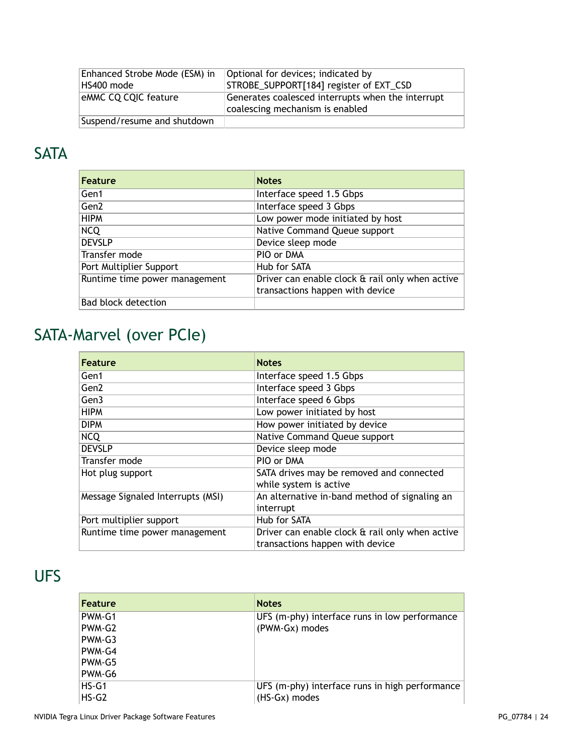| Enhanced Strobe Mode (ESM) in | Optional for devices; indicated by                |
|-------------------------------|---------------------------------------------------|
| HS400 mode                    | STROBE_SUPPORT[184] register of EXT_CSD           |
| eMMC CQ CQIC feature          | Generates coalesced interrupts when the interrupt |
|                               | coalescing mechanism is enabled                   |
| Suspend/resume and shutdown   |                                                   |

# <span id="page-23-0"></span>**SATA**

| Feature                       | <b>Notes</b>                                    |
|-------------------------------|-------------------------------------------------|
| Gen1                          | Interface speed 1.5 Gbps                        |
| Gen <sub>2</sub>              | Interface speed 3 Gbps                          |
| <b>HIPM</b>                   | Low power mode initiated by host                |
| <b>NCQ</b>                    | Native Command Queue support                    |
| <b>DEVSLP</b>                 | Device sleep mode                               |
| Transfer mode                 | PIO or DMA                                      |
| Port Multiplier Support       | Hub for SATA                                    |
| Runtime time power management | Driver can enable clock & rail only when active |
|                               | transactions happen with device                 |
| Bad block detection           |                                                 |

# <span id="page-23-1"></span>SATA-Marvel (over PCIe)

| Feature                           | <b>Notes</b>                                                                       |
|-----------------------------------|------------------------------------------------------------------------------------|
| Gen1                              | Interface speed 1.5 Gbps                                                           |
| Gen <sub>2</sub>                  | Interface speed 3 Gbps                                                             |
| Gen3                              | Interface speed 6 Gbps                                                             |
| <b>HIPM</b>                       | Low power initiated by host                                                        |
| <b>DIPM</b>                       | How power initiated by device                                                      |
| <b>NCQ</b>                        | Native Command Queue support                                                       |
| <b>DEVSLP</b>                     | Device sleep mode                                                                  |
| Transfer mode                     | PIO or DMA                                                                         |
| Hot plug support                  | SATA drives may be removed and connected<br>while system is active                 |
| Message Signaled Interrupts (MSI) | An alternative in-band method of signaling an                                      |
|                                   | interrupt                                                                          |
| Port multiplier support           | Hub for SATA                                                                       |
| Runtime time power management     | Driver can enable clock & rail only when active<br>transactions happen with device |

## <span id="page-23-2"></span>UFS

| <b>Feature</b> | <b>Notes</b>                                   |
|----------------|------------------------------------------------|
| PWM-G1         | UFS (m-phy) interface runs in low performance  |
| PWM-G2         | (PWM-Gx) modes                                 |
| PWM-G3         |                                                |
| PWM-G4         |                                                |
| PWM-G5         |                                                |
| PWM-G6         |                                                |
| HS-G1          | UFS (m-phy) interface runs in high performance |
| $HS-G2$        | (HS-Gx) modes                                  |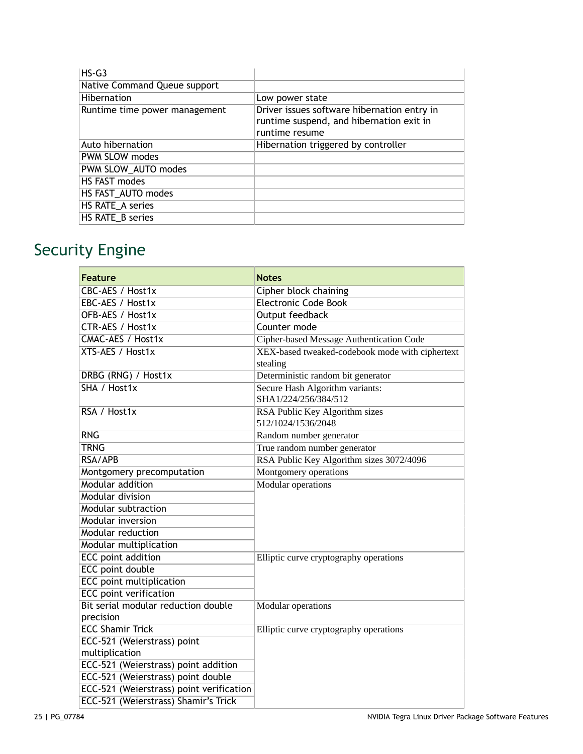| $HS-G3$                       |                                                                                                           |
|-------------------------------|-----------------------------------------------------------------------------------------------------------|
| Native Command Queue support  |                                                                                                           |
| Hibernation                   | Low power state                                                                                           |
| Runtime time power management | Driver issues software hibernation entry in<br>runtime suspend, and hibernation exit in<br>runtime resume |
| Auto hibernation              | Hibernation triggered by controller                                                                       |
| PWM SLOW modes                |                                                                                                           |
| PWM SLOW_AUTO modes           |                                                                                                           |
| HS FAST modes                 |                                                                                                           |
| HS FAST_AUTO modes            |                                                                                                           |
| HS RATE_A series              |                                                                                                           |
| HS RATE_B series              |                                                                                                           |

# <span id="page-24-0"></span>Security Engine

| Feature                                  | <b>Notes</b>                                                |
|------------------------------------------|-------------------------------------------------------------|
| CBC-AES / Host1x                         | Cipher block chaining                                       |
| EBC-AES / Host1x                         | <b>Electronic Code Book</b>                                 |
| OFB-AES / Host1x                         | <b>Output feedback</b>                                      |
| <b>CTR-AES / Host1x</b>                  | Counter mode                                                |
| CMAC-AES / Host1x                        | Cipher-based Message Authentication Code                    |
| XTS-AES / Host1x                         | XEX-based tweaked-codebook mode with ciphertext<br>stealing |
| DRBG (RNG) / Host1x                      | Deterministic random bit generator                          |
| SHA / Host1x                             | Secure Hash Algorithm variants:<br>SHA1/224/256/384/512     |
| RSA / Host1x                             | RSA Public Key Algorithm sizes<br>512/1024/1536/2048        |
| <b>RNG</b>                               | Random number generator                                     |
| <b>TRNG</b>                              | True random number generator                                |
| RSA/APB                                  | RSA Public Key Algorithm sizes 3072/4096                    |
| Montgomery precomputation                | Montgomery operations                                       |
| Modular addition                         | <b>Modular</b> operations                                   |
| Modular division                         |                                                             |
| Modular subtraction                      |                                                             |
| Modular inversion                        |                                                             |
| Modular reduction                        |                                                             |
| Modular multiplication                   |                                                             |
| <b>ECC</b> point addition                | Elliptic curve cryptography operations                      |
| <b>ECC point double</b>                  |                                                             |
| <b>ECC</b> point multiplication          |                                                             |
| <b>ECC</b> point verification            |                                                             |
| Bit serial modular reduction double      | Modular operations                                          |
| precision                                |                                                             |
| <b>ECC Shamir Trick</b>                  | Elliptic curve cryptography operations                      |
| ECC-521 (Weierstrass) point              |                                                             |
| multiplication                           |                                                             |
| ECC-521 (Weierstrass) point addition     |                                                             |
| ECC-521 (Weierstrass) point double       |                                                             |
| ECC-521 (Weierstrass) point verification |                                                             |
| ECC-521 (Weierstrass) Shamir's Trick     |                                                             |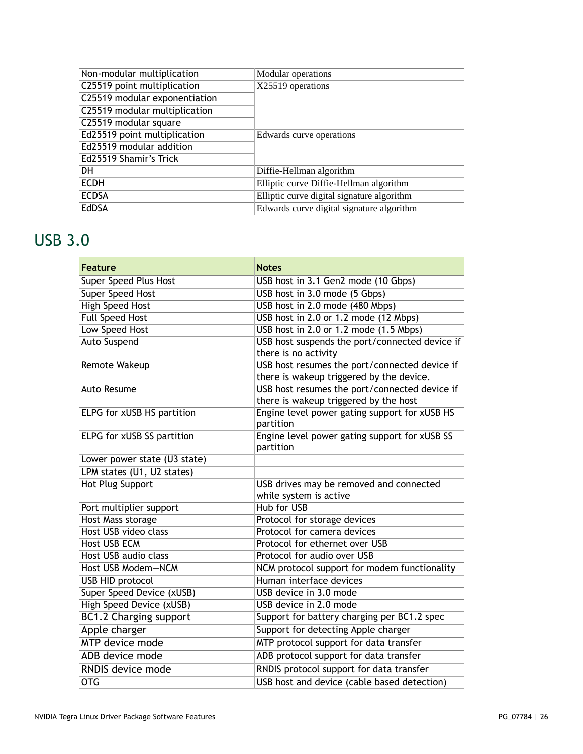| Non-modular multiplication    | Modular operations                         |
|-------------------------------|--------------------------------------------|
| C25519 point multiplication   | X25519 operations                          |
| C25519 modular exponentiation |                                            |
| C25519 modular multiplication |                                            |
| C25519 modular square         |                                            |
| Ed25519 point multiplication  | Edwards curve operations                   |
| Ed25519 modular addition      |                                            |
| Ed25519 Shamir's Trick        |                                            |
| <b>DH</b>                     | Diffie-Hellman algorithm                   |
| <b>ECDH</b>                   | Elliptic curve Diffie-Hellman algorithm    |
| <b>ECDSA</b>                  | Elliptic curve digital signature algorithm |
| EdDSA                         | Edwards curve digital signature algorithm  |

# <span id="page-25-0"></span>USB 3.0

| Feature                      | <b>Notes</b>                                                                              |  |
|------------------------------|-------------------------------------------------------------------------------------------|--|
| Super Speed Plus Host        | USB host in 3.1 Gen2 mode (10 Gbps)                                                       |  |
| <b>Super Speed Host</b>      | USB host in 3.0 mode (5 Gbps)                                                             |  |
| <b>High Speed Host</b>       | USB host in 2.0 mode (480 Mbps)                                                           |  |
| <b>Full Speed Host</b>       | USB host in 2.0 or 1.2 mode (12 Mbps)                                                     |  |
| <b>Low Speed Host</b>        | USB host in 2.0 or 1.2 mode (1.5 Mbps)                                                    |  |
| <b>Auto Suspend</b>          | USB host suspends the port/connected device if<br>there is no activity                    |  |
| Remote Wakeup                | USB host resumes the port/connected device if<br>there is wakeup triggered by the device. |  |
| <b>Auto Resume</b>           | USB host resumes the port/connected device if<br>there is wakeup triggered by the host    |  |
| ELPG for xUSB HS partition   | Engine level power gating support for xUSB HS<br>partition                                |  |
| ELPG for xUSB SS partition   | Engine level power gating support for xUSB SS<br>partition                                |  |
| Lower power state (U3 state) |                                                                                           |  |
| LPM states (U1, U2 states)   |                                                                                           |  |
| <b>Hot Plug Support</b>      | USB drives may be removed and connected<br>while system is active                         |  |
| Port multiplier support      | <b>Hub for USB</b>                                                                        |  |
| <b>Host Mass storage</b>     | Protocol for storage devices                                                              |  |
| Host USB video class         | Protocol for camera devices                                                               |  |
| <b>Host USB ECM</b>          | Protocol for ethernet over USB                                                            |  |
| Host USB audio class         | Protocol for audio over USB                                                               |  |
| Host USB Modem-NCM           | NCM protocol support for modem functionality                                              |  |
| <b>USB HID protocol</b>      | Human interface devices                                                                   |  |
| Super Speed Device (xUSB)    | USB device in 3.0 mode                                                                    |  |
| High Speed Device (xUSB)     | USB device in 2.0 mode                                                                    |  |
| BC1.2 Charging support       | Support for battery charging per BC1.2 spec                                               |  |
| Apple charger                | Support for detecting Apple charger                                                       |  |
| <b>MTP</b> device mode       | MTP protocol support for data transfer                                                    |  |
| ADB device mode              | ADB protocol support for data transfer                                                    |  |
| RNDIS device mode            | RNDIS protocol support for data transfer                                                  |  |
| $\overline{\text{OTG}}$      | USB host and device (cable based detection)                                               |  |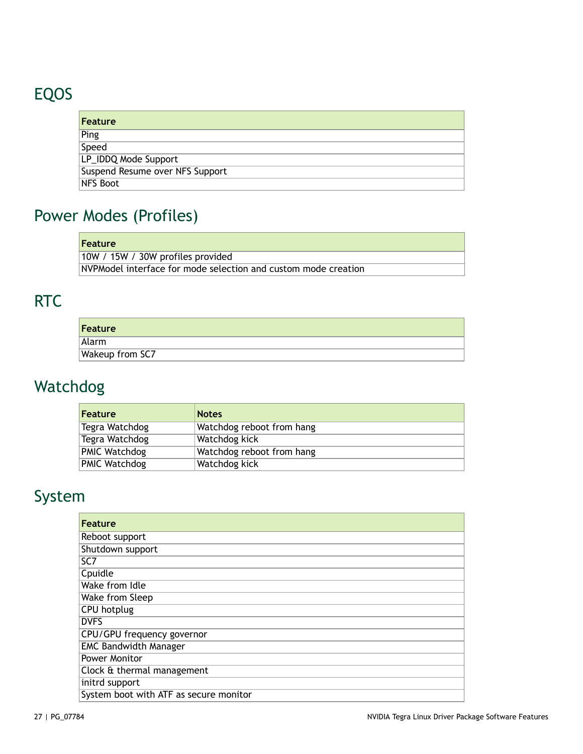# <span id="page-26-0"></span>EQOS

| <b>Feature</b>                  |
|---------------------------------|
| Ping                            |
| Speed                           |
| LP_IDDQ Mode Support            |
| Suspend Resume over NFS Support |
| NFS Boot                        |

# <span id="page-26-1"></span>Power Modes (Profiles)

| Feature                                                        |
|----------------------------------------------------------------|
| 10W / 15W / 30W profiles provided                              |
| NVPModel interface for mode selection and custom mode creation |

# <span id="page-26-2"></span>RTC

| Feature                |  |
|------------------------|--|
| Alarm                  |  |
| <b>Wakeup from SC7</b> |  |

# <span id="page-26-3"></span>Watchdog

| <b>Feature</b> | <b>Notes</b>              |
|----------------|---------------------------|
| Tegra Watchdog | Watchdog reboot from hang |
| Tegra Watchdog | Watchdog kick             |
| PMIC Watchdog  | Watchdog reboot from hang |
| PMIC Watchdog  | Watchdog kick             |

# <span id="page-26-4"></span>System

| Feature                                |
|----------------------------------------|
| Reboot support                         |
| Shutdown support                       |
| SC7                                    |
| Cpuidle                                |
| Wake from Idle                         |
| Wake from Sleep                        |
| <b>CPU</b> hotplug                     |
| <b>DVFS</b>                            |
| CPU/GPU frequency governor             |
| <b>EMC Bandwidth Manager</b>           |
| Power Monitor                          |
| Clock & thermal management             |
| initrd support                         |
| System boot with ATF as secure monitor |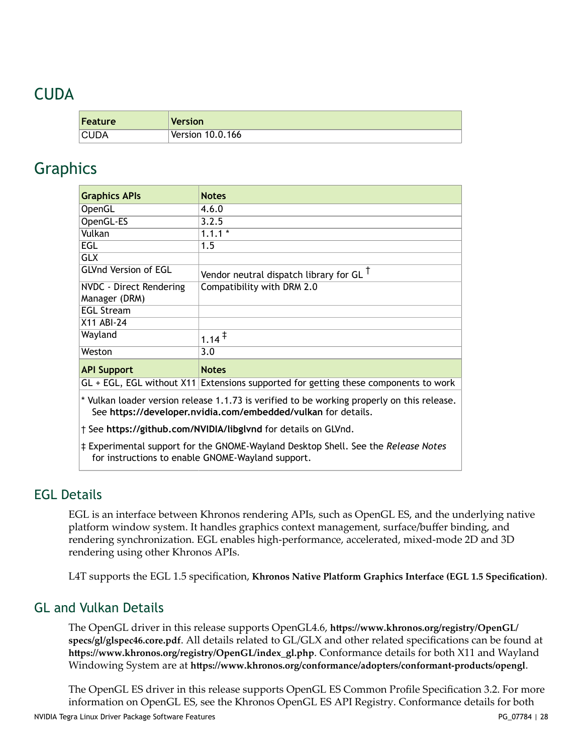#### <span id="page-27-0"></span>CUDA

| <b>Feature</b> | <b>Version</b>     |
|----------------|--------------------|
| <b>CUDA</b>    | Version $10.0.166$ |

#### <span id="page-27-1"></span>Graphics

| <b>Graphics APIs</b>                                                                                                                                        | <b>Notes</b>                                      |  |  |
|-------------------------------------------------------------------------------------------------------------------------------------------------------------|---------------------------------------------------|--|--|
| OpenGL                                                                                                                                                      | 4.6.0                                             |  |  |
| OpenGL-ES                                                                                                                                                   | 3.2.5                                             |  |  |
| Vulkan                                                                                                                                                      | $1.1.1*$                                          |  |  |
| EGL                                                                                                                                                         | 1.5                                               |  |  |
| <b>GLX</b>                                                                                                                                                  |                                                   |  |  |
| <b>GLVnd Version of EGL</b>                                                                                                                                 | Vendor neutral dispatch library for GL $^\dagger$ |  |  |
| NVDC - Direct Rendering<br>Manager (DRM)                                                                                                                    | Compatibility with DRM 2.0                        |  |  |
| <b>EGL Stream</b>                                                                                                                                           |                                                   |  |  |
| X11 ABI-24                                                                                                                                                  |                                                   |  |  |
| Wayland                                                                                                                                                     | $1.14^{\ddagger}$                                 |  |  |
| Weston                                                                                                                                                      | 3.0                                               |  |  |
| <b>API Support</b>                                                                                                                                          | <b>Notes</b>                                      |  |  |
| $GL + EGL$ , EGL without X11 Extensions supported for getting these components to work                                                                      |                                                   |  |  |
| * Vulkan loader version release 1.1.73 is verified to be working properly on this release.<br>See https://developer.nvidia.com/embedded/vulkan for details. |                                                   |  |  |
| † See https://github.com/NVIDIA/libglvnd for details on GLVnd.                                                                                              |                                                   |  |  |
| ‡ Experimental support for the GNOME-Wayland Desktop Shell. See the Release Notes<br>for instructions to enable GNOME-Wayland support.                      |                                                   |  |  |

#### <span id="page-27-2"></span>EGL Details

EGL is an interface between Khronos rendering APIs, such as OpenGL ES, and the underlying native platform window system. It handles graphics context management, surface/buffer binding, and rendering synchronization. EGL enables high-performance, accelerated, mixed-mode 2D and 3D rendering using other Khronos APIs.

L4T supports the EGL 1.5 specification, **Khronos Native Platform Graphics Interface (EGL 1.5 [Specification\)](https://www.khronos.org/registry/EGL/specs/eglspec.1.5.withchanges.pdf)**.

#### <span id="page-27-3"></span>GL and Vulkan Details

The OpenGL driver in this release supports OpenGL4.6, https://www.khronos.org/registry/OpenGL/ **[specs/gl/glspec46.core.pdf](https://www.khronos.org/registry/OpenGL/specs/gl/glspec46.core.pdf)**. All details related to GL/GLX and other related specifications can be found at https://www.khronos.org/registry/OpenGL/index\_gl.php. Conformance details for both X11 and Wayland Windowing System are at https://www.khronos.org/conformance/adopters/conformant-products/opengl.

The OpenGL ES driver in this release supports OpenGL ES Common Profile Specification 3.2. For more information on OpenGL ES, see the Khronos OpenGL ES API Registry. Conformance details for both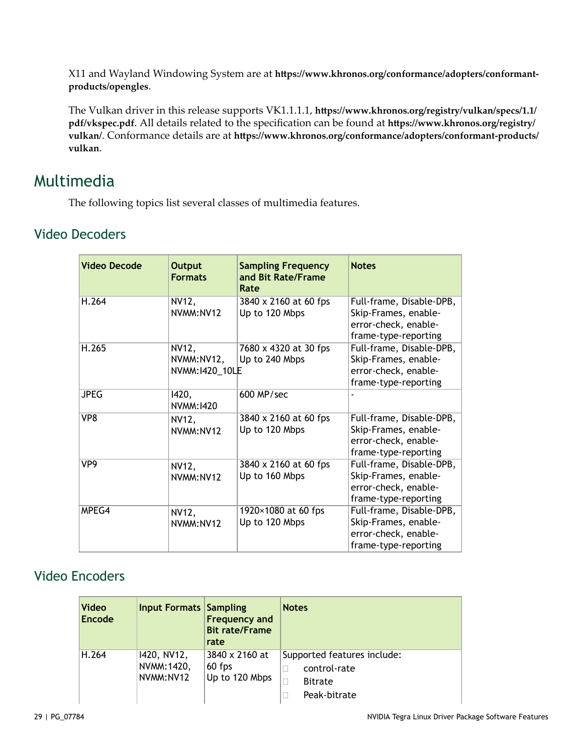X11 and Wayland Windowing System are at https://www.khronos.org/conformance/adopters/conformant**[products/opengles](https://www.khronos.org/conformance/adopters/conformant-products/opengles)**.

The Vulkan driver in this release supports VK1.1.1.1, https://www.khronos.org/registry/vulkan/specs/1.1/ [pdf/vkspec.pdf](https://www.khronos.org/registry/vulkan/specs/1.1/pdf/vkspec.pdf). All details related to the specification can be found at https://www.khronos.org/registry/ [vulkan/](https://www.khronos.org/registry/vulkan/). Conformance details are at https://www.khronos.org/conformance/adopters/conformant-products/ **[vulkan](https://www.khronos.org/conformance/adopters/conformant-products/vulkan)**.

#### <span id="page-28-0"></span>Multimedia

The following topics list several classes of multimedia features.

#### <span id="page-28-1"></span>Video Decoders

| <b>Video Decode</b> | <b>Output</b><br><b>Formats</b>        | <b>Sampling Frequency</b><br>and Bit Rate/Frame<br>Rate | <b>Notes</b>                                                                                     |
|---------------------|----------------------------------------|---------------------------------------------------------|--------------------------------------------------------------------------------------------------|
| H.264               | NV12,<br>NVMM:NV12                     | 3840 x 2160 at 60 fps<br>Up to 120 Mbps                 | Full-frame, Disable-DPB,<br>Skip-Frames, enable-<br>error-check, enable-<br>frame-type-reporting |
| H.265               | NV12,<br>NVMM:NV12,<br>NVMM: 1420_10LE | 7680 x 4320 at 30 fps<br>Up to 240 Mbps                 | Full-frame, Disable-DPB,<br>Skip-Frames, enable-<br>error-check, enable-<br>frame-type-reporting |
| <b>JPEG</b>         | 1420,<br>NVMM: 1420                    | 600 MP/sec                                              |                                                                                                  |
| VP8                 | NV12,<br>NVMM:NV12                     | 3840 x 2160 at 60 fps<br>Up to 120 Mbps                 | Full-frame, Disable-DPB,<br>Skip-Frames, enable-<br>error-check, enable-<br>frame-type-reporting |
| VP9                 | NV12,<br>NVMM:NV12                     | 3840 x 2160 at 60 fps<br>Up to 160 Mbps                 | Full-frame, Disable-DPB,<br>Skip-Frames, enable-<br>error-check, enable-<br>frame-type-reporting |
| MPEG4               | NV12,<br>NVMM:NV12                     | 1920×1080 at 60 fps<br>Up to 120 Mbps                   | Full-frame, Disable-DPB,<br>Skip-Frames, enable-<br>error-check, enable-<br>frame-type-reporting |

#### <span id="page-28-2"></span>Video Encoders

| <b>Video</b><br>Encode | <b>Input Formats Sampling</b>           | <b>Frequency and</b><br><b>Bit rate/Frame</b><br>rate | <b>Notes</b>                                                                       |
|------------------------|-----------------------------------------|-------------------------------------------------------|------------------------------------------------------------------------------------|
| H.264                  | 1420, NV12,<br>NVMM: 1420,<br>NVMM:NV12 | 3840 x 2160 at<br>$60$ fps<br>Up to 120 Mbps          | Supported features include:<br>control-rate<br><b>Bitrate</b><br>П<br>Peak-bitrate |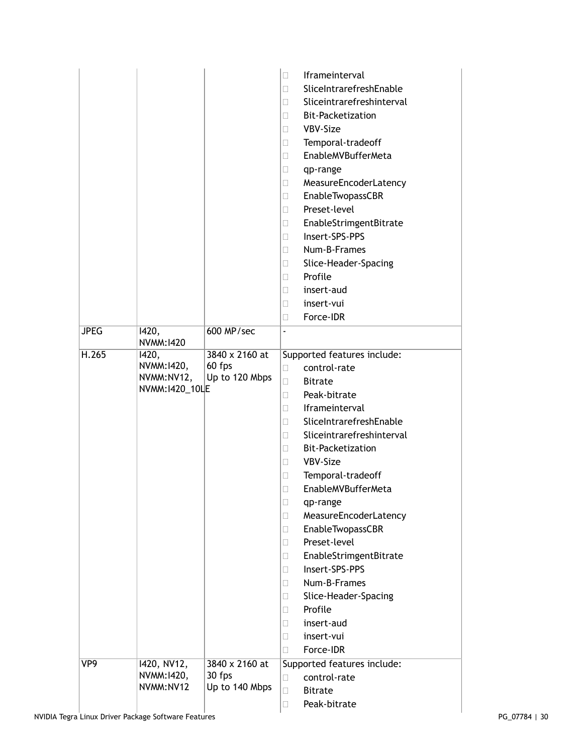| <b>JPEG</b> | 1420,                                                | 600 MP/sec                                 | Iframeinterval<br>П<br>SliceIntrarefreshEnable<br>П<br>Sliceintrarefreshinterval<br>П<br>Bit-Packetization<br>□<br>VBV-Size<br>Ш<br>Temporal-tradeoff<br>□<br>EnableMVBufferMeta<br>□<br>qp-range<br>Ш<br>MeasureEncoderLatency<br>O.<br>EnableTwopassCBR<br>$\Box$<br>Preset-level<br>Ш<br>EnableStrimgentBitrate<br>□<br>Insert-SPS-PPS<br>□<br>Num-B-Frames<br>□<br>Slice-Header-Spacing<br>Ш<br>Profile<br>□<br>insert-aud<br>□<br>insert-vui<br>Ш<br>Force-IDR<br>□<br>÷,                                                                                                                                    |
|-------------|------------------------------------------------------|--------------------------------------------|-------------------------------------------------------------------------------------------------------------------------------------------------------------------------------------------------------------------------------------------------------------------------------------------------------------------------------------------------------------------------------------------------------------------------------------------------------------------------------------------------------------------------------------------------------------------------------------------------------------------|
|             | NVMM: 1420                                           |                                            |                                                                                                                                                                                                                                                                                                                                                                                                                                                                                                                                                                                                                   |
| H.265       | 1420,<br>NVMM:1420,<br>NVMM:NV12,<br>NVMM: 1420_10LE | 3840 x 2160 at<br>60 fps<br>Up to 120 Mbps | Supported features include:<br>control-rate<br>$\Box$<br><b>Bitrate</b><br>$\Box$<br>Peak-bitrate<br>П<br><b>Iframeinterval</b><br>$\Box$<br>SliceIntrarefreshEnable<br>□<br>Sliceintrarefreshinterval<br>u<br><b>Bit-Packetization</b><br>$\Box$<br>VBV-Size<br>□<br>Temporal-tradeoff<br>□<br>EnableMVBufferMeta<br>Ш<br>□<br>qp-range<br>MeasureEncoderLatency<br>□<br><b>EnableTwopassCBR</b><br>Ш<br>Preset-level<br>П<br>EnableStrimgentBitrate<br>$\Box$<br>Insert-SPS-PPS<br>Ш<br>Num-B-Frames<br>П<br>Slice-Header-Spacing<br>□<br>Profile<br>O.<br>insert-aud<br>Ш<br>insert-vui<br>П<br>Force-IDR<br>П |
| VP9         | 1420, NV12,<br>NVMM:1420,<br>NVMM:NV12               | 3840 x 2160 at<br>30 fps<br>Up to 140 Mbps | Supported features include:<br>control-rate<br>Ш<br><b>Bitrate</b><br>$\Box$<br>Peak-bitrate<br>$\Box$                                                                                                                                                                                                                                                                                                                                                                                                                                                                                                            |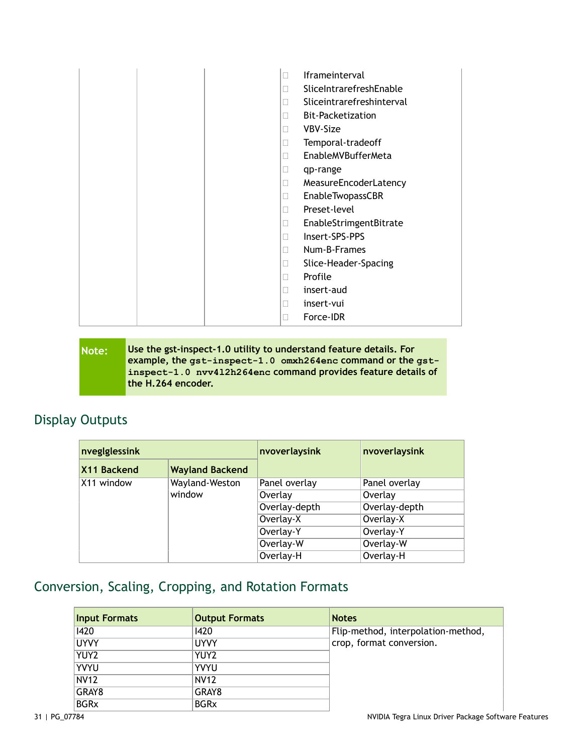|  | П                        | <b>Iframeinterval</b>     |
|--|--------------------------|---------------------------|
|  | П                        | SliceIntrarefreshEnable   |
|  | $\mathbf{L}$             | Sliceintrarefreshinterval |
|  | П                        | Bit-Packetization         |
|  | П                        | VBV-Size                  |
|  | $\mathbf{L}$             | Temporal-tradeoff         |
|  | П                        | EnableMVBufferMeta        |
|  | Ш                        | qp-range                  |
|  | П                        | MeasureEncoderLatency     |
|  | $\mathbf{L}$             | <b>EnableTwopassCBR</b>   |
|  | П                        | Preset-level              |
|  | П                        | EnableStrimgentBitrate    |
|  | П                        | Insert-SPS-PPS            |
|  | П                        | Num-B-Frames              |
|  | П                        | Slice-Header-Spacing      |
|  | П                        | Profile                   |
|  | $\overline{\phantom{a}}$ | insert-aud                |
|  | П                        | insert-vui                |
|  |                          | Force-IDR                 |

| Note: | Use the gst-inspect-1.0 utility to understand feature details. For |
|-------|--------------------------------------------------------------------|
|       | example, the gst-inspect-1.0 omxh264enc command or the gst-        |
|       | inspect-1.0 nvv412h264enc command provides feature details of      |
|       | the H.264 encoder.                                                 |
|       |                                                                    |

#### <span id="page-30-0"></span>Display Outputs

| nveglglessink |                        | nvoverlaysink | nvoverlaysink |
|---------------|------------------------|---------------|---------------|
| X11 Backend   | <b>Wayland Backend</b> |               |               |
| X11 window    | Wayland-Weston         | Panel overlay | Panel overlay |
|               | window                 | Overlay       | Overlay       |
|               |                        | Overlay-depth | Overlay-depth |
|               |                        | Overlay-X     | Overlay-X     |
|               |                        | Overlay-Y     | Overlay-Y     |
|               |                        | Overlay-W     | Overlay-W     |
|               |                        | Overlay-H     | Overlay-H     |

#### <span id="page-30-1"></span>Conversion, Scaling, Cropping, and Rotation Formats

| <b>Input Formats</b> | <b>Output Formats</b> | <b>Notes</b>                       |
|----------------------|-----------------------|------------------------------------|
| 1420                 | 1420                  | Flip-method, interpolation-method, |
| <b>UYVY</b>          | <b>UYVY</b>           | crop, format conversion.           |
| YUY2                 | YUY2                  |                                    |
| YVYU                 | <b>YVYU</b>           |                                    |
| <b>NV12</b>          | <b>NV12</b>           |                                    |
| GRAY8                | GRAY8                 |                                    |
| <b>BGRx</b>          | <b>BGRx</b>           |                                    |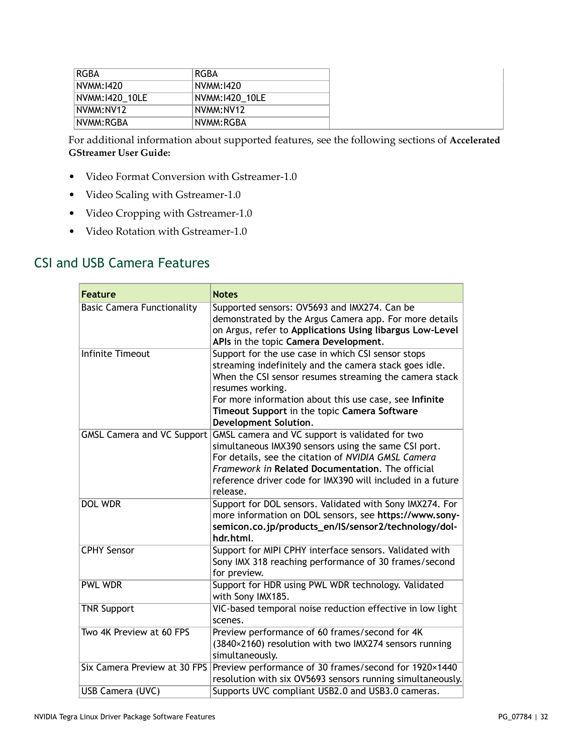| RGBA           | RGBA           |  |
|----------------|----------------|--|
| NVMM:1420      | NVMM:1420      |  |
| NVMM:1420_10LE | NVMM:1420 10LE |  |
| NVMM:NV12      | NVMM:NV12      |  |
| NVMM:RGBA      | NVMM:RGBA      |  |

For additional information about supported features, see the following sections of **[Accelerated](https://developer.nvidia.com/search/site/%2522accelerated%2520gstreamer%2520user%2520guide%2522) [GStreamer User Guide:](https://developer.nvidia.com/search/site/%2522accelerated%2520gstreamer%2520user%2520guide%2522)**

- Video Format Conversion with Gstreamer-1.0
- Video Scaling with Gstreamer-1.0
- Video Cropping with Gstreamer-1.0
- Video Rotation with Gstreamer-1.0

#### <span id="page-31-0"></span>CSI and USB Camera Features

| <b>Feature</b>                    | <b>Notes</b>                                                                                                                                                                                                                                                                                                                         |
|-----------------------------------|--------------------------------------------------------------------------------------------------------------------------------------------------------------------------------------------------------------------------------------------------------------------------------------------------------------------------------------|
| <b>Basic Camera Functionality</b> | Supported sensors: OV5693 and IMX274. Can be<br>demonstrated by the Argus Camera app. For more details<br>on Argus, refer to Applications Using libargus Low-Level<br>APIs in the topic Camera Development.                                                                                                                          |
| <b>Infinite Timeout</b>           | Support for the use case in which CSI sensor stops<br>streaming indefinitely and the camera stack goes idle.<br>When the CSI sensor resumes streaming the camera stack<br>resumes working.<br>For more information about this use case, see Infinite<br>Timeout Support in the topic Camera Software<br><b>Development Solution.</b> |
| <b>GMSL Camera and VC Support</b> | GMSL camera and VC support is validated for two<br>simultaneous IMX390 sensors using the same CSI port.<br>For details, see the citation of NVIDIA GMSL Camera<br>Framework in Related Documentation. The official<br>reference driver code for IMX390 will included in a future<br>release.                                         |
| <b>DOL WDR</b>                    | Support for DOL sensors. Validated with Sony IMX274. For<br>more information on DOL sensors, see https://www.sony-<br>semicon.co.jp/products_en/IS/sensor2/technology/dol-<br>hdr.html.                                                                                                                                              |
| <b>CPHY Sensor</b>                | Support for MIPI CPHY interface sensors. Validated with<br>Sony IMX 318 reaching performance of 30 frames/second<br>for preview.                                                                                                                                                                                                     |
| <b>PWL WDR</b>                    | Support for HDR using PWL WDR technology. Validated<br>with Sony IMX185.                                                                                                                                                                                                                                                             |
| <b>TNR Support</b>                | VIC-based temporal noise reduction effective in low light<br>scenes.                                                                                                                                                                                                                                                                 |
| Two 4K Preview at 60 FPS          | Preview performance of 60 frames/second for 4K<br>(3840×2160) resolution with two IMX274 sensors running<br>simultaneously.                                                                                                                                                                                                          |
| Six Camera Preview at 30 FPS      | Preview performance of 30 frames/second for 1920×1440<br>resolution with six OV5693 sensors running simultaneously.                                                                                                                                                                                                                  |
| USB Camera (UVC)                  | Supports UVC compliant USB2.0 and USB3.0 cameras.                                                                                                                                                                                                                                                                                    |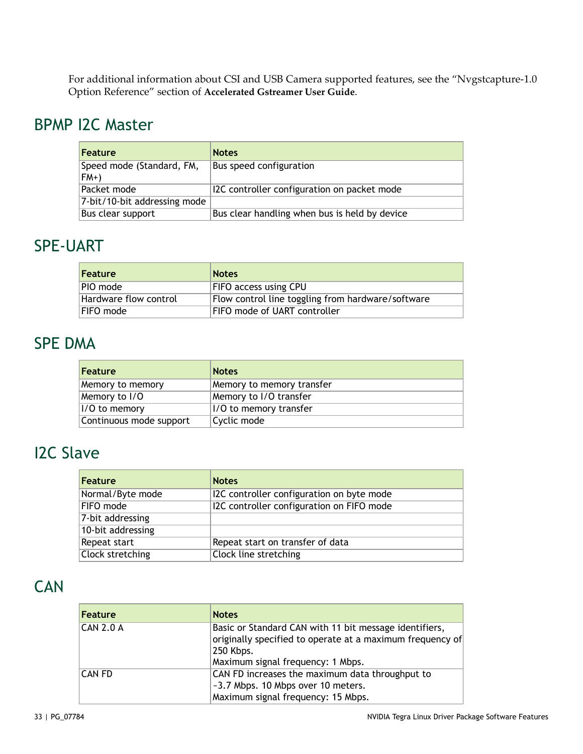For additional information about CSI and USB Camera supported features, see the "Nvgstcapture-1.0 Option Reference" section of **[Accelerated Gstreamer User Guide](https://developer.nvidia.com/search/site/%2522accelerated%2520gstreamer%2520user%2520guide%2522)**.

#### <span id="page-32-0"></span>BPMP I2C Master

| <b>Feature</b>                     | <b>Notes</b>                                  |
|------------------------------------|-----------------------------------------------|
| Speed mode (Standard, FM,<br>$FM+$ | Bus speed configuration                       |
| Packet mode                        | I2C controller configuration on packet mode   |
| 7-bit/10-bit addressing mode       |                                               |
| Bus clear support                  | Bus clear handling when bus is held by device |

#### <span id="page-32-1"></span>SPE-UART

| Feature               | <b>Notes</b>                                      |
|-----------------------|---------------------------------------------------|
| PIO mode              | FIFO access using CPU                             |
| Hardware flow control | Flow control line toggling from hardware/software |
| FIFO mode             | <b>FIFO mode of UART controller</b>               |

#### <span id="page-32-2"></span>SPE DMA

| Feature                 | <b>Notes</b>              |
|-------------------------|---------------------------|
| Memory to memory        | Memory to memory transfer |
| Memory to I/O           | Memory to I/O transfer    |
| I/O to memory           | 1/0 to memory transfer    |
| Continuous mode support | Cyclic mode               |

# <span id="page-32-3"></span>I2C Slave

| <b>Feature</b>    | <b>Notes</b>                              |
|-------------------|-------------------------------------------|
| Normal/Byte mode  | I2C controller configuration on byte mode |
| FIFO mode         | I2C controller configuration on FIFO mode |
| 7-bit addressing  |                                           |
| 10-bit addressing |                                           |
| Repeat start      | Repeat start on transfer of data          |
| Clock stretching  | Clock line stretching                     |

#### <span id="page-32-4"></span>**CAN**

| <b>Feature</b>   | <b>Notes</b>                                                                                                                                                          |
|------------------|-----------------------------------------------------------------------------------------------------------------------------------------------------------------------|
| <b>CAN 2.0 A</b> | Basic or Standard CAN with 11 bit message identifiers,<br>originally specified to operate at a maximum frequency of<br>250 Kbps.<br>Maximum signal frequency: 1 Mbps. |
| <b>CAN FD</b>    | CAN FD increases the maximum data throughput to<br>~3.7 Mbps. 10 Mbps over 10 meters.<br>Maximum signal frequency: 15 Mbps.                                           |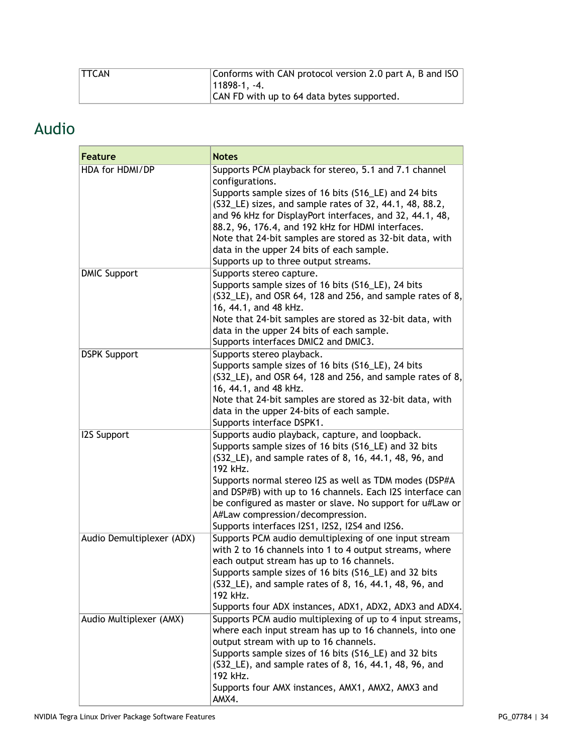| <b>TTCAN</b> | Conforms with CAN protocol version 2.0 part A, B and ISO |
|--------------|----------------------------------------------------------|
|              | $ 11898-1. -4.$                                          |
|              | CAN FD with up to 64 data bytes supported.               |

# <span id="page-33-0"></span>Audio

| <b>Feature</b>            | <b>Notes</b>                                                                                                     |
|---------------------------|------------------------------------------------------------------------------------------------------------------|
| HDA for HDMI/DP           | Supports PCM playback for stereo, 5.1 and 7.1 channel                                                            |
|                           | configurations.<br>Supports sample sizes of 16 bits (S16_LE) and 24 bits                                         |
|                           | (S32_LE) sizes, and sample rates of 32, 44.1, 48, 88.2,                                                          |
|                           | and 96 kHz for DisplayPort interfaces, and 32, 44.1, 48,                                                         |
|                           | 88.2, 96, 176.4, and 192 kHz for HDMI interfaces.                                                                |
|                           | Note that 24-bit samples are stored as 32-bit data, with                                                         |
|                           | data in the upper 24 bits of each sample.                                                                        |
|                           | Supports up to three output streams.                                                                             |
| <b>DMIC Support</b>       | Supports stereo capture.                                                                                         |
|                           | Supports sample sizes of 16 bits (S16_LE), 24 bits                                                               |
|                           | $(S32—LE)$ , and OSR 64, 128 and 256, and sample rates of 8,<br>16, 44.1, and 48 kHz.                            |
|                           | Note that 24-bit samples are stored as 32-bit data, with                                                         |
|                           | data in the upper 24 bits of each sample.                                                                        |
|                           | Supports interfaces DMIC2 and DMIC3.                                                                             |
| <b>DSPK Support</b>       | Supports stereo playback.                                                                                        |
|                           | Supports sample sizes of 16 bits (S16_LE), 24 bits                                                               |
|                           | (S32_LE), and OSR 64, 128 and 256, and sample rates of 8,                                                        |
|                           | 16, 44.1, and 48 kHz.                                                                                            |
|                           | Note that 24-bit samples are stored as 32-bit data, with                                                         |
|                           | data in the upper 24-bits of each sample.                                                                        |
| <b>I2S Support</b>        | Supports interface DSPK1.<br>Supports audio playback, capture, and loopback.                                     |
|                           | Supports sample sizes of 16 bits (S16_LE) and 32 bits                                                            |
|                           | (S32_LE), and sample rates of 8, 16, 44.1, 48, 96, and                                                           |
|                           | 192 kHz.                                                                                                         |
|                           | Supports normal stereo I2S as well as TDM modes (DSP#A                                                           |
|                           | and DSP#B) with up to 16 channels. Each I2S interface can                                                        |
|                           | be configured as master or slave. No support for u#Law or                                                        |
|                           | A#Law compression/decompression.                                                                                 |
|                           | Supports interfaces I2S1, I2S2, I2S4 and I2S6.                                                                   |
| Audio Demultiplexer (ADX) | Supports PCM audio demultiplexing of one input stream<br>with 2 to 16 channels into 1 to 4 output streams, where |
|                           | each output stream has up to 16 channels.                                                                        |
|                           | Supports sample sizes of 16 bits (S16_LE) and 32 bits                                                            |
|                           | (S32_LE), and sample rates of 8, 16, 44.1, 48, 96, and                                                           |
|                           | 192 kHz.                                                                                                         |
|                           | Supports four ADX instances, ADX1, ADX2, ADX3 and ADX4.                                                          |
| Audio Multiplexer (AMX)   | Supports PCM audio multiplexing of up to 4 input streams,                                                        |
|                           | where each input stream has up to 16 channels, into one                                                          |
|                           | output stream with up to 16 channels.                                                                            |
|                           | Supports sample sizes of 16 bits (S16_LE) and 32 bits<br>(S32_LE), and sample rates of 8, 16, 44.1, 48, 96, and  |
|                           | 192 kHz.                                                                                                         |
|                           | Supports four AMX instances, AMX1, AMX2, AMX3 and                                                                |
|                           | AMX4.                                                                                                            |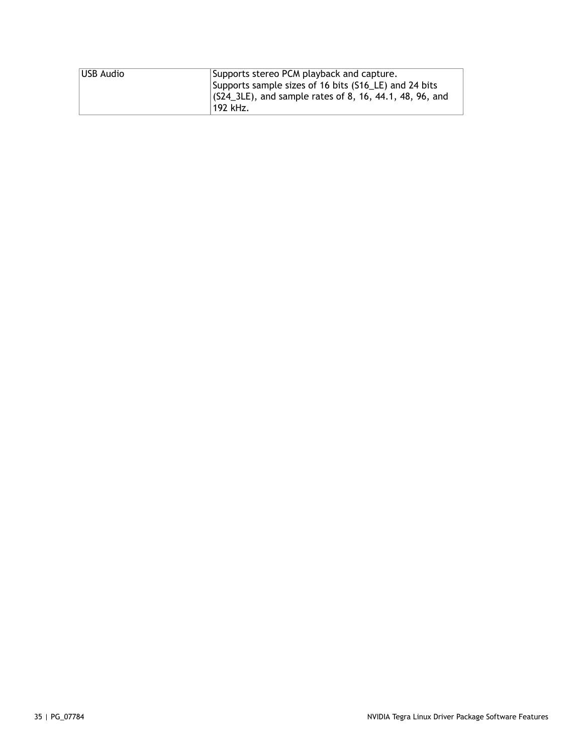| USB Audio | Supports stereo PCM playback and capture.                 |  |
|-----------|-----------------------------------------------------------|--|
|           | Supports sample sizes of 16 bits (S16_LE) and 24 bits     |  |
|           | $(G24$ 3LE), and sample rates of 8, 16, 44.1, 48, 96, and |  |
|           | 192 kHz.                                                  |  |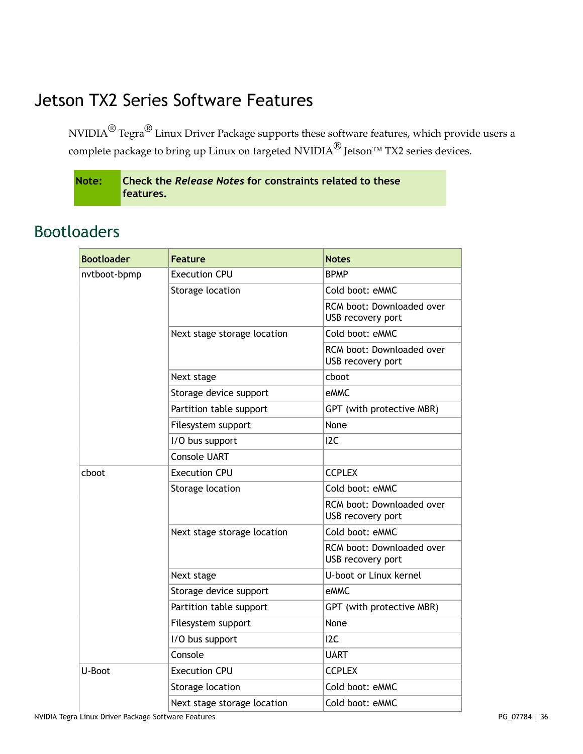# <span id="page-35-0"></span>Jetson TX2 Series Software Features

NVIDIA $^\circledR$  Tegra $^\circledR$  Linux Driver Package supports these software features, which provide users a complete package to bring up Linux on targeted NVIDIA<sup>®</sup> Jetson<sup>™</sup> TX2 series devices.

| Note: Check the Release Notes for constraints related to these |
|----------------------------------------------------------------|
| features.                                                      |

| <b>Bootloader</b> | <b>Feature</b>              | <b>Notes</b>                                   |
|-------------------|-----------------------------|------------------------------------------------|
| nvtboot-bpmp      | <b>Execution CPU</b>        | <b>BPMP</b>                                    |
|                   | Storage location            | Cold boot: eMMC                                |
|                   |                             | RCM boot: Downloaded over<br>USB recovery port |
|                   | Next stage storage location | Cold boot: eMMC                                |
|                   |                             | RCM boot: Downloaded over<br>USB recovery port |
|                   | Next stage                  | cboot                                          |
|                   | Storage device support      | eMMC                                           |
|                   | Partition table support     | GPT (with protective MBR)                      |
|                   | Filesystem support          | None                                           |
|                   | I/O bus support             | 12C                                            |
|                   | <b>Console UART</b>         |                                                |
| choot             | <b>Execution CPU</b>        | <b>CCPLEX</b>                                  |
|                   | Storage location            | Cold boot: eMMC                                |
|                   |                             | RCM boot: Downloaded over<br>USB recovery port |
|                   | Next stage storage location | Cold boot: eMMC                                |
|                   |                             | RCM boot: Downloaded over<br>USB recovery port |
|                   | Next stage                  | U-boot or Linux kernel                         |
|                   | Storage device support      | eMMC                                           |
|                   | Partition table support     | GPT (with protective MBR)                      |
|                   | Filesystem support          | None                                           |
|                   | I/O bus support             | 12C                                            |
|                   | Console                     | <b>UART</b>                                    |
| U-Boot            | <b>Execution CPU</b>        | <b>CCPLEX</b>                                  |
|                   | Storage location            | Cold boot: eMMC                                |
|                   | Next stage storage location | Cold boot: eMMC                                |

#### <span id="page-35-1"></span>Bootloaders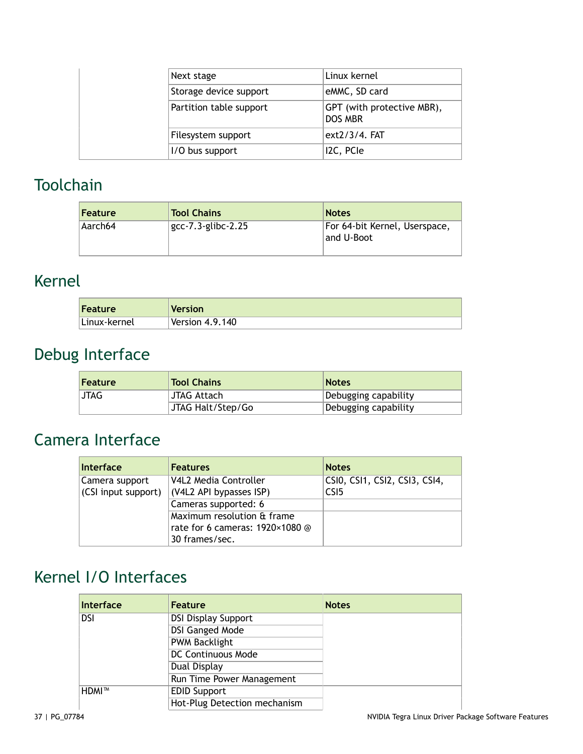|  | Next stage              | Linux kernel                                 |
|--|-------------------------|----------------------------------------------|
|  | Storage device support  | eMMC, SD card                                |
|  | Partition table support | GPT (with protective MBR),<br><b>DOS MBR</b> |
|  | Filesystem support      | ext2/3/4. FAT                                |
|  | I/O bus support         | I2C, PCIe                                    |

#### <span id="page-36-0"></span>**Toolchain**

| <b>Feature</b> | <b>Tool Chains</b> | <b>Notes</b>                                |
|----------------|--------------------|---------------------------------------------|
| Aarch64        | gcc-7.3-glibc-2.25 | For 64-bit Kernel, Userspace,<br>and U-Boot |

# <span id="page-36-1"></span>Kernel

| Feature      | <b>Version</b>  |
|--------------|-----------------|
| Linux-kernel | Version 4.9.140 |

# <span id="page-36-2"></span>Debug Interface

| <b>Feature</b> | <b>Tool Chains</b> | <b>Notes</b>         |
|----------------|--------------------|----------------------|
| <b>JTAG</b>    | JTAG Attach        | Debugging capability |
|                | JTAG Halt/Step/Go  | Debugging capability |

# <span id="page-36-3"></span>Camera Interface

| Interface           | <b>Features</b>                 | <b>Notes</b>                  |
|---------------------|---------------------------------|-------------------------------|
| Camera support      | V4L2 Media Controller           | CSI0, CSI1, CSI2, CSI3, CSI4, |
| (CSI input support) | (V4L2 API bypasses ISP)         | CS <sub>I5</sub>              |
|                     | Cameras supported: 6            |                               |
|                     | Maximum resolution & frame      |                               |
|                     | rate for 6 cameras: 1920×1080 @ |                               |
|                     | 30 frames/sec.                  |                               |

# <span id="page-36-4"></span>Kernel I/O Interfaces

| Interface  | <b>Feature</b>               | <b>Notes</b> |
|------------|------------------------------|--------------|
| <b>DSI</b> | <b>DSI Display Support</b>   |              |
|            | <b>DSI Ganged Mode</b>       |              |
|            | <b>PWM Backlight</b>         |              |
|            | <b>DC Continuous Mode</b>    |              |
|            | Dual Display                 |              |
|            | Run Time Power Management    |              |
| ∣HDMI™     | <b>EDID Support</b>          |              |
|            | Hot-Plug Detection mechanism |              |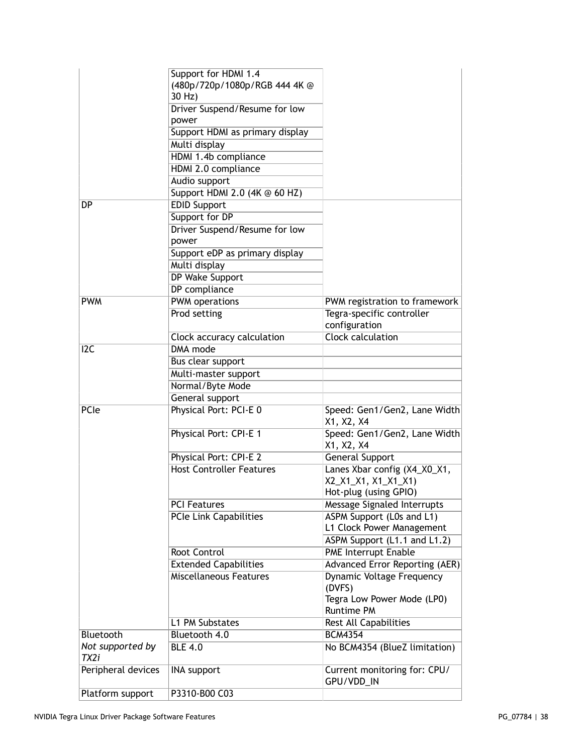|                          | Support for HDMI 1.4<br>(480p/720p/1080p/RGB 444 4K @<br>30 Hz) |                                                                              |
|--------------------------|-----------------------------------------------------------------|------------------------------------------------------------------------------|
|                          | Driver Suspend/Resume for low                                   |                                                                              |
|                          | power                                                           |                                                                              |
|                          | Support HDMI as primary display                                 |                                                                              |
|                          | Multi display                                                   |                                                                              |
|                          | HDMI 1.4b compliance                                            |                                                                              |
|                          | HDMI 2.0 compliance                                             |                                                                              |
|                          | Audio support                                                   |                                                                              |
|                          | Support HDMI 2.0 (4K @ 60 HZ)                                   |                                                                              |
| <b>DP</b>                | <b>EDID Support</b>                                             |                                                                              |
|                          | Support for DP                                                  |                                                                              |
|                          | Driver Suspend/Resume for low                                   |                                                                              |
|                          | power                                                           |                                                                              |
|                          | Support eDP as primary display                                  |                                                                              |
|                          | Multi display                                                   |                                                                              |
|                          | DP Wake Support                                                 |                                                                              |
|                          | DP compliance                                                   |                                                                              |
| <b>PWM</b>               | <b>PWM</b> operations                                           | PWM registration to framework                                                |
|                          | Prod setting                                                    | Tegra-specific controller                                                    |
|                          |                                                                 | configuration                                                                |
|                          | Clock accuracy calculation                                      | <b>Clock calculation</b>                                                     |
| 12C                      | <b>DMA</b> mode                                                 |                                                                              |
|                          | <b>Bus clear support</b>                                        |                                                                              |
|                          | Multi-master support                                            |                                                                              |
|                          | Normal/Byte Mode                                                |                                                                              |
|                          | General support                                                 |                                                                              |
| PCIe                     | Physical Port: PCI-E 0                                          | Speed: Gen1/Gen2, Lane Width<br>X1, X2, X4                                   |
|                          | Physical Port: CPI-E 1                                          | Speed: Gen1/Gen2, Lane Width<br>X1, X2, X4                                   |
|                          | Physical Port: CPI-E 2                                          | General Support                                                              |
|                          | <b>Host Controller Features</b>                                 | Lanes Xbar config (X4_X0_X1,<br>X2_X1_X1, X1_X1_X1)<br>Hot-plug (using GPIO) |
|                          | <b>PCI Features</b>                                             | Message Signaled Interrupts                                                  |
|                          | <b>PCIe Link Capabilities</b>                                   | ASPM Support (L0s and L1)                                                    |
|                          |                                                                 | L1 Clock Power Management                                                    |
|                          |                                                                 | ASPM Support (L1.1 and L1.2)                                                 |
|                          | Root Control                                                    | <b>PME Interrupt Enable</b>                                                  |
|                          | <b>Extended Capabilities</b>                                    | <b>Advanced Error Reporting (AER)</b>                                        |
|                          | Miscellaneous Features                                          |                                                                              |
|                          |                                                                 | <b>Dynamic Voltage Frequency</b><br>(DVFS)                                   |
|                          |                                                                 | Tegra Low Power Mode (LP0)<br><b>Runtime PM</b>                              |
|                          | L1 PM Substates                                                 | Rest All Capabilities                                                        |
| Bluetooth                | Bluetooth 4.0                                                   | <b>BCM4354</b>                                                               |
| Not supported by<br>TX2i | <b>BLE 4.0</b>                                                  | No BCM4354 (BlueZ limitation)                                                |
| Peripheral devices       | <b>INA support</b>                                              | Current monitoring for: CPU/<br>GPU/VDD_IN                                   |
| Platform support         | P3310-B00 C03                                                   |                                                                              |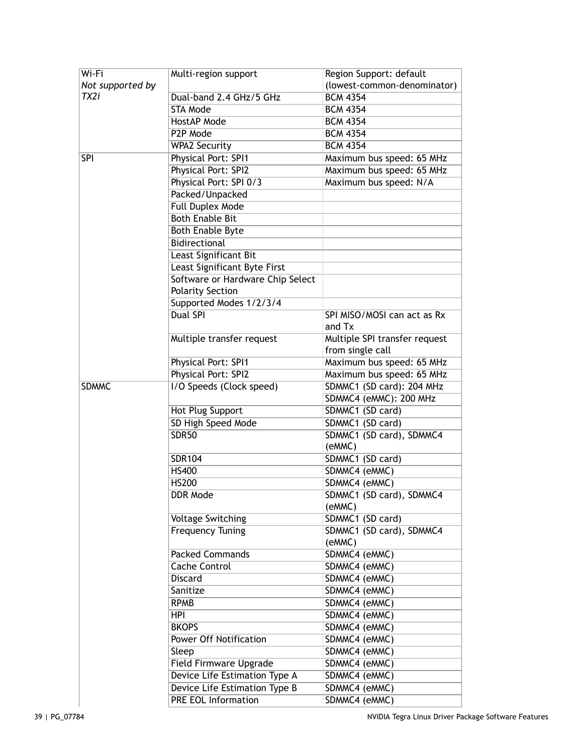| Wi-Fi            | Multi-region support                            | Region Support: default       |
|------------------|-------------------------------------------------|-------------------------------|
| Not supported by |                                                 | (lowest-common-denominator)   |
| TX2i             | Dual-band 2.4 GHz/5 GHz                         | <b>BCM 4354</b>               |
|                  | STA Mode                                        | <b>BCM 4354</b>               |
|                  | HostAP Mode                                     | <b>BCM 4354</b>               |
|                  | P <sub>2</sub> P Mode                           | <b>BCM 4354</b>               |
|                  | <b>WPA2 Security</b>                            | <b>BCM 4354</b>               |
| <b>SPI</b>       | Physical Port: SPI1                             | Maximum bus speed: 65 MHz     |
|                  | Physical Port: SPI2                             | Maximum bus speed: 65 MHz     |
|                  | Physical Port: SPI 0/3                          | Maximum bus speed: N/A        |
|                  | Packed/Unpacked                                 |                               |
|                  | <b>Full Duplex Mode</b>                         |                               |
|                  | <b>Both Enable Bit</b>                          |                               |
|                  |                                                 |                               |
|                  | <b>Both Enable Byte</b><br><b>Bidirectional</b> |                               |
|                  |                                                 |                               |
|                  | Least Significant Bit                           |                               |
|                  | Least Significant Byte First                    |                               |
|                  | Software or Hardware Chip Select                |                               |
|                  | <b>Polarity Section</b>                         |                               |
|                  | Supported Modes 1/2/3/4                         |                               |
|                  | <b>Dual SPI</b>                                 | SPI MISO/MOSI can act as Rx   |
|                  |                                                 | and Tx                        |
|                  | Multiple transfer request                       | Multiple SPI transfer request |
|                  |                                                 | from single call              |
|                  | Physical Port: SPI1                             | Maximum bus speed: 65 MHz     |
|                  | Physical Port: SPI2                             | Maximum bus speed: 65 MHz     |
| <b>SDMMC</b>     | I/O Speeds (Clock speed)                        | SDMMC1 (SD card): 204 MHz     |
|                  |                                                 | SDMMC4 (eMMC): 200 MHz        |
|                  | Hot Plug Support                                | SDMMC1 (SD card)              |
|                  | SD High Speed Mode                              | SDMMC1 (SD card)              |
|                  | <b>SDR50</b>                                    | SDMMC1 (SD card), SDMMC4      |
|                  |                                                 | (eMMC)                        |
|                  | <b>SDR104</b>                                   | SDMMC1 (SD card)              |
|                  | <b>HS400</b>                                    | SDMMC4 (eMMC)                 |
|                  | <b>HS200</b>                                    | SDMMC4 (eMMC)                 |
|                  | DDR Mode                                        | SDMMC1 (SD card), SDMMC4      |
|                  |                                                 | (eMMC)                        |
|                  | <b>Voltage Switching</b>                        | SDMMC1 (SD card)              |
|                  | <b>Frequency Tuning</b>                         | SDMMC1 (SD card), SDMMC4      |
|                  |                                                 | (eMMC)                        |
|                  | <b>Packed Commands</b>                          | SDMMC4 (eMMC)                 |
|                  | <b>Cache Control</b>                            | SDMMC4 (eMMC)                 |
|                  | <b>Discard</b>                                  | SDMMC4 (eMMC)                 |
|                  | Sanitize                                        | SDMMC4 (eMMC)                 |
|                  | <b>RPMB</b>                                     | SDMMC4 (eMMC)                 |
|                  | <b>HPI</b>                                      | SDMMC4 (eMMC)                 |
|                  | <b>BKOPS</b>                                    | SDMMC4 (eMMC)                 |
|                  | <b>Power Off Notification</b>                   | SDMMC4 (eMMC)                 |
|                  | Sleep                                           | SDMMC4 (eMMC)                 |
|                  | Field Firmware Upgrade                          | SDMMC4 (eMMC)                 |
|                  | Device Life Estimation Type A                   | SDMMC4 (eMMC)                 |
|                  | <b>Device Life Estimation Type B</b>            |                               |
|                  |                                                 | SDMMC4 (eMMC)                 |
|                  | <b>PRE EOL Information</b>                      | SDMMC4 (eMMC)                 |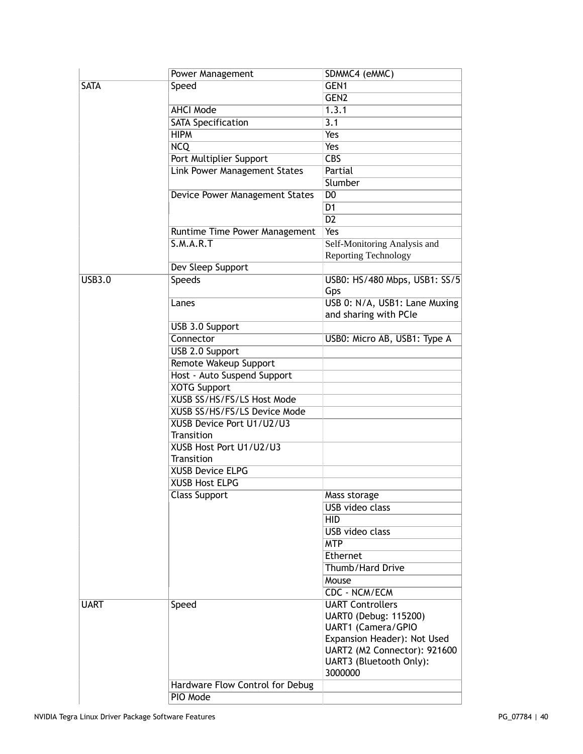|               | Power Management                | SDMMC4 (eMMC)                        |
|---------------|---------------------------------|--------------------------------------|
| <b>SATA</b>   | Speed                           | GEN1                                 |
|               |                                 | GEN <sub>2</sub>                     |
|               | <b>AHCI Mode</b>                | 1.3.1                                |
|               | <b>SATA Specification</b>       | 3.1                                  |
|               | <b>HIPM</b>                     | <b>Yes</b>                           |
|               | <b>NCQ</b>                      | Yes                                  |
|               | Port Multiplier Support         | $\overline{CBS}$                     |
|               | Link Power Management States    | Partial                              |
|               |                                 | Slumber                              |
|               | Device Power Management States  | D <sub>0</sub>                       |
|               |                                 | D <sub>1</sub>                       |
|               |                                 | $\overline{D2}$                      |
|               | Runtime Time Power Management   | <b>Yes</b>                           |
|               | S.M.A.R.T                       | Self-Monitoring Analysis and         |
|               |                                 | <b>Reporting Technology</b>          |
|               | Dev Sleep Support               |                                      |
| <b>USB3.0</b> | <b>Speeds</b>                   | USB0: HS/480 Mbps, USB1: SS/5<br>Gps |
|               | Lanes                           | USB 0: N/A, USB1: Lane Muxing        |
|               |                                 | and sharing with PCIe                |
|               | USB 3.0 Support                 |                                      |
|               | Connector                       | USB0: Micro AB, USB1: Type A         |
|               | USB 2.0 Support                 |                                      |
|               | Remote Wakeup Support           |                                      |
|               | Host - Auto Suspend Support     |                                      |
|               | <b>XOTG Support</b>             |                                      |
|               | XUSB SS/HS/FS/LS Host Mode      |                                      |
|               | XUSB SS/HS/FS/LS Device Mode    |                                      |
|               | XUSB Device Port U1/U2/U3       |                                      |
|               | Transition                      |                                      |
|               | XUSB Host Port U1/U2/U3         |                                      |
|               | Transition                      |                                      |
|               | <b>XUSB Device ELPG</b>         |                                      |
|               | <b>XUSB Host ELPG</b>           |                                      |
|               |                                 |                                      |
|               | <b>Class Support</b>            | Mass storage                         |
|               |                                 | <b>USB</b> video class               |
|               |                                 | <b>HID</b>                           |
|               |                                 | USB video class                      |
|               |                                 | <b>MTP</b>                           |
|               |                                 | Ethernet                             |
|               |                                 | Thumb/Hard Drive                     |
|               |                                 | Mouse                                |
|               |                                 | CDC - NCM/ECM                        |
| <b>UART</b>   | Speed                           | <b>UART Controllers</b>              |
|               |                                 | UART0 (Debug: 115200)                |
|               |                                 | UART1 (Camera/GPIO                   |
|               |                                 | Expansion Header): Not Used          |
|               |                                 | UART2 (M2 Connector): 921600         |
|               |                                 | UART3 (Bluetooth Only):              |
|               |                                 | 3000000                              |
|               | Hardware Flow Control for Debug |                                      |
|               | PIO Mode                        |                                      |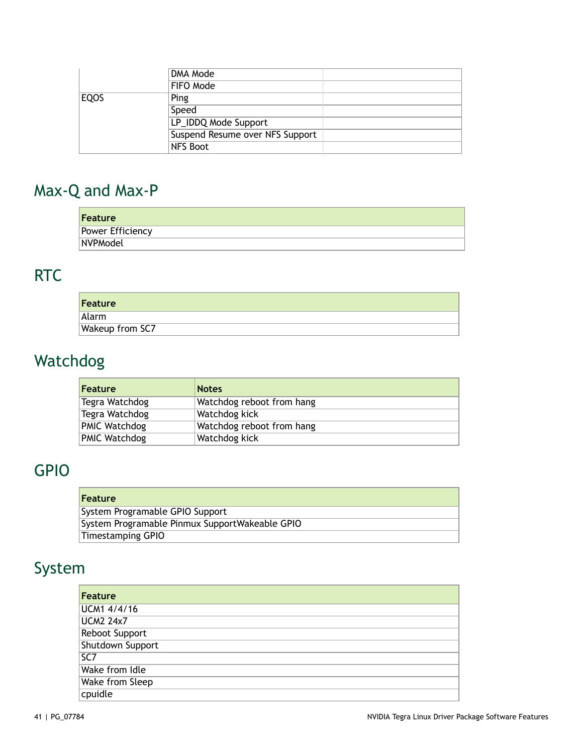|             | DMA Mode                        |  |
|-------------|---------------------------------|--|
|             | FIFO Mode                       |  |
| <b>EQOS</b> | Ping                            |  |
|             | Speed                           |  |
|             | LP_IDDQ Mode Support            |  |
|             | Suspend Resume over NFS Support |  |
|             | <b>NFS Boot</b>                 |  |

# <span id="page-40-0"></span>Max-Q and Max-P

| Feature          |  |
|------------------|--|
| Power Efficiency |  |
| NVPModel         |  |

# <span id="page-40-1"></span>RTC

| Feature         |  |
|-----------------|--|
| Alarm           |  |
| Wakeup from SC7 |  |

# <span id="page-40-2"></span>Watchdog

| <b>Feature</b> | <b>Notes</b>              |
|----------------|---------------------------|
| Tegra Watchdog | Watchdog reboot from hang |
| Tegra Watchdog | Watchdog kick             |
| PMIC Watchdog  | Watchdog reboot from hang |
| PMIC Watchdog  | Watchdog kick             |

# <span id="page-40-3"></span>GPIO

| <b>Feature</b>                                 |
|------------------------------------------------|
| System Programable GPIO Support                |
| System Programable Pinmux SupportWakeable GPIO |
| Timestamping GPIO                              |

# <span id="page-40-4"></span>System

| Feature          |
|------------------|
| UCM1 4/4/16      |
| <b>UCM2 24x7</b> |
| Reboot Support   |
| Shutdown Support |
| SC7              |
| Wake from Idle   |
| Wake from Sleep  |
| cpuidle          |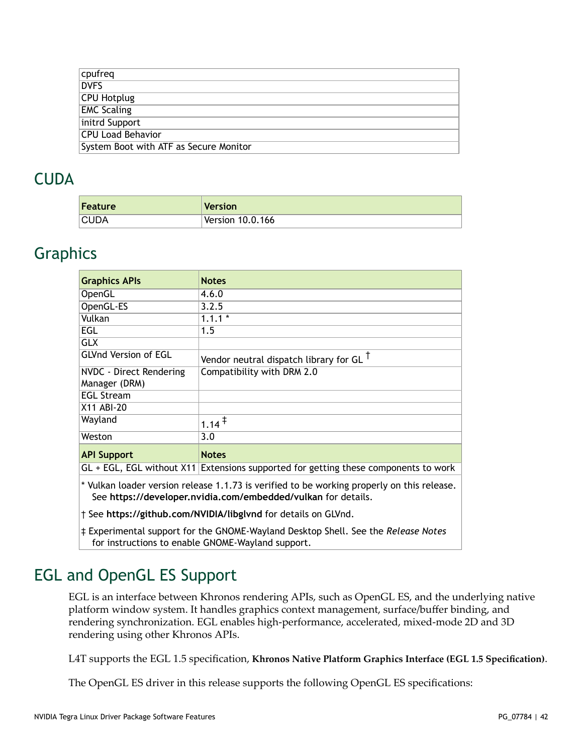| cpufreq                                |
|----------------------------------------|
| <b>DVFS</b>                            |
| <b>CPU Hotplug</b>                     |
| <b>EMC Scaling</b>                     |
| initrd Support                         |
| <b>CPU Load Behavior</b>               |
| System Boot with ATF as Secure Monitor |
|                                        |

#### <span id="page-41-0"></span>**CUDA**

| Feature | <b>Version</b>   |
|---------|------------------|
| CUDA    | Version 10.0.166 |

#### <span id="page-41-1"></span>**Graphics**

| <b>Graphics APIs</b>                                                             | <b>Notes</b>                                                                        |
|----------------------------------------------------------------------------------|-------------------------------------------------------------------------------------|
| OpenGL                                                                           | 4.6.0                                                                               |
| OpenGL-ES                                                                        | 3.2.5                                                                               |
| Vulkan                                                                           | $1.1.1*$                                                                            |
| EGL                                                                              | 1.5                                                                                 |
| <b>GLX</b>                                                                       |                                                                                     |
| <b>GLVnd Version of EGL</b><br>Vendor neutral dispatch library for GL $^\dagger$ |                                                                                     |
| Compatibility with DRM 2.0<br>NVDC - Direct Rendering                            |                                                                                     |
| Manager (DRM)                                                                    |                                                                                     |
| <b>EGL Stream</b>                                                                |                                                                                     |
| X11 ABI-20                                                                       |                                                                                     |
| Wayland                                                                          | $1.14$ <sup>†</sup>                                                                 |
| Weston                                                                           | 3.0                                                                                 |
| <b>API Support</b>                                                               | <b>Notes</b>                                                                        |
|                                                                                  | GL + EGL, EGL without X11 Extensions supported for getting these components to work |

\* Vulkan loader version release 1.1.73 is verified to be working properly on this release. See **<https://developer.nvidia.com/embedded/vulkan>** for details.

† See **<https://github.com/NVIDIA/libglvnd>** for details on GLVnd.

‡ Experimental support for the GNOME-Wayland Desktop Shell. See the *Release Notes* for instructions to enable GNOME-Wayland support.

## <span id="page-41-2"></span>EGL and OpenGL ES Support

EGL is an interface between Khronos rendering APIs, such as OpenGL ES, and the underlying native platform window system. It handles graphics context management, surface/buffer binding, and rendering synchronization. EGL enables high-performance, accelerated, mixed-mode 2D and 3D rendering using other Khronos APIs.

L4T supports the EGL 1.5 specification, **Khronos Native Platform Graphics Interface (EGL 1.5 [Specification\)](https://www.khronos.org/registry/EGL/specs/eglspec.1.5.withchanges.pdf)**.

The OpenGL ES driver in this release supports the following OpenGL ES specifications: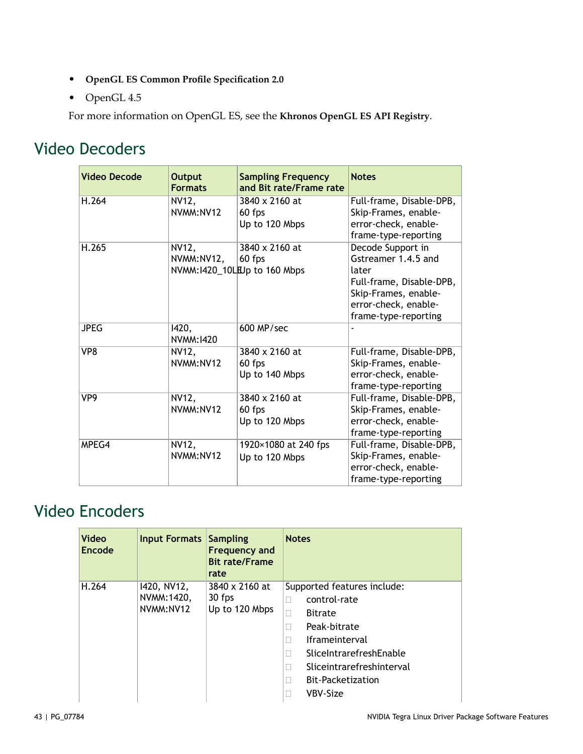- **[OpenGL ES Common Profile Specification 2.0](http://www.khronos.org/registry/gles/specs/2.0/es_full_spec_2.0.25.pdf)**
- OpenGL 4.5

For more information on OpenGL ES, see the **[Khronos OpenGL ES API Registry](http://www.khronos.org/registry/gles/)**.

#### <span id="page-42-0"></span>Video Decoders

| <b>Video Decode</b> | <b>Output</b><br><b>Formats</b> | <b>Sampling Frequency</b><br>and Bit rate/Frame rate     | <b>Notes</b>                                                                                                                                          |
|---------------------|---------------------------------|----------------------------------------------------------|-------------------------------------------------------------------------------------------------------------------------------------------------------|
| H.264               | NV12,<br>NVMM: NV12             | 3840 x 2160 at<br>60 fps<br>Up to 120 Mbps               | Full-frame, Disable-DPB,<br>Skip-Frames, enable-<br>error-check, enable-<br>frame-type-reporting                                                      |
| H.265               | <b>NV12,</b><br>NVMM:NV12,      | 3840 x 2160 at<br>60 fps<br>NVMM:1420_10LEUp to 160 Mbps | Decode Support in<br>Gstreamer 1.4.5 and<br>later<br>Full-frame, Disable-DPB,<br>Skip-Frames, enable-<br>error-check, enable-<br>frame-type-reporting |
| <b>JPEG</b>         | 1420,<br>NVMM: 1420             | 600 MP/sec                                               |                                                                                                                                                       |
| VP8                 | NV12,<br>NVMM:NV12              | 3840 x 2160 at<br>60 fps<br>Up to 140 Mbps               | Full-frame, Disable-DPB,<br>Skip-Frames, enable-<br>error-check, enable-<br>frame-type-reporting                                                      |
| VP9                 | NV12,<br>NVMM: NV12             | 3840 x 2160 at<br>60 fps<br>Up to 120 Mbps               | Full-frame, Disable-DPB,<br>Skip-Frames, enable-<br>error-check, enable-<br>frame-type-reporting                                                      |
| MPEG4               | NV12,<br>NVMM: NV12             | 1920×1080 at 240 fps<br>Up to 120 Mbps                   | Full-frame, Disable-DPB,<br>Skip-Frames, enable-<br>error-check, enable-<br>frame-type-reporting                                                      |

## <span id="page-42-1"></span>Video Encoders

| Video<br>Encode                                            | Input Formats  | <b>Sampling</b><br><b>Frequency and</b><br><b>Bit rate/Frame</b><br>rate | <b>Notes</b>               |
|------------------------------------------------------------|----------------|--------------------------------------------------------------------------|----------------------------|
| H.264<br>1420, NV12,<br>NVMM: 1420,<br>30 fps<br>NVMM:NV12 | 3840 x 2160 at | Supported features include:                                              |                            |
|                                                            |                | Up to 120 Mbps                                                           | control-rate<br>П          |
|                                                            |                |                                                                          | <b>Bitrate</b><br>П        |
|                                                            |                |                                                                          | Peak-bitrate<br>П          |
|                                                            |                |                                                                          | <b>Iframeinterval</b><br>П |
|                                                            |                |                                                                          | SliceIntrarefreshEnable    |
|                                                            |                |                                                                          | Sliceintrarefreshinterval  |
|                                                            |                |                                                                          | Bit-Packetization          |
|                                                            |                |                                                                          | VBV-Size                   |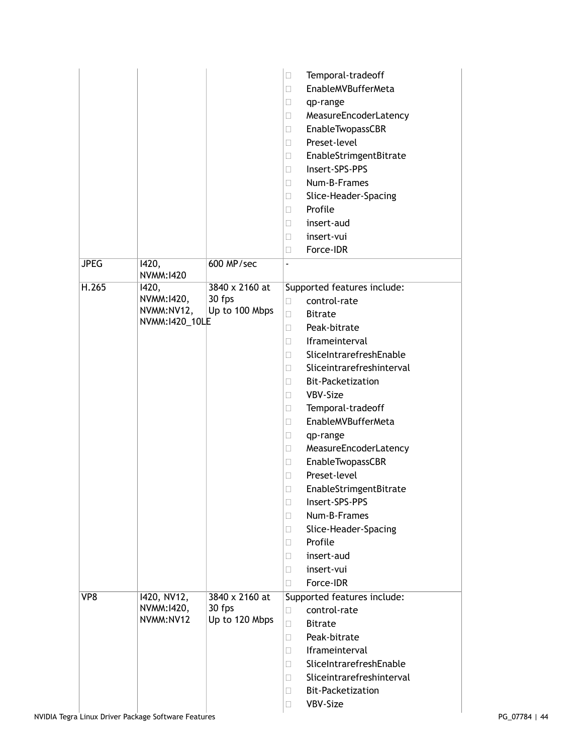|             |                                                      |                                            | Temporal-tradeoff<br>□<br>EnableMVBufferMeta<br>□<br>$\Box$<br>qp-range<br>MeasureEncoderLatency<br>□<br>EnableTwopassCBR<br>П<br>Preset-level<br>П<br>EnableStrimgentBitrate<br>$\Box$<br>Insert-SPS-PPS<br>П<br>Num-B-Frames<br>$\Box$<br>Slice-Header-Spacing<br>$\Box$<br>Profile<br>П<br>insert-aud<br>□<br>insert-vui<br>П<br>Force-IDR<br>□                                                                                                                                                                                                                                  |
|-------------|------------------------------------------------------|--------------------------------------------|-------------------------------------------------------------------------------------------------------------------------------------------------------------------------------------------------------------------------------------------------------------------------------------------------------------------------------------------------------------------------------------------------------------------------------------------------------------------------------------------------------------------------------------------------------------------------------------|
| <b>JPEG</b> | 1420,<br>NVMM: 1420                                  | 600 MP/sec                                 | $\blacksquare$                                                                                                                                                                                                                                                                                                                                                                                                                                                                                                                                                                      |
| H.265       | 1420,<br>NVMM:1420,<br>NVMM:NV12,<br>NVMM: 1420_10LE | 3840 x 2160 at<br>30 fps<br>Up to 100 Mbps | Supported features include:<br>control-rate<br>П<br><b>Bitrate</b><br>П<br>Peak-bitrate<br>П<br>Iframeinterval<br>П<br>SliceIntrarefreshEnable<br>П<br>Sliceintrarefreshinterval<br>П<br><b>Bit-Packetization</b><br>П<br>VBV-Size<br>П<br>Temporal-tradeoff<br>□<br>EnableMVBufferMeta<br>П<br>qp-range<br>Ш<br>MeasureEncoderLatency<br>□<br>EnableTwopassCBR<br>$\Box$<br>Preset-level<br>П<br>EnableStrimgentBitrate<br>П<br>Insert-SPS-PPS<br>$\Box$<br>Num-B-Frames<br>П<br>Slice-Header-Spacing<br>П<br>Profile<br>П<br>insert-aud<br>П<br>insert-vui<br>П<br>Force-IDR<br>П |
| VP8         | 1420, NV12,<br>NVMM:1420,<br>NVMM:NV12               | 3840 x 2160 at<br>30 fps<br>Up to 120 Mbps | Supported features include:<br>control-rate<br>□<br><b>Bitrate</b><br>П<br>Peak-bitrate<br>П<br>Iframeinterval<br>П<br>SliceIntrarefreshEnable<br>П<br>Sliceintrarefreshinterval<br>П<br><b>Bit-Packetization</b><br>$\Box$<br>VBV-Size<br>П                                                                                                                                                                                                                                                                                                                                        |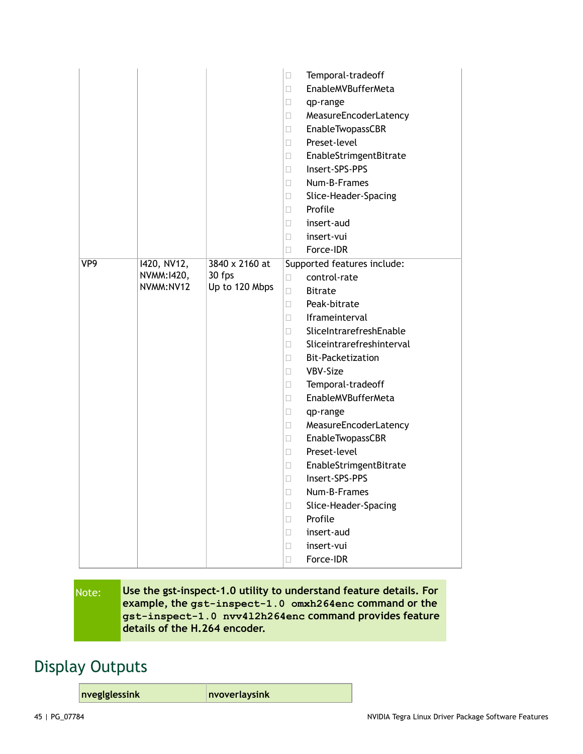|     |                                        |                                            | Temporal-tradeoff<br>$\Box$<br>EnableMVBufferMeta<br>□<br>qp-range<br>Ц<br>MeasureEncoderLatency<br>$\Box$<br>EnableTwopassCBR<br>□<br>Preset-level<br>П<br>EnableStrimgentBitrate<br>$\Box$<br>Insert-SPS-PPS<br>П<br>Num-B-Frames<br>□<br>Slice-Header-Spacing<br>u<br>Profile<br>$\Box$<br>insert-aud<br>П<br>insert-vui<br>Ш<br>Force-IDR<br>$\Box$                                                                                                                                                                                                                               |
|-----|----------------------------------------|--------------------------------------------|---------------------------------------------------------------------------------------------------------------------------------------------------------------------------------------------------------------------------------------------------------------------------------------------------------------------------------------------------------------------------------------------------------------------------------------------------------------------------------------------------------------------------------------------------------------------------------------|
| VP9 | 1420, NV12,<br>NVMM:1420,<br>NVMM:NV12 | 3840 x 2160 at<br>30 fps<br>Up to 120 Mbps | Supported features include:<br>control-rate<br>□<br><b>Bitrate</b><br>П<br>Peak-bitrate<br>П<br>Iframeinterval<br>П<br>SliceIntrarefreshEnable<br>П<br>Sliceintrarefreshinterval<br>П<br><b>Bit-Packetization</b><br>$\Box$<br>VBV-Size<br>□<br>Temporal-tradeoff<br>П<br>EnableMVBufferMeta<br>□<br>□<br>qp-range<br>MeasureEncoderLatency<br>u<br>EnableTwopassCBR<br>O.<br>Preset-level<br>П<br>EnableStrimgentBitrate<br>Ш<br>Insert-SPS-PPS<br>O.<br>Num-B-Frames<br>$\Box$<br>Slice-Header-Spacing<br>□<br>Profile<br>П<br>insert-aud<br>□<br>insert-vui<br>П<br>Force-IDR<br>П |

#### Note: **Use the gst-inspect-1.0 utility to understand feature details. For example, the gst-inspect-1.0 omxh264enc command or the gst-inspect-1.0 nvv4l2h264enc command provides feature details of the H.264 encoder.**

#### <span id="page-44-0"></span>Display Outputs

**nveglglessink nvoverlaysink**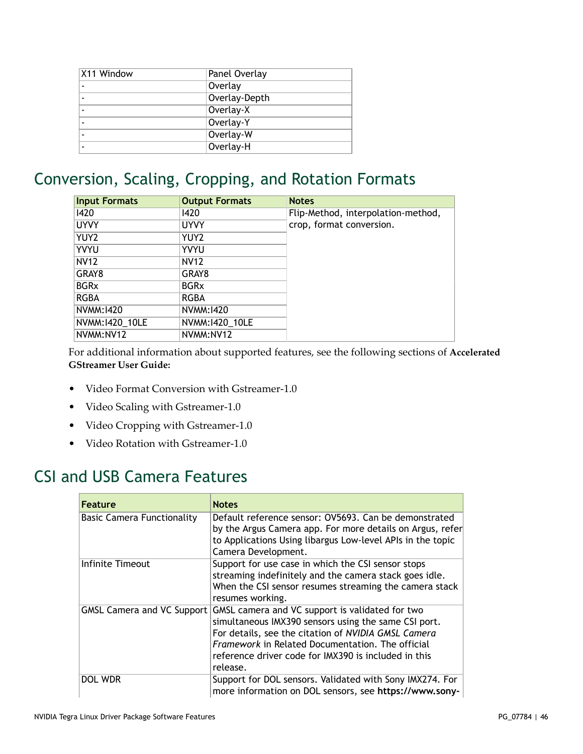| X11 Window | Panel Overlay |  |
|------------|---------------|--|
|            | Overlay       |  |
|            | Overlay-Depth |  |
|            | Overlay-X     |  |
|            | Overlay-Y     |  |
|            | Overlay-W     |  |
|            | Overlay-H     |  |

#### <span id="page-45-0"></span>Conversion, Scaling, Cropping, and Rotation Formats

| <b>Input Formats</b> | <b>Output Formats</b> | <b>Notes</b>                       |
|----------------------|-----------------------|------------------------------------|
| 1420                 | 1420                  | Flip-Method, interpolation-method, |
| <b>UYVY</b>          | <b>UYVY</b>           | crop, format conversion.           |
| YUY2                 | YUY <sub>2</sub>      |                                    |
| <b>YVYU</b>          | <b>YVYU</b>           |                                    |
| <b>NV12</b>          | <b>NV12</b>           |                                    |
| GRAY8                | GRAY8                 |                                    |
| <b>BGRx</b>          | <b>BGRx</b>           |                                    |
| <b>RGBA</b>          | <b>RGBA</b>           |                                    |
| NVMM:1420            | NVMM:1420             |                                    |
| NVMM:1420_10LE       | NVMM:1420_10LE        |                                    |
| NVMM:NV12            | NVMM:NV12             |                                    |

For additional information about supported features, see the following sections of **[Accelerated](https://developer.nvidia.com/search/site/%2522accelerated%2520gstreamer%2520user%2520guide%2522) [GStreamer User Guide:](https://developer.nvidia.com/search/site/%2522accelerated%2520gstreamer%2520user%2520guide%2522)**

- Video Format Conversion with Gstreamer-1.0
- Video Scaling with Gstreamer-1.0
- Video Cropping with Gstreamer-1.0
- Video Rotation with Gstreamer-1.0

#### <span id="page-45-1"></span>CSI and USB Camera Features

| <b>Feature</b>                    | <b>Notes</b>                                                                                                                                                                                                                                                                                  |
|-----------------------------------|-----------------------------------------------------------------------------------------------------------------------------------------------------------------------------------------------------------------------------------------------------------------------------------------------|
| <b>Basic Camera Functionality</b> | Default reference sensor: 0V5693. Can be demonstrated<br>by the Argus Camera app. For more details on Argus, refer<br>to Applications Using libargus Low-level APIs in the topic<br>Camera Development.                                                                                       |
| Infinite Timeout                  | Support for use case in which the CSI sensor stops<br>streaming indefinitely and the camera stack goes idle.<br>When the CSI sensor resumes streaming the camera stack<br>resumes working.                                                                                                    |
| GMSL Camera and VC Support        | GMSL camera and VC support is validated for two<br>simultaneous IMX390 sensors using the same CSI port.<br>For details, see the citation of NVIDIA GMSL Camera<br><i>Framework</i> in Related Documentation. The official<br>reference driver code for IMX390 is included in this<br>release. |
| DOL WDR                           | Support for DOL sensors. Validated with Sony IMX274. For<br>more information on DOL sensors, see https://www.sony-                                                                                                                                                                            |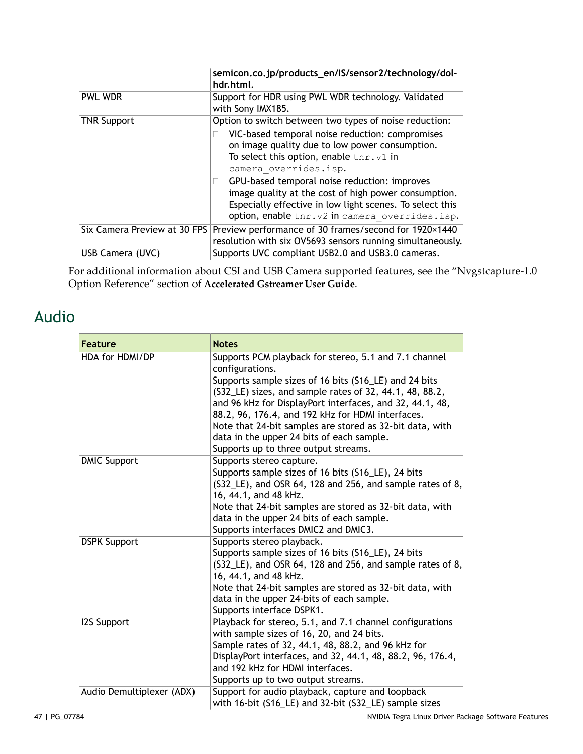|                              | semicon.co.jp/products_en/IS/sensor2/technology/dol-<br>hdr.html.                                                                                                                                                                                                                                                                                                                                      |  |
|------------------------------|--------------------------------------------------------------------------------------------------------------------------------------------------------------------------------------------------------------------------------------------------------------------------------------------------------------------------------------------------------------------------------------------------------|--|
| PWL WDR                      | Support for HDR using PWL WDR technology. Validated<br>with Sony IMX185.                                                                                                                                                                                                                                                                                                                               |  |
| <b>TNR Support</b>           | Option to switch between two types of noise reduction:                                                                                                                                                                                                                                                                                                                                                 |  |
|                              | VIC-based temporal noise reduction: compromises<br>on image quality due to low power consumption.<br>To select this option, enable $\text{tnr.v1}$ in<br>camera overrides.isp.<br>GPU-based temporal noise reduction: improves<br>image quality at the cost of high power consumption.<br>Especially effective in low light scenes. To select this<br>option, enable tnr. v2 in camera overrides. isp. |  |
| Six Camera Preview at 30 FPS | Preview performance of 30 frames/second for 1920×1440<br>resolution with six OV5693 sensors running simultaneously.                                                                                                                                                                                                                                                                                    |  |
| USB Camera (UVC)             | Supports UVC compliant USB2.0 and USB3.0 cameras.                                                                                                                                                                                                                                                                                                                                                      |  |

<u> 1989 - Johann John Stein, mars an de Frankrik (f. 1989)</u>

For additional information about CSI and USB Camera supported features, see the "Nvgstcapture-1.0 Option Reference" section of **[Accelerated Gstreamer User Guide](https://developer.nvidia.com/search/site/%2522accelerated%2520gstreamer%2520user%2520guide%2522)**.

#### <span id="page-46-0"></span>Audio

| <b>Feature</b>            | <b>Notes</b>                                                                                                                                                                                                                                                                                                                                                                                                                                                   |
|---------------------------|----------------------------------------------------------------------------------------------------------------------------------------------------------------------------------------------------------------------------------------------------------------------------------------------------------------------------------------------------------------------------------------------------------------------------------------------------------------|
| HDA for HDMI/DP           | Supports PCM playback for stereo, 5.1 and 7.1 channel<br>configurations.<br>Supports sample sizes of 16 bits (S16_LE) and 24 bits<br>(S32_LE) sizes, and sample rates of 32, 44.1, 48, 88.2,<br>and 96 kHz for DisplayPort interfaces, and 32, 44.1, 48,<br>88.2, 96, 176.4, and 192 kHz for HDMI interfaces.<br>Note that 24-bit samples are stored as 32-bit data, with<br>data in the upper 24 bits of each sample.<br>Supports up to three output streams. |
| <b>DMIC Support</b>       | Supports stereo capture.<br>Supports sample sizes of 16 bits (S16_LE), 24 bits<br>(S32_LE), and OSR 64, 128 and 256, and sample rates of 8,<br>16, 44.1, and 48 kHz.<br>Note that 24-bit samples are stored as 32-bit data, with<br>data in the upper 24 bits of each sample.<br>Supports interfaces DMIC2 and DMIC3.                                                                                                                                          |
| <b>DSPK Support</b>       | Supports stereo playback.<br>Supports sample sizes of 16 bits (S16_LE), 24 bits<br>$(S32—LE)$ , and OSR 64, 128 and 256, and sample rates of 8,<br>16, 44.1, and 48 kHz.<br>Note that 24-bit samples are stored as 32-bit data, with<br>data in the upper 24-bits of each sample.<br>Supports interface DSPK1.                                                                                                                                                 |
| <b>I2S Support</b>        | Playback for stereo, 5.1, and 7.1 channel configurations<br>with sample sizes of 16, 20, and 24 bits.<br>Sample rates of 32, 44.1, 48, 88.2, and 96 kHz for<br>DisplayPort interfaces, and 32, 44.1, 48, 88.2, 96, 176.4,<br>and 192 kHz for HDMI interfaces.<br>Supports up to two output streams.                                                                                                                                                            |
| Audio Demultiplexer (ADX) | Support for audio playback, capture and loopback<br>with 16-bit (S16_LE) and 32-bit (S32_LE) sample sizes                                                                                                                                                                                                                                                                                                                                                      |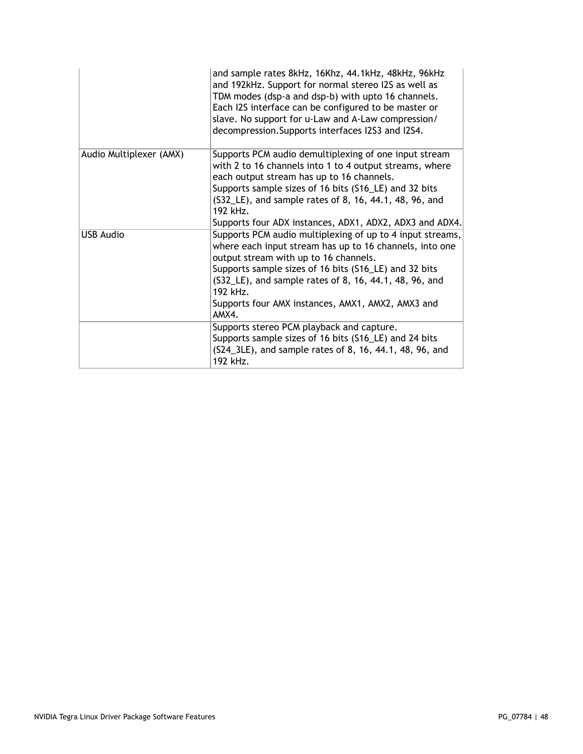|                         | and sample rates 8kHz, 16Khz, 44.1kHz, 48kHz, 96kHz<br>and 192kHz. Support for normal stereo I2S as well as<br>TDM modes (dsp-a and dsp-b) with upto 16 channels.<br>Each I2S interface can be configured to be master or<br>slave. No support for u-Law and A-Law compression/<br>decompression. Supports interfaces I2S3 and I2S4.                           |
|-------------------------|----------------------------------------------------------------------------------------------------------------------------------------------------------------------------------------------------------------------------------------------------------------------------------------------------------------------------------------------------------------|
| Audio Multiplexer (AMX) | Supports PCM audio demultiplexing of one input stream<br>with 2 to 16 channels into 1 to 4 output streams, where<br>each output stream has up to 16 channels.<br>Supports sample sizes of 16 bits (S16_LE) and 32 bits<br>(S32_LE), and sample rates of 8, 16, 44.1, 48, 96, and                                                                               |
|                         | 192 kHz.<br>Supports four ADX instances, ADX1, ADX2, ADX3 and ADX4.                                                                                                                                                                                                                                                                                            |
| <b>USB Audio</b>        | Supports PCM audio multiplexing of up to 4 input streams,<br>where each input stream has up to 16 channels, into one<br>output stream with up to 16 channels.<br>Supports sample sizes of 16 bits (S16_LE) and 32 bits<br>(S32_LE), and sample rates of 8, 16, 44.1, 48, 96, and<br>$192$ kH $z$<br>Supports four AMX instances, AMX1, AMX2, AMX3 and<br>AMX4. |
|                         | Supports stereo PCM playback and capture.<br>Supports sample sizes of 16 bits (S16_LE) and 24 bits<br>(S24_3LE), and sample rates of 8, 16, 44.1, 48, 96, and<br>192 kHz.                                                                                                                                                                                      |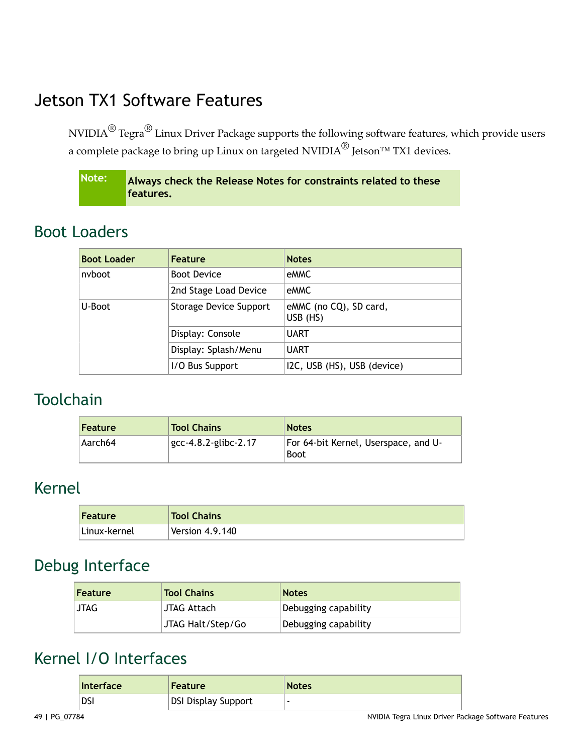# <span id="page-48-0"></span>Jetson TX1 Software Features

NVIDIA $^\circledR$  Tegra $^\circledR$  Linux Driver Package supports the following software features, which provide users a complete package to bring up Linux on targeted NVIDIA<sup>®</sup> Jetson<sup>™</sup> TX1 devices.

**Note: Always check the Release Notes for constraints related to these features.**

## <span id="page-48-1"></span>Boot Loaders

| <b>Boot Loader</b> | <b>Feature</b>         | <b>Notes</b>                       |
|--------------------|------------------------|------------------------------------|
| nyboot             | <b>Boot Device</b>     | eMMC                               |
|                    | 2nd Stage Load Device  | eMMC                               |
| U-Boot             | Storage Device Support | eMMC (no CQ), SD card,<br>USB (HS) |
|                    | Display: Console       | <b>UART</b>                        |
|                    | Display: Splash/Menu   | <b>UART</b>                        |
|                    | I/O Bus Support        | I2C, USB (HS), USB (device)        |

#### <span id="page-48-2"></span>**Toolchain**

| <b>Feature</b> | <b>Tool Chains</b>      | <b>Notes</b>                                        |
|----------------|-------------------------|-----------------------------------------------------|
| Aarch64        | $gcc-4.8.2$ -glibc-2.17 | For 64-bit Kernel, Userspace, and U-<br><b>Boot</b> |

#### <span id="page-48-3"></span>Kernel

| Feature       | <b>Tool Chains</b> |
|---------------|--------------------|
| ∣Linux-kernel | Version $4.9.140$  |

#### <span id="page-48-4"></span>Debug Interface

| Feature     | <b>Tool Chains</b> | <b>Notes</b>         |
|-------------|--------------------|----------------------|
| <b>JTAG</b> | JTAG Attach        | Debugging capability |
|             | JTAG Halt/Step/Go  | Debugging capability |

#### <span id="page-48-5"></span>Kernel I/O Interfaces

| <b>Interface</b> | <b>Feature</b>      | <b>Notes</b> |
|------------------|---------------------|--------------|
| <b>DS</b>        | DSI Display Support |              |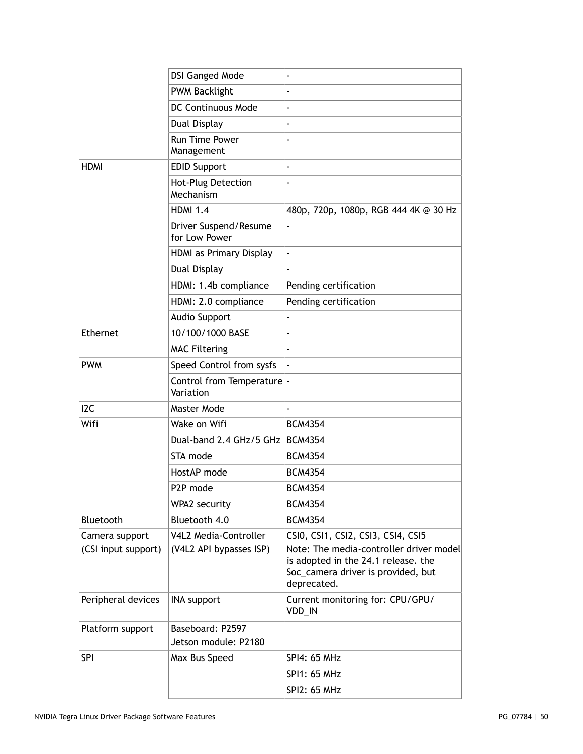|                     | <b>DSI Ganged Mode</b>                   |                                                                                                                                     |
|---------------------|------------------------------------------|-------------------------------------------------------------------------------------------------------------------------------------|
|                     | <b>PWM Backlight</b>                     |                                                                                                                                     |
|                     | DC Continuous Mode                       |                                                                                                                                     |
|                     | Dual Display                             |                                                                                                                                     |
|                     | Run Time Power<br>Management             |                                                                                                                                     |
| <b>HDMI</b>         | <b>EDID Support</b>                      |                                                                                                                                     |
|                     | Hot-Plug Detection<br>Mechanism          |                                                                                                                                     |
|                     | <b>HDMI 1.4</b>                          | 480p, 720p, 1080p, RGB 444 4K @ 30 Hz                                                                                               |
|                     | Driver Suspend/Resume<br>for Low Power   |                                                                                                                                     |
|                     | HDMI as Primary Display                  | ÷,                                                                                                                                  |
|                     | Dual Display                             |                                                                                                                                     |
|                     | HDMI: 1.4b compliance                    | Pending certification                                                                                                               |
|                     | HDMI: 2.0 compliance                     | Pending certification                                                                                                               |
|                     | <b>Audio Support</b>                     |                                                                                                                                     |
| Ethernet            | 10/100/1000 BASE                         | L,                                                                                                                                  |
|                     | <b>MAC Filtering</b>                     |                                                                                                                                     |
| <b>PWM</b>          | Speed Control from sysfs                 |                                                                                                                                     |
|                     | Control from Temperature -<br>Variation  |                                                                                                                                     |
| I <sub>2</sub> C    | Master Mode                              | ä,                                                                                                                                  |
| Wifi                | Wake on Wifi                             | <b>BCM4354</b>                                                                                                                      |
|                     | Dual-band 2.4 GHz/5 GHz   BCM4354        |                                                                                                                                     |
|                     | STA mode                                 | <b>BCM4354</b>                                                                                                                      |
|                     | HostAP mode                              | <b>BCM4354</b>                                                                                                                      |
|                     | P2P mode                                 | <b>BCM4354</b>                                                                                                                      |
|                     | WPA2 security                            | <b>BCM4354</b>                                                                                                                      |
| Bluetooth           | Bluetooth 4.0                            | <b>BCM4354</b>                                                                                                                      |
| Camera support      | V4L2 Media-Controller                    | CSIO, CSI1, CSI2, CSI3, CSI4, CSI5                                                                                                  |
| (CSI input support) | (V4L2 API bypasses ISP)                  | Note: The media-controller driver model<br>is adopted in the 24.1 release. the<br>Soc_camera driver is provided, but<br>deprecated. |
| Peripheral devices  | <b>INA support</b>                       | Current monitoring for: CPU/GPU/<br>VDD_IN                                                                                          |
| Platform support    | Baseboard: P2597<br>Jetson module: P2180 |                                                                                                                                     |
| <b>SPI</b>          | Max Bus Speed                            | SPI4: 65 MHz                                                                                                                        |
|                     |                                          | SPI1: 65 MHz                                                                                                                        |
|                     |                                          | SPI2: 65 MHz                                                                                                                        |
|                     |                                          |                                                                                                                                     |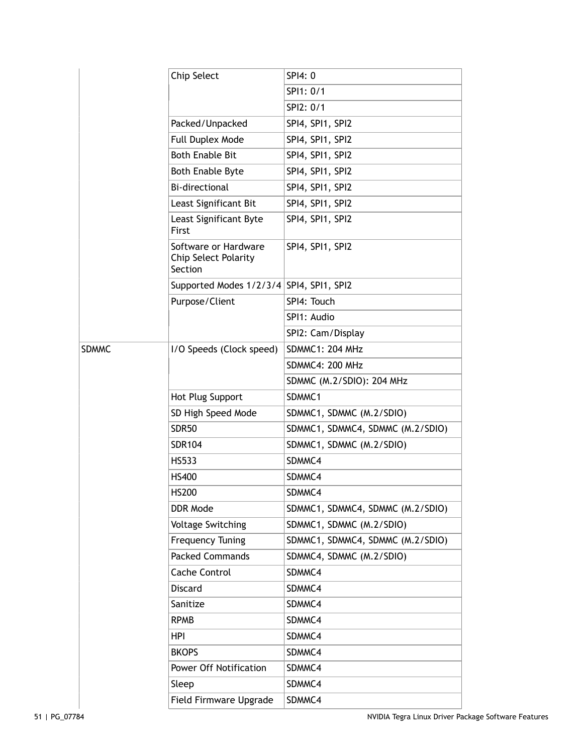|              | Chip Select                                                    | SPI4: 0                          |
|--------------|----------------------------------------------------------------|----------------------------------|
|              |                                                                | SPI1: 0/1                        |
|              |                                                                | SPI2: 0/1                        |
|              | Packed/Unpacked                                                | SPI4, SPI1, SPI2                 |
|              | Full Duplex Mode                                               | SPI4, SPI1, SPI2                 |
|              | <b>Both Enable Bit</b>                                         | SPI4, SPI1, SPI2                 |
|              | <b>Both Enable Byte</b>                                        | SPI4, SPI1, SPI2                 |
|              | <b>Bi-directional</b>                                          | SPI4, SPI1, SPI2                 |
|              | Least Significant Bit                                          | SPI4, SPI1, SPI2                 |
|              | Least Significant Byte<br>First                                | SPI4, SPI1, SPI2                 |
|              | Software or Hardware<br><b>Chip Select Polarity</b><br>Section | SPI4, SPI1, SPI2                 |
|              | Supported Modes 1/2/3/4 SPI4, SPI1, SPI2                       |                                  |
|              | Purpose/Client                                                 | SPI4: Touch                      |
|              |                                                                | SPI1: Audio                      |
|              |                                                                | SPI2: Cam/Display                |
| <b>SDMMC</b> | I/O Speeds (Clock speed)                                       | <b>SDMMC1: 204 MHz</b>           |
|              |                                                                | SDMMC4: 200 MHz                  |
|              |                                                                | SDMMC (M.2/SDIO): 204 MHz        |
|              | Hot Plug Support                                               | SDMMC1                           |
|              | SD High Speed Mode                                             | SDMMC1, SDMMC (M.2/SDIO)         |
|              | SDR <sub>50</sub>                                              | SDMMC1, SDMMC4, SDMMC (M.2/SDIO) |
|              | <b>SDR104</b>                                                  | SDMMC1, SDMMC (M.2/SDIO)         |
|              | HS533                                                          | SDMMC4                           |
|              | HS400                                                          | SDMMC4                           |
|              | <b>HS200</b>                                                   | SDMMC4                           |
|              | DDR Mode                                                       | SDMMC1, SDMMC4, SDMMC (M.2/SDIO) |
|              | <b>Voltage Switching</b>                                       | SDMMC1, SDMMC (M.2/SDIO)         |
|              | <b>Frequency Tuning</b>                                        | SDMMC1, SDMMC4, SDMMC (M.2/SDIO) |
|              | <b>Packed Commands</b>                                         | SDMMC4, SDMMC (M.2/SDIO)         |
|              | <b>Cache Control</b>                                           | SDMMC4                           |
|              | <b>Discard</b>                                                 | SDMMC4                           |
|              | Sanitize                                                       | SDMMC4                           |
|              | <b>RPMB</b>                                                    | SDMMC4                           |
|              | <b>HPI</b>                                                     | SDMMC4                           |
|              | <b>BKOPS</b>                                                   | SDMMC4                           |
|              | Power Off Notification                                         | SDMMC4                           |
|              | Sleep                                                          | SDMMC4                           |
|              | Field Firmware Upgrade                                         | SDMMC4                           |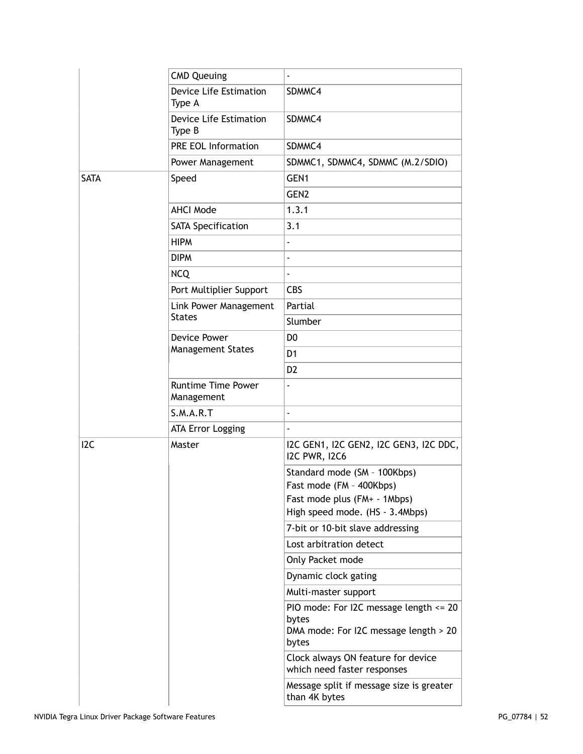|                  | <b>CMD Queuing</b>                      |                                                                                                   |
|------------------|-----------------------------------------|---------------------------------------------------------------------------------------------------|
|                  | <b>Device Life Estimation</b><br>Type A | SDMMC4                                                                                            |
|                  | Device Life Estimation<br>Type B        | SDMMC4                                                                                            |
|                  | <b>PRE EOL Information</b>              | SDMMC4                                                                                            |
|                  | Power Management                        | SDMMC1, SDMMC4, SDMMC (M.2/SDIO)                                                                  |
| <b>SATA</b>      | Speed                                   | GEN1                                                                                              |
|                  |                                         | GEN <sub>2</sub>                                                                                  |
|                  | <b>AHCI Mode</b>                        | 1.3.1                                                                                             |
|                  | <b>SATA Specification</b>               | 3.1                                                                                               |
|                  | <b>HIPM</b>                             |                                                                                                   |
|                  | <b>DIPM</b>                             |                                                                                                   |
|                  | <b>NCQ</b>                              |                                                                                                   |
|                  | Port Multiplier Support                 | <b>CBS</b>                                                                                        |
|                  | Link Power Management                   | Partial                                                                                           |
|                  | <b>States</b>                           | Slumber                                                                                           |
|                  | Device Power                            | D <sub>0</sub>                                                                                    |
|                  | <b>Management States</b>                | D <sub>1</sub>                                                                                    |
|                  |                                         | D <sub>2</sub>                                                                                    |
|                  | <b>Runtime Time Power</b><br>Management |                                                                                                   |
|                  | S.M.A.R.T                               | ä,                                                                                                |
|                  | <b>ATA Error Logging</b>                |                                                                                                   |
| I <sub>2</sub> C | Master                                  | I2C GEN1, I2C GEN2, I2C GEN3, I2C DDC,<br><b>I2C PWR, I2C6</b>                                    |
|                  |                                         | Standard mode (SM - 100Kbps)<br>Fast mode (FM - 400Kbps)                                          |
|                  |                                         | Fast mode plus (FM+ - 1Mbps)                                                                      |
|                  |                                         | High speed mode. (HS - 3.4Mbps)                                                                   |
|                  |                                         | 7-bit or 10-bit slave addressing                                                                  |
|                  |                                         | Lost arbitration detect                                                                           |
|                  |                                         | Only Packet mode                                                                                  |
|                  |                                         | Dynamic clock gating                                                                              |
|                  |                                         | Multi-master support                                                                              |
|                  |                                         | PIO mode: For I2C message length <= 20<br>bytes<br>DMA mode: For I2C message length > 20<br>bytes |
|                  |                                         | Clock always ON feature for device<br>which need faster responses                                 |
|                  |                                         | Message split if message size is greater<br>than 4K bytes                                         |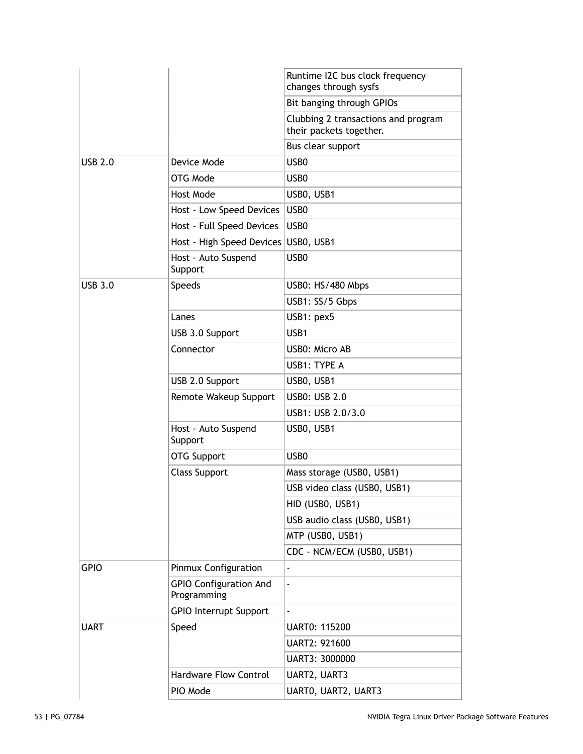|                |                                              | Runtime I2C bus clock frequency<br>changes through sysfs       |
|----------------|----------------------------------------------|----------------------------------------------------------------|
|                |                                              | Bit banging through GPIOs                                      |
|                |                                              | Clubbing 2 transactions and program<br>their packets together. |
|                |                                              | Bus clear support                                              |
| <b>USB 2.0</b> | Device Mode                                  | USB <sub>0</sub>                                               |
|                | OTG Mode                                     | USB <sub>0</sub>                                               |
|                | Host Mode                                    | USBO, USB1                                                     |
|                | Host - Low Speed Devices                     | USB0                                                           |
|                | Host - Full Speed Devices                    | USB <sub>0</sub>                                               |
|                | Host - High Speed Devices                    | USBO, USB1                                                     |
|                | Host - Auto Suspend<br>Support               | USB <sub>0</sub>                                               |
| <b>USB 3.0</b> | <b>Speeds</b>                                | USB0: HS/480 Mbps                                              |
|                |                                              | USB1: SS/5 Gbps                                                |
|                | Lanes                                        | USB1: pex5                                                     |
|                | USB 3.0 Support                              | USB1                                                           |
|                | Connector                                    | USB0: Micro AB                                                 |
|                |                                              | USB1: TYPE A                                                   |
|                | USB 2.0 Support                              | USBO, USB1                                                     |
|                | Remote Wakeup Support                        | <b>USB0: USB 2.0</b>                                           |
|                |                                              | USB1: USB 2.0/3.0                                              |
|                | Host - Auto Suspend<br>Support               | USBO, USB1                                                     |
|                | <b>OTG Support</b>                           | USB <sub>0</sub>                                               |
|                | <b>Class Support</b>                         | Mass storage (USB0, USB1)                                      |
|                |                                              | USB video class (USB0, USB1)                                   |
|                |                                              | HID (USB0, USB1)                                               |
|                |                                              | USB audio class (USB0, USB1)                                   |
|                |                                              | MTP (USB0, USB1)                                               |
|                |                                              | CDC - NCM/ECM (USB0, USB1)                                     |
| <b>GPIO</b>    | Pinmux Configuration                         | $\overline{\phantom{a}}$                                       |
|                | <b>GPIO Configuration And</b><br>Programming | $\blacksquare$                                                 |
|                | <b>GPIO Interrupt Support</b>                |                                                                |
| <b>UART</b>    | Speed                                        | <b>UART0: 115200</b>                                           |
|                |                                              | UART2: 921600                                                  |
|                |                                              | UART3: 3000000                                                 |
|                | <b>Hardware Flow Control</b>                 | UART2, UART3                                                   |
|                | PIO Mode                                     | UARTO, UART2, UART3                                            |
|                |                                              |                                                                |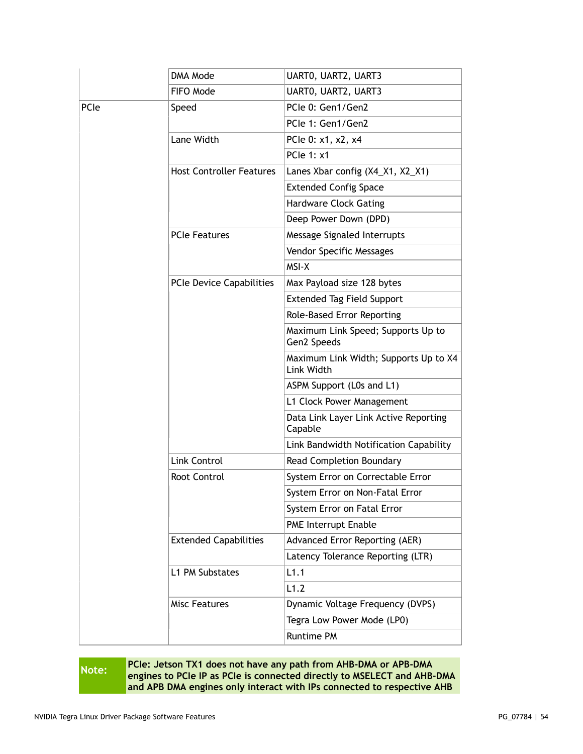|      | DMA Mode                        | UARTO, UART2, UART3                                 |
|------|---------------------------------|-----------------------------------------------------|
|      | FIFO Mode                       | UARTO, UART2, UART3                                 |
| PCIe | Speed                           | PCIe 0: Gen1/Gen2                                   |
|      |                                 | PCIe 1: Gen1/Gen2                                   |
|      | Lane Width                      | PCle 0: x1, x2, x4                                  |
|      |                                 | <b>PCle 1: x1</b>                                   |
|      | <b>Host Controller Features</b> | Lanes Xbar config (X4_X1, X2_X1)                    |
|      |                                 | <b>Extended Config Space</b>                        |
|      |                                 | <b>Hardware Clock Gating</b>                        |
|      |                                 | Deep Power Down (DPD)                               |
|      | <b>PCIe Features</b>            | Message Signaled Interrupts                         |
|      |                                 | Vendor Specific Messages                            |
|      |                                 | MSI-X                                               |
|      | PCIe Device Capabilities        | Max Payload size 128 bytes                          |
|      |                                 | <b>Extended Tag Field Support</b>                   |
|      |                                 | Role-Based Error Reporting                          |
|      |                                 | Maximum Link Speed; Supports Up to<br>Gen2 Speeds   |
|      |                                 | Maximum Link Width; Supports Up to X4<br>Link Width |
|      |                                 | ASPM Support (L0s and L1)                           |
|      |                                 | L1 Clock Power Management                           |
|      |                                 | Data Link Layer Link Active Reporting<br>Capable    |
|      |                                 | Link Bandwidth Notification Capability              |
|      | Link Control                    | Read Completion Boundary                            |
|      | Root Control                    | System Error on Correctable Error                   |
|      |                                 | System Error on Non-Fatal Error                     |
|      |                                 | System Error on Fatal Error                         |
|      |                                 | PME Interrupt Enable                                |
|      | <b>Extended Capabilities</b>    | Advanced Error Reporting (AER)                      |
|      |                                 | Latency Tolerance Reporting (LTR)                   |
|      | L1 PM Substates                 | L1.1                                                |
|      |                                 | L1.2                                                |
|      | <b>Misc Features</b>            | Dynamic Voltage Frequency (DVPS)                    |
|      |                                 | Tegra Low Power Mode (LP0)                          |
|      |                                 | Runtime PM                                          |

**Note: PCIe:** Jetson TX1 does not have any path from AHB-DMA or APB-DMA<br> **Note: PCIALAGE ACCOUNTS** as PCIALAGE or processed directly to ASSLECT and AHB. **engines to PCIe IP as PCIe is connected directly to MSELECT and AHB-DMA and APB DMA engines only interact with IPs connected to respective AHB**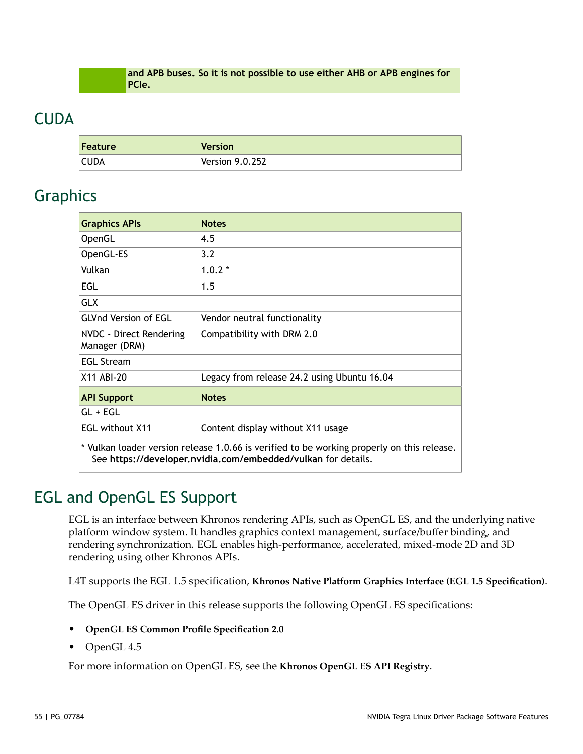**and APB buses. So it is not possible to use either AHB or APB engines for PCIe.**

#### <span id="page-54-0"></span>**CUDA**

| Feature | Version         |
|---------|-----------------|
| CUDA    | Version 9.0.252 |

#### <span id="page-54-1"></span>Graphics

| <b>Graphics APIs</b>                                                                                                                                        | <b>Notes</b>                                |  |
|-------------------------------------------------------------------------------------------------------------------------------------------------------------|---------------------------------------------|--|
| OpenGL                                                                                                                                                      | 4.5                                         |  |
| OpenGL-ES                                                                                                                                                   | 3.2                                         |  |
| Vulkan                                                                                                                                                      | $1.0.2*$                                    |  |
| <b>EGL</b>                                                                                                                                                  | 1.5                                         |  |
| <b>GLX</b>                                                                                                                                                  |                                             |  |
| <b>GLVnd Version of EGL</b>                                                                                                                                 | Vendor neutral functionality                |  |
| NVDC - Direct Rendering<br>Manager (DRM)                                                                                                                    | Compatibility with DRM 2.0                  |  |
| <b>EGL Stream</b>                                                                                                                                           |                                             |  |
| X11 ABI-20                                                                                                                                                  | Legacy from release 24.2 using Ubuntu 16.04 |  |
| <b>API Support</b>                                                                                                                                          | <b>Notes</b>                                |  |
| $GL + EGL$                                                                                                                                                  |                                             |  |
| <b>EGL without X11</b><br>Content display without X11 usage                                                                                                 |                                             |  |
| * Vulkan loader version release 1.0.66 is verified to be working properly on this release.<br>See https://developer.nvidia.com/embedded/vulkan for details. |                                             |  |

## <span id="page-54-2"></span>EGL and OpenGL ES Support

EGL is an interface between Khronos rendering APIs, such as OpenGL ES, and the underlying native platform window system. It handles graphics context management, surface/buffer binding, and rendering synchronization. EGL enables high-performance, accelerated, mixed-mode 2D and 3D rendering using other Khronos APIs.

L4T supports the EGL 1.5 specification, **Khronos Native Platform Graphics Interface (EGL 1.5 [Specification\)](https://www.khronos.org/registry/EGL/specs/eglspec.1.5.withchanges.pdf)**.

The OpenGL ES driver in this release supports the following OpenGL ES specifications:

- **[OpenGL ES Common Profile Specification 2.0](http://www.khronos.org/registry/gles/specs/2.0/es_full_spec_2.0.25.pdf)**
- OpenGL 4.5

For more information on OpenGL ES, see the **[Khronos OpenGL ES API Registry](http://www.khronos.org/registry/gles/)**.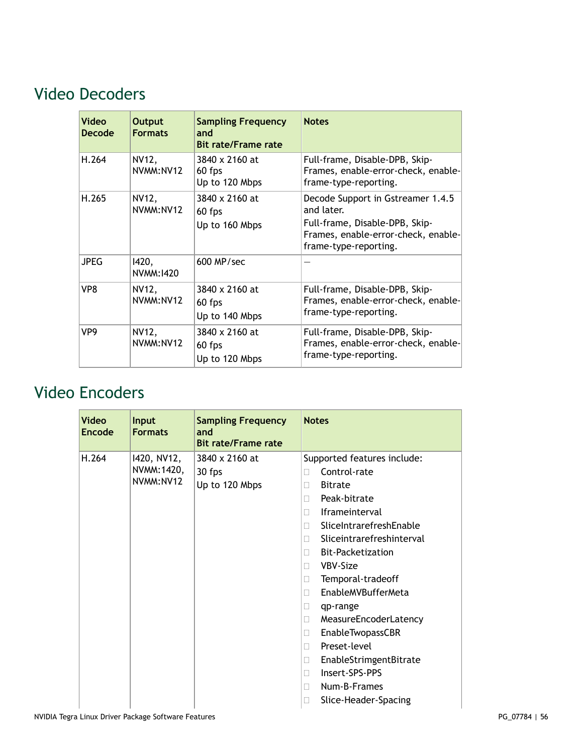# <span id="page-55-0"></span>Video Decoders

| <b>Video</b><br><b>Decode</b> | <b>Output</b><br><b>Formats</b> | <b>Sampling Frequency</b><br>and<br><b>Bit rate/Frame rate</b> | <b>Notes</b>                                                                                                                                      |
|-------------------------------|---------------------------------|----------------------------------------------------------------|---------------------------------------------------------------------------------------------------------------------------------------------------|
| H.264                         | NV12,<br>NVMM:NV12              | 3840 x 2160 at<br>60 fps<br>Up to 120 Mbps                     | Full-frame, Disable-DPB, Skip-<br>Frames, enable-error-check, enable-<br>frame-type-reporting.                                                    |
| H.265                         | NV12,<br>NVMM:NV12              | 3840 x 2160 at<br>60 fps<br>Up to 160 Mbps                     | Decode Support in Gstreamer 1.4.5<br>and later.<br>Full-frame, Disable-DPB, Skip-<br>Frames, enable-error-check, enable-<br>frame-type-reporting. |
| <b>JPEG</b>                   | 1420,<br>NVMM: 1420             | $600$ MP/sec                                                   |                                                                                                                                                   |
| VP8                           | NV12,<br>NVMM:NV12              | 3840 x 2160 at<br>60 fps<br>Up to 140 Mbps                     | Full-frame, Disable-DPB, Skip-<br>Frames, enable-error-check, enable-<br>frame-type-reporting.                                                    |
| VP9                           | NV12,<br>NVMM:NV12              | 3840 x 2160 at<br>60 fps<br>Up to 120 Mbps                     | Full-frame, Disable-DPB, Skip-<br>Frames, enable-error-check, enable-<br>frame-type-reporting.                                                    |

# <span id="page-55-1"></span>Video Encoders

| Video<br>Encode | <b>Input</b><br><b>Formats</b>          | <b>Sampling Frequency</b><br>and<br><b>Bit rate/Frame rate</b> | <b>Notes</b>                                                                                                                                                                                                                                                                                                                                                                                                                                                                                                               |
|-----------------|-----------------------------------------|----------------------------------------------------------------|----------------------------------------------------------------------------------------------------------------------------------------------------------------------------------------------------------------------------------------------------------------------------------------------------------------------------------------------------------------------------------------------------------------------------------------------------------------------------------------------------------------------------|
| H.264           | 1420, NV12,<br>NVMM: 1420,<br>NVMM:NV12 | 3840 x 2160 at<br>30 fps<br>Up to 120 Mbps                     | Supported features include:<br>Control-rate<br>П<br><b>Bitrate</b><br>П<br>Peak-bitrate<br>П<br><b>Iframeinterval</b><br>П<br>SliceIntrarefreshEnable<br>П<br>Sliceintrarefreshinterval<br>П<br><b>Bit-Packetization</b><br>П<br>VBV-Size<br>П<br>Temporal-tradeoff<br>П<br>EnableMVBufferMeta<br>П<br>qp-range<br>$\mathbf{L}$<br>MeasureEncoderLatency<br>П<br><b>EnableTwopassCBR</b><br>□<br>Preset-level<br>П<br>EnableStrimgentBitrate<br>□<br>Insert-SPS-PPS<br>П<br>Num-B-Frames<br>П<br>Slice-Header-Spacing<br>П |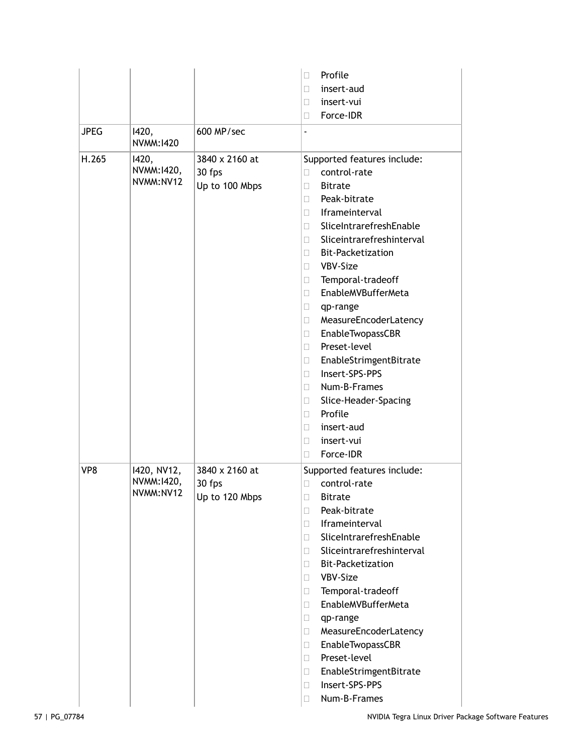|             |                                        |                                            | Profile<br>П                                                                                                                                                                                                                                                                                                                                                                                                                                                                                                                                                                                                                                |
|-------------|----------------------------------------|--------------------------------------------|---------------------------------------------------------------------------------------------------------------------------------------------------------------------------------------------------------------------------------------------------------------------------------------------------------------------------------------------------------------------------------------------------------------------------------------------------------------------------------------------------------------------------------------------------------------------------------------------------------------------------------------------|
|             |                                        |                                            | insert-aud<br>П                                                                                                                                                                                                                                                                                                                                                                                                                                                                                                                                                                                                                             |
|             |                                        |                                            | insert-vui<br>u                                                                                                                                                                                                                                                                                                                                                                                                                                                                                                                                                                                                                             |
|             |                                        |                                            | Force-IDR<br>$\Box$                                                                                                                                                                                                                                                                                                                                                                                                                                                                                                                                                                                                                         |
| <b>JPEG</b> | 1420,<br>NVMM:1420                     | 600 MP/sec                                 |                                                                                                                                                                                                                                                                                                                                                                                                                                                                                                                                                                                                                                             |
| H.265       | 1420,<br>NVMM: 1420,<br>NVMM:NV12      | 3840 x 2160 at<br>30 fps<br>Up to 100 Mbps | Supported features include:<br>control-rate<br>П<br><b>Bitrate</b><br>П<br>Peak-bitrate<br>П<br><b>Iframeinterval</b><br>П.<br>SliceIntrarefreshEnable<br>П.<br>Sliceintrarefreshinterval<br>$\mathbf{L}$<br><b>Bit-Packetization</b><br>П.<br>VBV-Size<br>$\Box$<br>Temporal-tradeoff<br>O.<br>EnableMVBufferMeta<br>П<br>$\Box$<br>qp-range<br>MeasureEncoderLatency<br>$\Box$<br>EnableTwopassCBR<br>$\Box$<br>Preset-level<br>П.<br>EnableStrimgentBitrate<br>$\Box$<br>Insert-SPS-PPS<br>П.<br>Num-B-Frames<br>П.<br>Slice-Header-Spacing<br>$\Box$<br>Profile<br>П.<br>insert-aud<br>П<br>insert-vui<br>$\Box$<br>Force-IDR<br>$\Box$ |
| VP8         | 1420, NV12,<br>NVMM:1420,<br>NVMM:NV12 | 3840 x 2160 at<br>30 fps<br>Up to 120 Mbps | Supported features include:<br>control-rate<br>П<br>□<br><b>Bitrate</b><br>Peak-bitrate<br>П<br>Iframeinterval<br>П.<br>SliceIntrarefreshEnable<br>П.<br>Sliceintrarefreshinterval<br>П.<br><b>Bit-Packetization</b><br>П.<br>VBV-Size<br>$\Box$<br>Temporal-tradeoff<br>$\Box$<br>EnableMVBufferMeta<br>П.<br>$\Box$<br>qp-range<br>MeasureEncoderLatency<br>$\Box$<br>EnableTwopassCBR<br>0<br>Preset-level<br>$\Box$<br>EnableStrimgentBitrate<br>$\Box$<br>Insert-SPS-PPS<br>O.<br>Num-B-Frames<br>П                                                                                                                                    |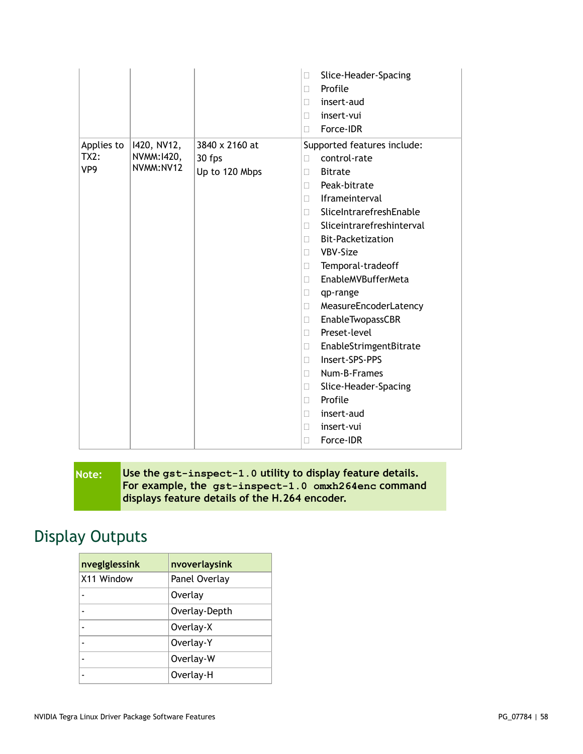|                           |                | Slice-Header-Spacing<br>$\Box$  |
|---------------------------|----------------|---------------------------------|
|                           |                | Profile<br>П                    |
|                           |                | insert-aud<br>П                 |
|                           |                | insert-vui<br>П                 |
|                           |                | Force-IDR<br>П                  |
| 1420, NV12,<br>Applies to | 3840 x 2160 at | Supported features include:     |
| NVMM:1420,<br>TX2:        | 30 fps         | control-rate<br>П               |
| NVMM: NV12<br>VP9         | Up to 120 Mbps | <b>Bitrate</b><br>П             |
|                           |                | Peak-bitrate<br>П               |
|                           |                | Iframeinterval<br>П             |
|                           |                | SliceIntrarefreshEnable<br>П    |
|                           |                | Sliceintrarefreshinterval<br>П  |
|                           |                | <b>Bit-Packetization</b><br>П   |
|                           |                | VBV-Size<br>$\Box$              |
|                           |                | Temporal-tradeoff<br>$\Box$     |
|                           |                | <b>EnableMVBufferMeta</b><br>П  |
|                           |                | qp-range<br>□                   |
|                           |                | MeasureEncoderLatency<br>$\Box$ |
|                           |                | EnableTwopassCBR<br>$\Box$      |
|                           |                | Preset-level<br>П               |
|                           |                | EnableStrimgentBitrate<br>П     |
|                           |                | Insert-SPS-PPS<br>П             |
|                           |                | Num-B-Frames<br>П               |
|                           |                | Slice-Header-Spacing<br>Ш       |
|                           |                | Profile<br>П                    |
|                           |                | insert-aud<br>□                 |
|                           |                | insert-vui<br>П                 |
|                           |                | Force-IDR<br>П                  |

**Note: Use the gst-inspect-1.0 utility to display feature details. For example, the gst-inspect-1.0 omxh264enc command displays feature details of the H.264 encoder.**

## <span id="page-57-0"></span>Display Outputs

| nveglglessink | nvoverlaysink |
|---------------|---------------|
| X11 Window    | Panel Overlay |
|               | Overlay       |
|               | Overlay-Depth |
|               | Overlay-X     |
|               | Overlay-Y     |
|               | Overlay-W     |
|               | Overlay-H     |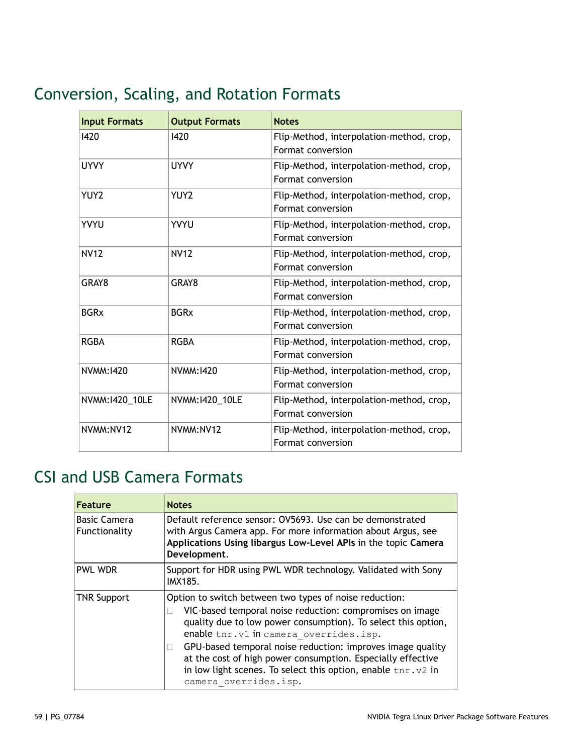# <span id="page-58-0"></span>Conversion, Scaling, and Rotation Formats

| <b>Input Formats</b> | <b>Output Formats</b> | <b>Notes</b>                                                  |
|----------------------|-----------------------|---------------------------------------------------------------|
| 1420                 | 1420                  | Flip-Method, interpolation-method, crop,<br>Format conversion |
| <b>UYVY</b>          | <b>UYVY</b>           | Flip-Method, interpolation-method, crop,<br>Format conversion |
| YUY2                 | YUY2                  | Flip-Method, interpolation-method, crop,<br>Format conversion |
| YVYU                 | <b>YVYU</b>           | Flip-Method, interpolation-method, crop,<br>Format conversion |
| <b>NV12</b>          | <b>NV12</b>           | Flip-Method, interpolation-method, crop,<br>Format conversion |
| GRAY8                | GRAY8                 | Flip-Method, interpolation-method, crop,<br>Format conversion |
| <b>BGRx</b>          | <b>BGRx</b>           | Flip-Method, interpolation-method, crop,<br>Format conversion |
| <b>RGBA</b>          | <b>RGBA</b>           | Flip-Method, interpolation-method, crop,<br>Format conversion |
| NVMM: 1420           | NVMM: 1420            | Flip-Method, interpolation-method, crop,<br>Format conversion |
| NVMM:1420_10LE       | NVMM:1420_10LE        | Flip-Method, interpolation-method, crop,<br>Format conversion |
| NVMM: NV12           | NVMM:NV12             | Flip-Method, interpolation-method, crop,<br>Format conversion |

# <span id="page-58-1"></span>CSI and USB Camera Formats

| <b>Feature</b>                       | <b>Notes</b>                                                                                                                                                                                                                                                                                                                                                                                                                                          |
|--------------------------------------|-------------------------------------------------------------------------------------------------------------------------------------------------------------------------------------------------------------------------------------------------------------------------------------------------------------------------------------------------------------------------------------------------------------------------------------------------------|
| <b>Basic Camera</b><br>Functionality | Default reference sensor: OV5693. Use can be demonstrated<br>with Argus Camera app. For more information about Argus, see<br>Applications Using libargus Low-Level APIs in the topic Camera<br>Development.                                                                                                                                                                                                                                           |
| <b>PWL WDR</b>                       | Support for HDR using PWL WDR technology. Validated with Sony<br><b>IMX185.</b>                                                                                                                                                                                                                                                                                                                                                                       |
| <b>TNR Support</b>                   | Option to switch between two types of noise reduction:<br>VIC-based temporal noise reduction: compromises on image<br>quality due to low power consumption). To select this option,<br>enable tnr. v1 in camera overrides. isp.<br>GPU-based temporal noise reduction: improves image quality<br>at the cost of high power consumption. Especially effective<br>in low light scenes. To select this option, enable tnr.v2 in<br>camera overrides.isp. |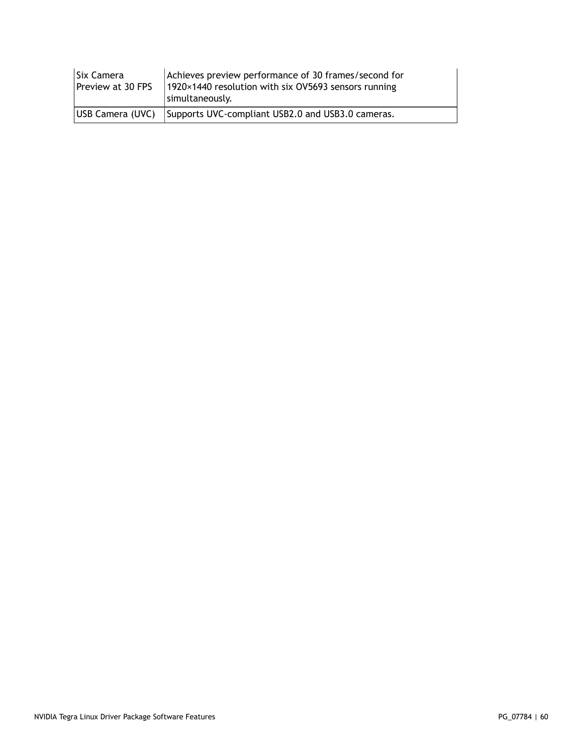| Six Camera<br>Preview at 30 FPS | Achieves preview performance of 30 frames/second for<br>1920×1440 resolution with six OV5693 sensors running<br>simultaneously. |
|---------------------------------|---------------------------------------------------------------------------------------------------------------------------------|
| <b>IUSB Camera (UVC)</b>        | Supports UVC-compliant USB2.0 and USB3.0 cameras.                                                                               |